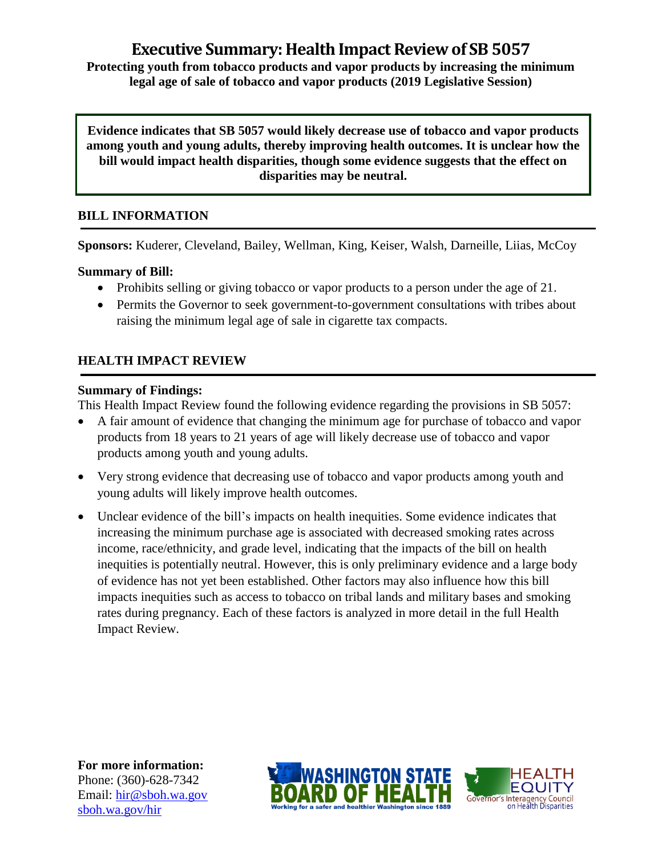# **Executive Summary: Health Impact Review of SB 5057**

**Protecting youth from tobacco products and vapor products by increasing the minimum legal age of sale of tobacco and vapor products (2019 Legislative Session)**

**Evidence indicates that SB 5057 would likely decrease use of tobacco and vapor products among youth and young adults, thereby improving health outcomes. It is unclear how the bill would impact health disparities, though some evidence suggests that the effect on disparities may be neutral.**

## **BILL INFORMATION**

**Sponsors:** Kuderer, Cleveland, Bailey, Wellman, King, Keiser, Walsh, Darneille, Liias, McCoy

**Summary of Bill:** 

- Prohibits selling or giving tobacco or vapor products to a person under the age of 21.
- Permits the Governor to seek government-to-government consultations with tribes about raising the minimum legal age of sale in cigarette tax compacts.

# **HEALTH IMPACT REVIEW**

## **Summary of Findings:**

This Health Impact Review found the following evidence regarding the provisions in SB 5057:

- A fair amount of evidence that changing the minimum age for purchase of tobacco and vapor products from 18 years to 21 years of age will likely decrease use of tobacco and vapor products among youth and young adults.
- Very strong evidence that decreasing use of tobacco and vapor products among youth and young adults will likely improve health outcomes.
- Unclear evidence of the bill's impacts on health inequities. Some evidence indicates that increasing the minimum purchase age is associated with decreased smoking rates across income, race/ethnicity, and grade level, indicating that the impacts of the bill on health inequities is potentially neutral. However, this is only preliminary evidence and a large body of evidence has not yet been established. Other factors may also influence how this bill impacts inequities such as access to tobacco on tribal lands and military bases and smoking rates during pregnancy. Each of these factors is analyzed in more detail in the full Health Impact Review.

**For more information:** Phone: (360)-628-7342 Email: [hir@sboh.wa.gov](mailto:hir@sboh.wa.gov) [sboh.wa.gov/](http://sboh.wa.gov/)hir



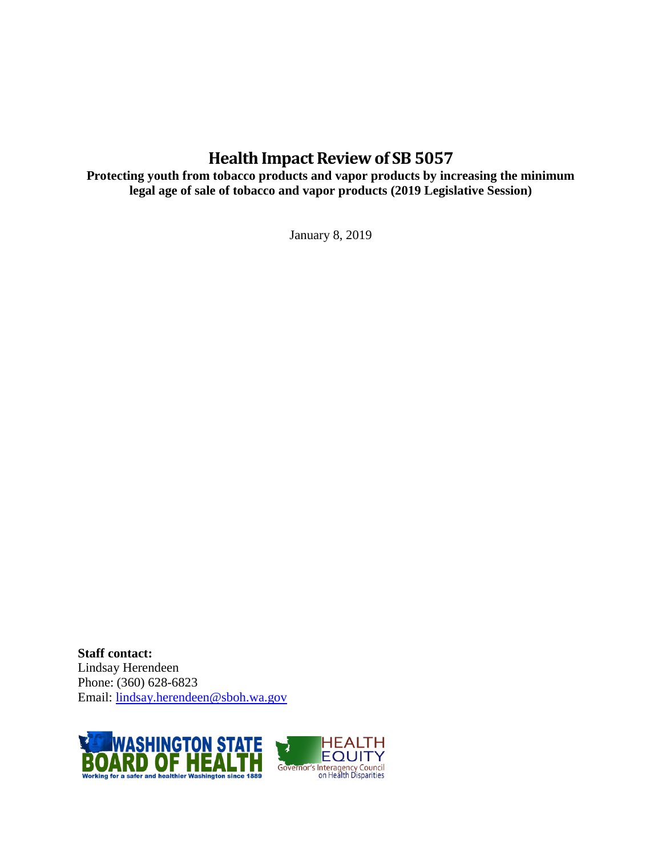# **Health Impact Review of SB 5057**

**Protecting youth from tobacco products and vapor products by increasing the minimum legal age of sale of tobacco and vapor products (2019 Legislative Session)**

January 8, 2019

**Staff contact:** Lindsay Herendeen Phone: (360) 628-6823 Email: [lindsay.herendeen@sboh.wa.gov](mailto:lindsay.herendeen@sboh.wa.gov)

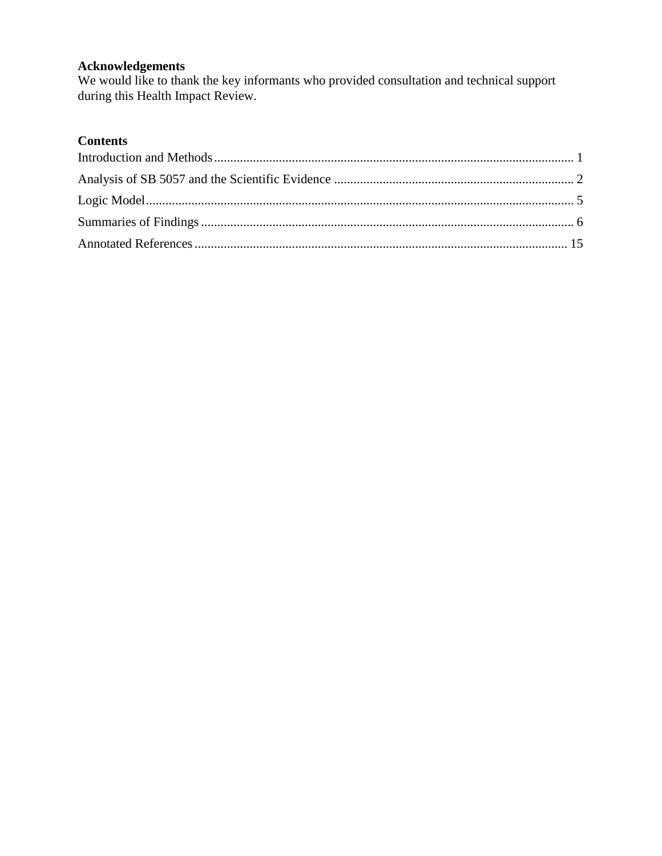## **Acknowledgements**

We would like to thank the key informants who provided consultation and technical support during this Health Impact Review.

# **Contents**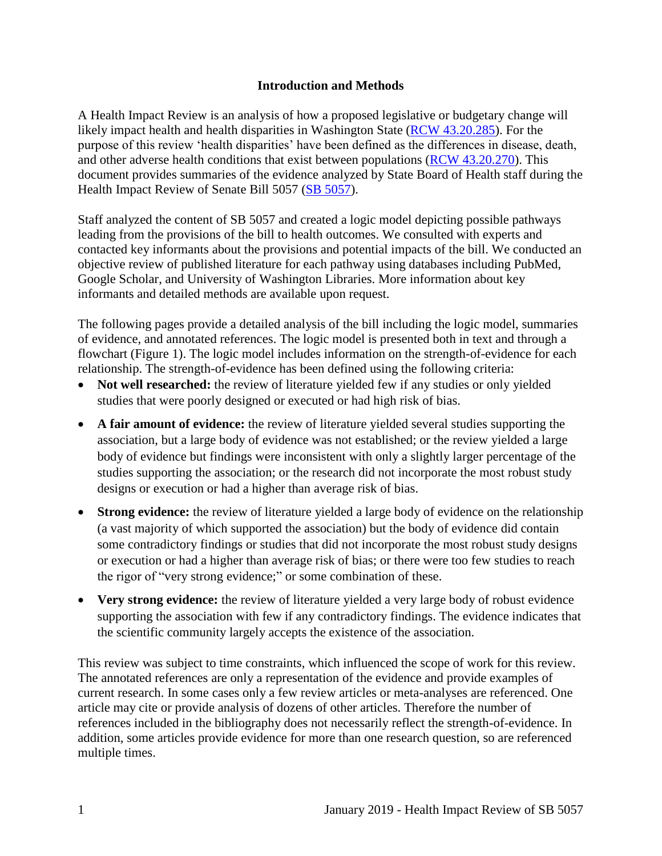#### **Introduction and Methods**

<span id="page-3-0"></span>A Health Impact Review is an analysis of how a proposed legislative or budgetary change will likely impact health and health disparities in Washington State [\(RCW 43.20.285\)](http://apps.leg.wa.gov/rcw/default.aspx?cite=43.20.285). For the purpose of this review 'health disparities' have been defined as the differences in disease, death, and other adverse health conditions that exist between populations [\(RCW 43.20.270\)](http://apps.leg.wa.gov/rcw/default.aspx?cite=43.20.270). This document provides summaries of the evidence analyzed by State Board of Health staff during the Health Impact Review of Senate Bill 5057 [\(SB 5057\)](https://app.leg.wa.gov/billsummary?BillNumber=5057&Year=2019&Initiative=false).

Staff analyzed the content of SB 5057 and created a logic model depicting possible pathways leading from the provisions of the bill to health outcomes. We consulted with experts and contacted key informants about the provisions and potential impacts of the bill. We conducted an objective review of published literature for each pathway using databases including PubMed, Google Scholar, and University of Washington Libraries. More information about key informants and detailed methods are available upon request.

The following pages provide a detailed analysis of the bill including the logic model, summaries of evidence, and annotated references. The logic model is presented both in text and through a flowchart (Figure 1). The logic model includes information on the strength-of-evidence for each relationship. The strength-of-evidence has been defined using the following criteria:

- Not well researched: the review of literature yielded few if any studies or only yielded studies that were poorly designed or executed or had high risk of bias.
- **A fair amount of evidence:** the review of literature yielded several studies supporting the association, but a large body of evidence was not established; or the review yielded a large body of evidence but findings were inconsistent with only a slightly larger percentage of the studies supporting the association; or the research did not incorporate the most robust study designs or execution or had a higher than average risk of bias.
- **Strong evidence:** the review of literature yielded a large body of evidence on the relationship (a vast majority of which supported the association) but the body of evidence did contain some contradictory findings or studies that did not incorporate the most robust study designs or execution or had a higher than average risk of bias; or there were too few studies to reach the rigor of "very strong evidence;" or some combination of these.
- Very strong evidence: the review of literature yielded a very large body of robust evidence supporting the association with few if any contradictory findings. The evidence indicates that the scientific community largely accepts the existence of the association.

This review was subject to time constraints, which influenced the scope of work for this review. The annotated references are only a representation of the evidence and provide examples of current research. In some cases only a few review articles or meta-analyses are referenced. One article may cite or provide analysis of dozens of other articles. Therefore the number of references included in the bibliography does not necessarily reflect the strength-of-evidence. In addition, some articles provide evidence for more than one research question, so are referenced multiple times.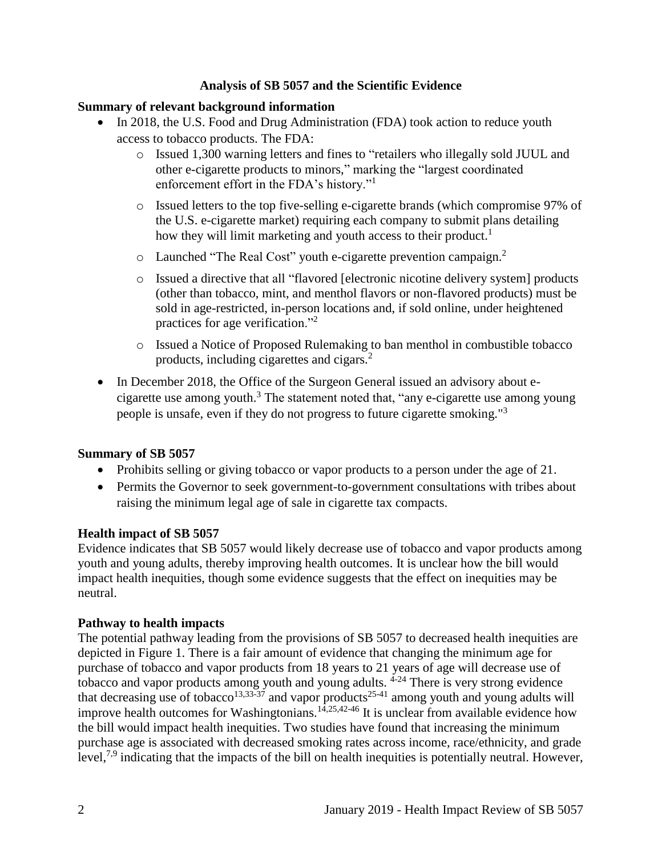#### **Analysis of SB 5057 and the Scientific Evidence**

#### <span id="page-4-0"></span>**Summary of relevant background information**

- In 2018, the U.S. Food and Drug Administration (FDA) took action to reduce youth access to tobacco products. The FDA:
	- o Issued 1,300 warning letters and fines to "retailers who illegally sold JUUL and other e-cigarette products to minors," marking the "largest coordinated enforcement effort in the FDA's history."<sup>1</sup>
	- o Issued letters to the top five-selling e-cigarette brands (which compromise 97% of the U.S. e-cigarette market) requiring each company to submit plans detailing how they will limit marketing and youth access to their product.<sup>1</sup>
	- $\circ$  Launched "The Real Cost" youth e-cigarette prevention campaign.<sup>2</sup>
	- o Issued a directive that all "flavored [electronic nicotine delivery system] products (other than tobacco, mint, and menthol flavors or non-flavored products) must be sold in age-restricted, in-person locations and, if sold online, under heightened practices for age verification."<sup>2</sup>
	- o Issued a Notice of Proposed Rulemaking to ban menthol in combustible tobacco products, including cigarettes and cigars.<sup>2</sup>
- In December 2018, the Office of the Surgeon General issued an advisory about ecigarette use among youth. $3$  The statement noted that, "any e-cigarette use among young people is unsafe, even if they do not progress to future cigarette smoking."<sup>3</sup>

#### **Summary of SB 5057**

- Prohibits selling or giving tobacco or vapor products to a person under the age of 21.
- Permits the Governor to seek government-to-government consultations with tribes about raising the minimum legal age of sale in cigarette tax compacts.

#### **Health impact of SB 5057**

Evidence indicates that SB 5057 would likely decrease use of tobacco and vapor products among youth and young adults, thereby improving health outcomes. It is unclear how the bill would impact health inequities, though some evidence suggests that the effect on inequities may be neutral.

#### **Pathway to health impacts**

The potential pathway leading from the provisions of SB 5057 to decreased health inequities are depicted in Figure 1. There is a fair amount of evidence that changing the minimum age for purchase of tobacco and vapor products from 18 years to 21 years of age will decrease use of tobacco and vapor products among youth and young adults. <sup>4-24</sup> There is very strong evidence that decreasing use of tobacco<sup>[13,](#page-23-0)[33-37](#page-35-0)</sup> and vapor products<sup>25-41</sup> among youth and young adults will improve health outcomes for Washingtonians.<sup>[14,](#page-24-0)[25,](#page-31-0)[42-46](#page-38-0)</sup> It is unclear from available evidence how the bill would impact health inequities. Two studies have found that increasing the minimum purchase age is associated with decreased smoking rates across income, race/ethnicity, and grade level,<sup>[7,](#page-20-0)[9](#page-21-0)</sup> indicating that the impacts of the bill on health inequities is potentially neutral. However,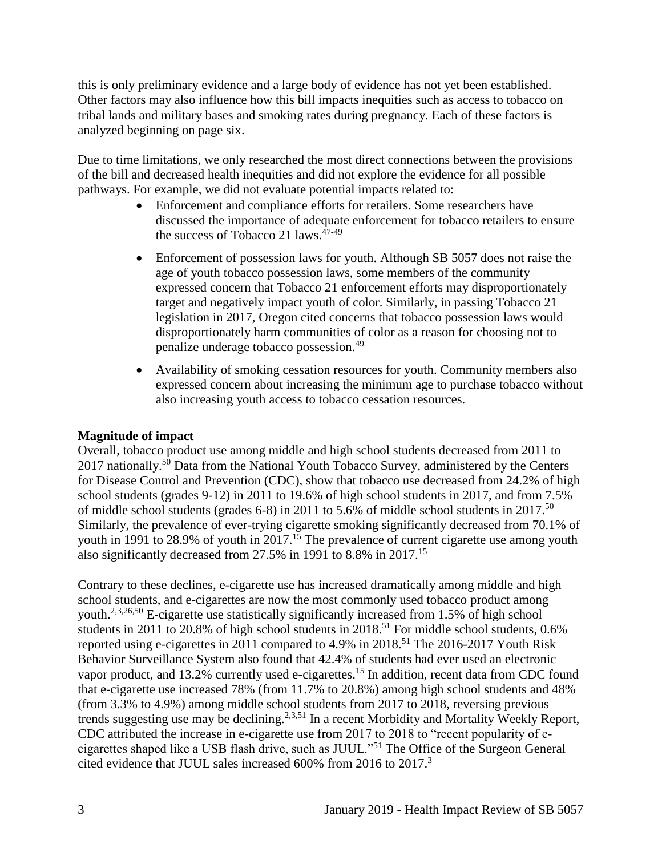this is only preliminary evidence and a large body of evidence has not yet been established. Other factors may also influence how this bill impacts inequities such as access to tobacco on tribal lands and military bases and smoking rates during pregnancy. Each of these factors is analyzed beginning on page six.

Due to time limitations, we only researched the most direct connections between the provisions of the bill and decreased health inequities and did not explore the evidence for all possible pathways. For example, we did not evaluate potential impacts related to:

- Enforcement and compliance efforts for retailers. Some researchers have discussed the importance of adequate enforcement for tobacco retailers to ensure the success of Tobacco 21 laws.<sup>47-49</sup>
- Enforcement of possession laws for youth. Although SB 5057 does not raise the age of youth tobacco possession laws, some members of the community expressed concern that Tobacco 21 enforcement efforts may disproportionately target and negatively impact youth of color. Similarly, in passing Tobacco 21 legislation in 2017, Oregon cited concerns that tobacco possession laws would disproportionately harm communities of color as a reason for choosing not to penalize underage tobacco possession.<sup>49</sup>
- Availability of smoking cessation resources for youth. Community members also expressed concern about increasing the minimum age to purchase tobacco without also increasing youth access to tobacco cessation resources.

## **Magnitude of impact**

Overall, tobacco product use among middle and high school students decreased from 2011 to 2017 nationally.<sup>50</sup> Data from the National Youth Tobacco Survey, administered by the Centers for Disease Control and Prevention (CDC), show that tobacco use decreased from 24.2% of high school students (grades 9-12) in 2011 to 19.6% of high school students in 2017, and from 7.5% of middle school students (grades 6-8) in 2011 to 5.6% of middle school students in 2017.<sup>50</sup> Similarly, the prevalence of ever-trying cigarette smoking significantly decreased from 70.1% of youth in 1991 to 28.9% of youth in 2017.<sup>15</sup> The prevalence of current cigarette use among youth also significantly decreased from 27.5% in 1991 to 8.8% in 2017.<sup>15</sup>

Contrary to these declines, e-cigarette use has increased dramatically among middle and high school students, and e-cigarettes are now the most commonly used tobacco product among youth.<sup>[2,](#page-17-1)[3,](#page-18-0)[26,](#page-31-1)[50](#page-41-0)</sup> E-cigarette use statistically significantly increased from 1.5% of high school students in 2011 to 20.8% of high school students in 2018.<sup>51</sup> For middle school students, 0.6% reported using e-cigarettes in 2011 compared to 4.9% in 2018.<sup>51</sup> The 2016-2017 Youth Risk Behavior Surveillance System also found that 42.4% of students had ever used an electronic vapor product, and 13.2% currently used e-cigarettes.<sup>15</sup> In addition, recent data from CDC found that e-cigarette use increased 78% (from 11.7% to 20.8%) among high school students and 48% (from 3.3% to 4.9%) among middle school students from 2017 to 2018, reversing previous trends suggesting use may be declining.<sup>[2,](#page-17-1)[3,](#page-18-0)[51](#page-42-0)</sup> In a recent Morbidity and Mortality Weekly Report, CDC attributed the increase in e-cigarette use from 2017 to 2018 to "recent popularity of ecigarettes shaped like a USB flash drive, such as JUUL."<sup>51</sup> The Office of the Surgeon General cited evidence that JUUL sales increased 600% from 2016 to 2017.<sup>3</sup>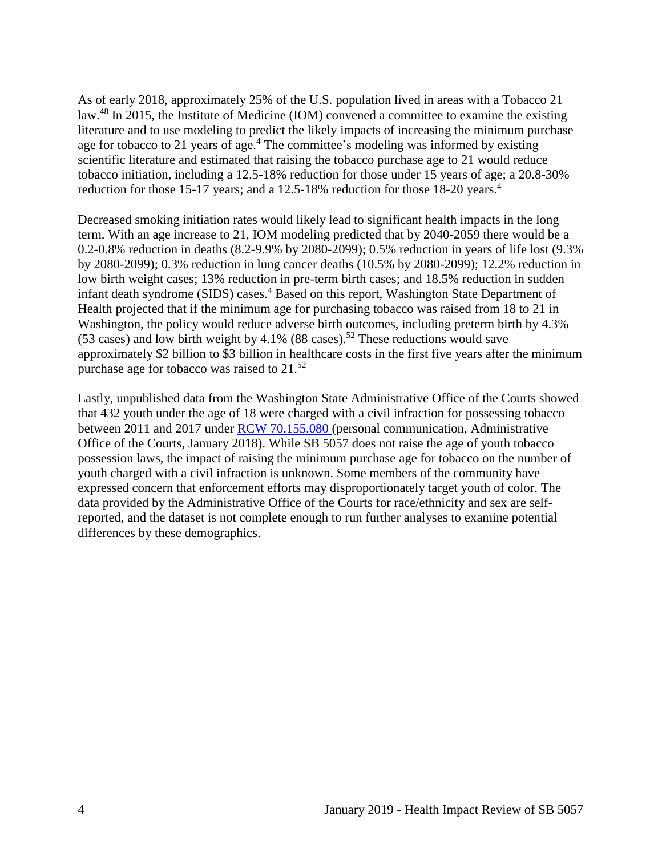As of early 2018, approximately 25% of the U.S. population lived in areas with a Tobacco 21 law.<sup>48</sup> In 2015, the Institute of Medicine (IOM) convened a committee to examine the existing literature and to use modeling to predict the likely impacts of increasing the minimum purchase age for tobacco to 21 years of age.<sup>4</sup> The committee's modeling was informed by existing scientific literature and estimated that raising the tobacco purchase age to 21 would reduce tobacco initiation, including a 12.5-18% reduction for those under 15 years of age; a 20.8-30% reduction for those 15-17 years; and a 12.5-18% reduction for those 18-20 years.<sup>4</sup>

Decreased smoking initiation rates would likely lead to significant health impacts in the long term. With an age increase to 21, IOM modeling predicted that by 2040-2059 there would be a 0.2-0.8% reduction in deaths (8.2-9.9% by 2080-2099); 0.5% reduction in years of life lost (9.3% by 2080-2099); 0.3% reduction in lung cancer deaths (10.5% by 2080-2099); 12.2% reduction in low birth weight cases; 13% reduction in pre-term birth cases; and 18.5% reduction in sudden infant death syndrome (SIDS) cases.<sup>4</sup> Based on this report, Washington State Department of Health projected that if the minimum age for purchasing tobacco was raised from 18 to 21 in Washington, the policy would reduce adverse birth outcomes, including preterm birth by 4.3% (53 cases) and low birth weight by 4.1% (88 cases).<sup>52</sup> These reductions would save approximately \$2 billion to \$3 billion in healthcare costs in the first five years after the minimum purchase age for tobacco was raised to 21.<sup>52</sup>

Lastly, unpublished data from the Washington State Administrative Office of the Courts showed that 432 youth under the age of 18 were charged with a civil infraction for possessing tobacco between 2011 and 2017 under [RCW 70.155.080](https://app.leg.wa.gov/rcw/default.aspx?cite=70.155.080) (personal communication, Administrative Office of the Courts, January 2018). While SB 5057 does not raise the age of youth tobacco possession laws, the impact of raising the minimum purchase age for tobacco on the number of youth charged with a civil infraction is unknown. Some members of the community have expressed concern that enforcement efforts may disproportionately target youth of color. The data provided by the Administrative Office of the Courts for race/ethnicity and sex are selfreported, and the dataset is not complete enough to run further analyses to examine potential differences by these demographics.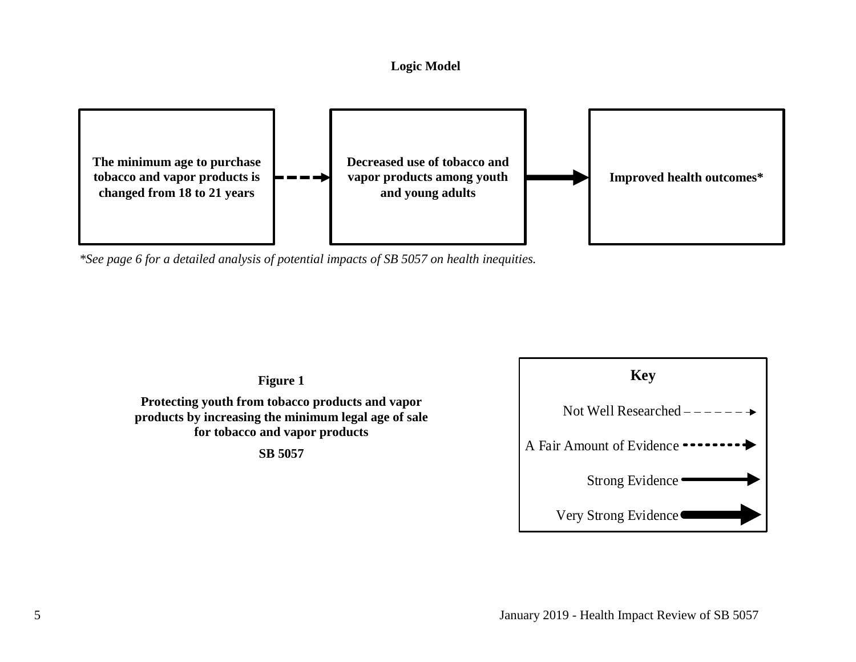#### **Logic Model**



<span id="page-7-0"></span>*\*See page 6 for a detailed analysis of potential impacts of SB 5057 on health inequities.*

**Figure 1**

**Protecting youth from tobacco products and vapor products by increasing the minimum legal age of sale for tobacco and vapor products**

**SB 5057**

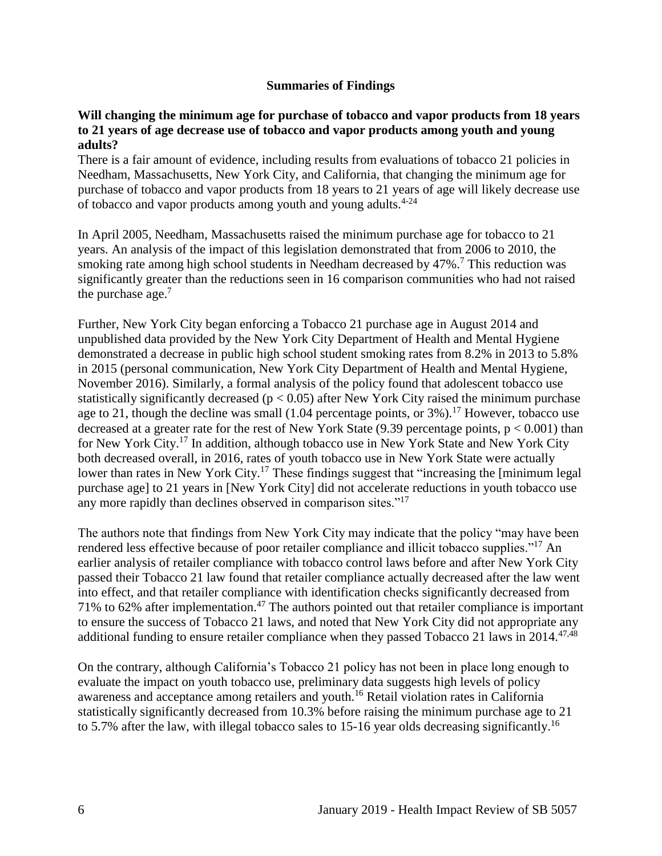#### **Summaries of Findings**

#### <span id="page-8-0"></span>**Will changing the minimum age for purchase of tobacco and vapor products from 18 years to 21 years of age decrease use of tobacco and vapor products among youth and young adults?**

There is a fair amount of evidence, including results from evaluations of tobacco 21 policies in Needham, Massachusetts, New York City, and California, that changing the minimum age for purchase of tobacco and vapor products from 18 years to 21 years of age will likely decrease use of tobacco and vapor products among youth and young adults.<sup>4-24</sup>

In April 2005, Needham, Massachusetts raised the minimum purchase age for tobacco to 21 years. An analysis of the impact of this legislation demonstrated that from 2006 to 2010, the smoking rate among high school students in Needham decreased by 47%.<sup>7</sup> This reduction was significantly greater than the reductions seen in 16 comparison communities who had not raised the purchase age. $<sup>7</sup>$ </sup>

Further, New York City began enforcing a Tobacco 21 purchase age in August 2014 and unpublished data provided by the New York City Department of Health and Mental Hygiene demonstrated a decrease in public high school student smoking rates from 8.2% in 2013 to 5.8% in 2015 (personal communication, New York City Department of Health and Mental Hygiene, November 2016). Similarly, a formal analysis of the policy found that adolescent tobacco use statistically significantly decreased ( $p < 0.05$ ) after New York City raised the minimum purchase age to 21, though the decline was small (1.04 percentage points, or  $3\%$ ).<sup>17</sup> However, tobacco use decreased at a greater rate for the rest of New York State (9.39 percentage points,  $p < 0.001$ ) than for New York City.<sup>17</sup> In addition, although tobacco use in New York State and New York City both decreased overall, in 2016, rates of youth tobacco use in New York State were actually lower than rates in New York City.<sup>17</sup> These findings suggest that "increasing the [minimum legal] purchase age] to 21 years in [New York City] did not accelerate reductions in youth tobacco use any more rapidly than declines observed in comparison sites."<sup>17</sup>

The authors note that findings from New York City may indicate that the policy "may have been rendered less effective because of poor retailer compliance and illicit tobacco supplies."<sup>17</sup> An earlier analysis of retailer compliance with tobacco control laws before and after New York City passed their Tobacco 21 law found that retailer compliance actually decreased after the law went into effect, and that retailer compliance with identification checks significantly decreased from 71% to 62% after implementation. <sup>47</sup> The authors pointed out that retailer compliance is important to ensure the success of Tobacco 21 laws, and noted that New York City did not appropriate any additional funding to ensure retailer compliance when they passed Tobacco 21 laws in  $2014$ .<sup>[47,](#page-40-0)[48](#page-40-1)</sup>

On the contrary, although California's Tobacco 21 policy has not been in place long enough to evaluate the impact on youth tobacco use, preliminary data suggests high levels of policy awareness and acceptance among retailers and youth.<sup>16</sup> Retail violation rates in California statistically significantly decreased from 10.3% before raising the minimum purchase age to 21 to 5.7% after the law, with illegal tobacco sales to 15-16 year olds decreasing significantly.<sup>16</sup>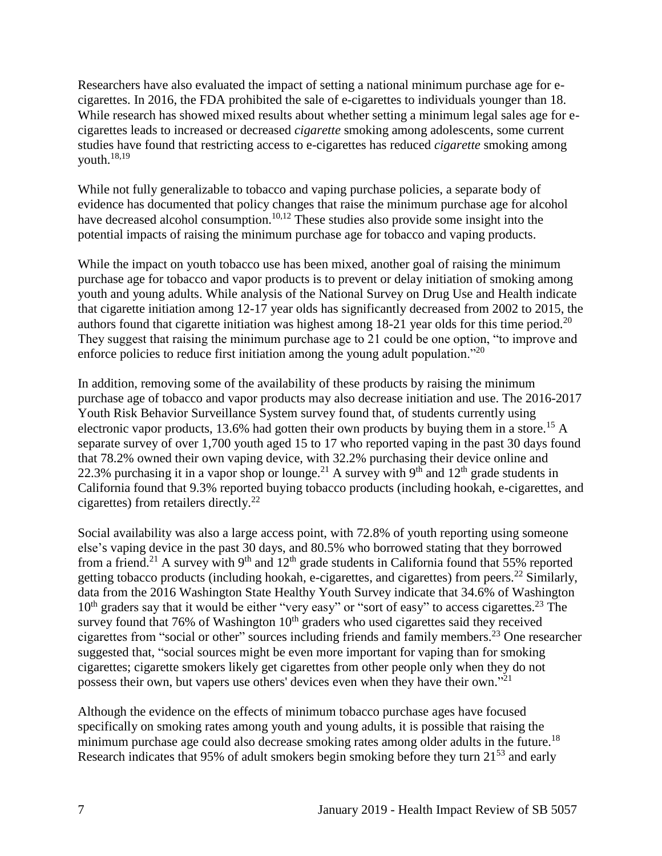Researchers have also evaluated the impact of setting a national minimum purchase age for ecigarettes. In 2016, the FDA prohibited the sale of e-cigarettes to individuals younger than 18. While research has showed mixed results about whether setting a minimum legal sales age for ecigarettes leads to increased or decreased *cigarette* smoking among adolescents, some current studies have found that restricting access to e-cigarettes has reduced *cigarette* smoking among youth.[18,](#page-27-0)[19](#page-28-0)

While not fully generalizable to tobacco and vaping purchase policies, a separate body of evidence has documented that policy changes that raise the minimum purchase age for alcohol have decreased alcohol consumption.<sup>[10,](#page-21-1)[12](#page-23-1)</sup> These studies also provide some insight into the potential impacts of raising the minimum purchase age for tobacco and vaping products.

While the impact on youth tobacco use has been mixed, another goal of raising the minimum purchase age for tobacco and vapor products is to prevent or delay initiation of smoking among youth and young adults. While analysis of the National Survey on Drug Use and Health indicate that cigarette initiation among 12-17 year olds has significantly decreased from 2002 to 2015, the authors found that cigarette initiation was highest among  $18-21$  year olds for this time period.<sup>20</sup> They suggest that raising the minimum purchase age to 21 could be one option, "to improve and enforce policies to reduce first initiation among the young adult population."<sup>20</sup>

In addition, removing some of the availability of these products by raising the minimum purchase age of tobacco and vapor products may also decrease initiation and use. The 2016-2017 Youth Risk Behavior Surveillance System survey found that, of students currently using electronic vapor products, 13.6% had gotten their own products by buying them in a store.<sup>15</sup> A separate survey of over 1,700 youth aged 15 to 17 who reported vaping in the past 30 days found that 78.2% owned their own vaping device, with 32.2% purchasing their device online and 22.3% purchasing it in a vapor shop or lounge.<sup>21</sup> A survey with 9<sup>th</sup> and 12<sup>th</sup> grade students in California found that 9.3% reported buying tobacco products (including hookah, e-cigarettes, and cigarettes) from retailers directly.<sup>22</sup>

Social availability was also a large access point, with 72.8% of youth reporting using someone else's vaping device in the past 30 days, and 80.5% who borrowed stating that they borrowed from a friend.<sup>21</sup> A survey with 9<sup>th</sup> and  $12<sup>th</sup>$  grade students in California found that 55% reported getting tobacco products (including hookah, e-cigarettes, and cigarettes) from peers.<sup>22</sup> Similarly, data from the 2016 Washington State Healthy Youth Survey indicate that 34.6% of Washington  $10<sup>th</sup>$  graders say that it would be either "very easy" or "sort of easy" to access cigarettes.<sup>23</sup> The survey found that 76% of Washington  $10<sup>th</sup>$  graders who used cigarettes said they received cigarettes from "social or other" sources including friends and family members.<sup>23</sup> One researcher suggested that, "social sources might be even more important for vaping than for smoking cigarettes; cigarette smokers likely get cigarettes from other people only when they do not possess their own, but vapers use others' devices even when they have their own."<sup>21</sup>

Although the evidence on the effects of minimum tobacco purchase ages have focused specifically on smoking rates among youth and young adults, it is possible that raising the minimum purchase age could also decrease smoking rates among older adults in the future.<sup>18</sup> Research indicates that 95% of adult smokers begin smoking before they turn 21<sup>53</sup> and early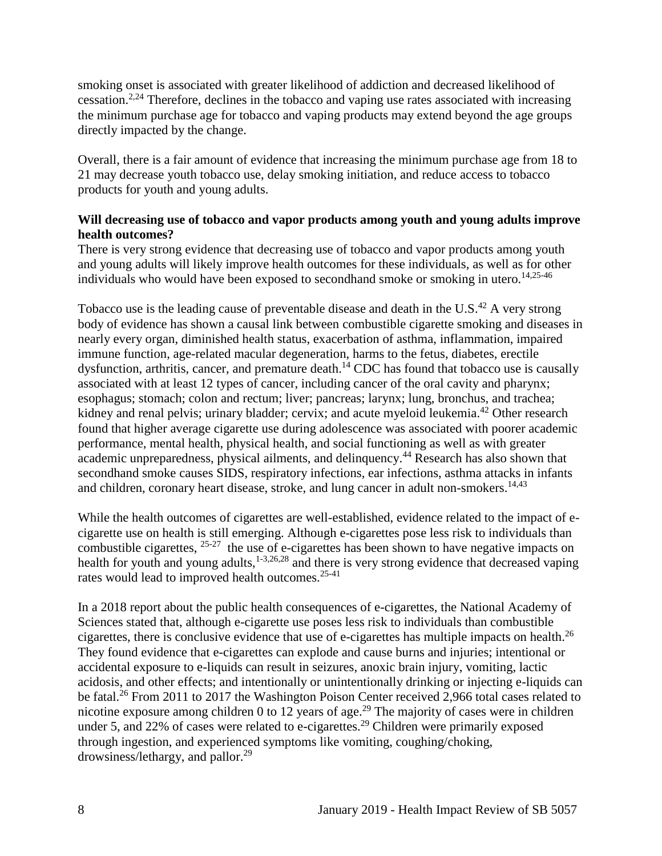smoking onset is associated with greater likelihood of addiction and decreased likelihood of cessation.<sup>[2](#page-17-1)[,24](#page-30-0)</sup> Therefore, declines in the tobacco and vaping use rates associated with increasing the minimum purchase age for tobacco and vaping products may extend beyond the age groups directly impacted by the change.

Overall, there is a fair amount of evidence that increasing the minimum purchase age from 18 to 21 may decrease youth tobacco use, delay smoking initiation, and reduce access to tobacco products for youth and young adults.

## **Will decreasing use of tobacco and vapor products among youth and young adults improve health outcomes?**

There is very strong evidence that decreasing use of tobacco and vapor products among youth and young adults will likely improve health outcomes for these individuals, as well as for other individuals who would have been exposed to secondhand smoke or smoking in utero. [14,](#page-24-0)[25-46](#page-31-0)

Tobacco use is the leading cause of preventable disease and death in the U.S. $^{42}$  A very strong body of evidence has shown a causal link between combustible cigarette smoking and diseases in nearly every organ, diminished health status, exacerbation of asthma, inflammation, impaired immune function, age-related macular degeneration, harms to the fetus, diabetes, erectile dysfunction, arthritis, cancer, and premature death.<sup>14</sup> CDC has found that tobacco use is causally associated with at least 12 types of cancer, including cancer of the oral cavity and pharynx; esophagus; stomach; colon and rectum; liver; pancreas; larynx; lung, bronchus, and trachea; kidney and renal pelvis; urinary bladder; cervix; and acute myeloid leukemia.<sup>42</sup> Other research found that higher average cigarette use during adolescence was associated with poorer academic performance, mental health, physical health, and social functioning as well as with greater academic unpreparedness, physical ailments, and delinquency.<sup>44</sup> Research has also shown that secondhand smoke causes SIDS, respiratory infections, ear infections, asthma attacks in infants and children, coronary heart disease, stroke, and lung cancer in adult non-smokers.<sup>[14,](#page-24-0)[43](#page-38-1)</sup>

While the health outcomes of cigarettes are well-established, evidence related to the impact of ecigarette use on health is still emerging. Although e-cigarettes pose less risk to individuals than combustible cigarettes,  $25-27$  the use of e-cigarettes has been shown to have negative impacts on health for youth and young adults,  $1-3,26,28$  $1-3,26,28$  $1-3,26,28$  and there is very strong evidence that decreased vaping rates would lead to improved health outcomes.25-41

In a 2018 report about the public health consequences of e-cigarettes, the National Academy of Sciences stated that, although e-cigarette use poses less risk to individuals than combustible cigarettes, there is conclusive evidence that use of e-cigarettes has multiple impacts on health.<sup>26</sup> They found evidence that e-cigarettes can explode and cause burns and injuries; intentional or accidental exposure to e-liquids can result in seizures, anoxic brain injury, vomiting, lactic acidosis, and other effects; and intentionally or unintentionally drinking or injecting e-liquids can be fatal.<sup>26</sup> From 2011 to 2017 the Washington Poison Center received 2,966 total cases related to nicotine exposure among children 0 to 12 years of age.<sup>29</sup> The majority of cases were in children under 5, and 22% of cases were related to e-cigarettes.<sup>29</sup> Children were primarily exposed through ingestion, and experienced symptoms like vomiting, coughing/choking, drowsiness/lethargy, and pallor.<sup>29</sup>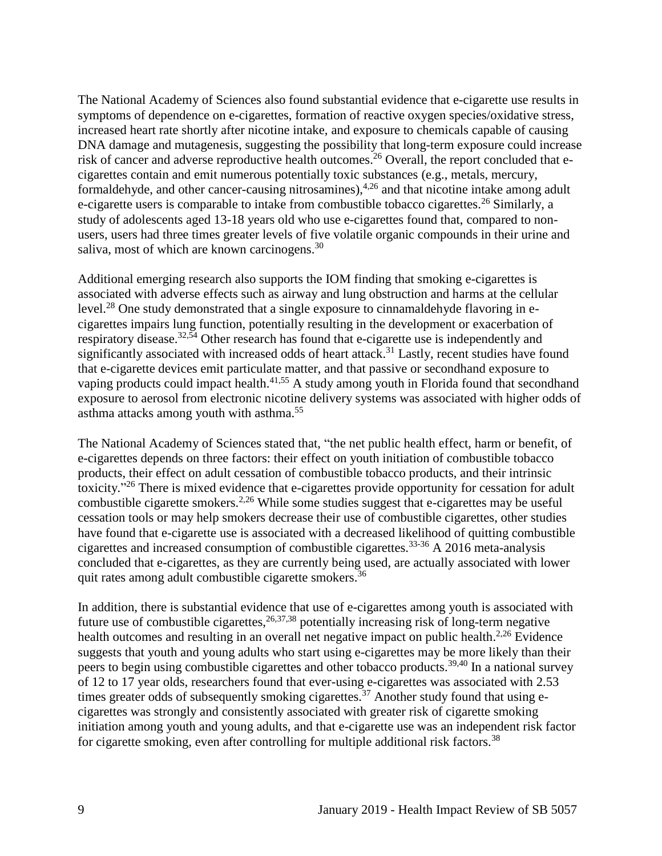The National Academy of Sciences also found substantial evidence that e-cigarette use results in symptoms of dependence on e-cigarettes, formation of reactive oxygen species/oxidative stress, increased heart rate shortly after nicotine intake, and exposure to chemicals capable of causing DNA damage and mutagenesis, suggesting the possibility that long-term exposure could increase risk of cancer and adverse reproductive health outcomes.<sup>26</sup> Overall, the report concluded that ecigarettes contain and emit numerous potentially toxic substances (e.g., metals, mercury, formaldehyde, and other cancer-causing nitrosamines),<sup>[4,](#page-18-1)[26](#page-31-1)</sup> and that nicotine intake among adult e-cigarette users is comparable to intake from combustible tobacco cigarettes.<sup>26</sup> Similarly, a study of adolescents aged 13-18 years old who use e-cigarettes found that, compared to nonusers, users had three times greater levels of five volatile organic compounds in their urine and saliva, most of which are known carcinogens.<sup>30</sup>

Additional emerging research also supports the IOM finding that smoking e-cigarettes is associated with adverse effects such as airway and lung obstruction and harms at the cellular level.<sup>28</sup> One study demonstrated that a single exposure to cinnamaldehyde flavoring in ecigarettes impairs lung function, potentially resulting in the development or exacerbation of respiratory disease.<sup>[32,](#page-34-0)[54](#page-42-1)</sup> Other research has found that e-cigarette use is independently and significantly associated with increased odds of heart attack.<sup>31</sup> Lastly, recent studies have found that e-cigarette devices emit particulate matter, and that passive or secondhand exposure to vaping products could impact health.<sup>[41,](#page-38-2)[55](#page-43-0)</sup> A study among youth in Florida found that secondhand exposure to aerosol from electronic nicotine delivery systems was associated with higher odds of asthma attacks among youth with asthma.<sup>55</sup>

The National Academy of Sciences stated that, "the net public health effect, harm or benefit, of e-cigarettes depends on three factors: their effect on youth initiation of combustible tobacco products, their effect on adult cessation of combustible tobacco products, and their intrinsic toxicity."<sup>26</sup> There is mixed evidence that e-cigarettes provide opportunity for cessation for adult combustible cigarette smokers.<sup>[2](#page-17-1)[,26](#page-31-1)</sup> While some studies suggest that e-cigarettes may be useful cessation tools or may help smokers decrease their use of combustible cigarettes, other studies have found that e-cigarette use is associated with a decreased likelihood of quitting combustible cigarettes and increased consumption of combustible cigarettes.33-36 A 2016 meta-analysis concluded that e-cigarettes, as they are currently being used, are actually associated with lower quit rates among adult combustible cigarette smokers.<sup>36</sup>

In addition, there is substantial evidence that use of e-cigarettes among youth is associated with future use of combustible cigarettes,  $26,37,38$  $26,37,38$  $26,37,38$  potentially increasing risk of long-term negative health outcomes and resulting in an overall net negative impact on public health. $2.26$  $2.26$  Evidence suggests that youth and young adults who start using e-cigarettes may be more likely than their peers to begin using combustible cigarettes and other tobacco products.<sup>[39,](#page-37-1)[40](#page-38-3)</sup> In a national survey of 12 to 17 year olds, researchers found that ever-using e-cigarettes was associated with 2.53 times greater odds of subsequently smoking cigarettes.<sup>37</sup> Another study found that using ecigarettes was strongly and consistently associated with greater risk of cigarette smoking initiation among youth and young adults, and that e-cigarette use was an independent risk factor for cigarette smoking, even after controlling for multiple additional risk factors.<sup>38</sup>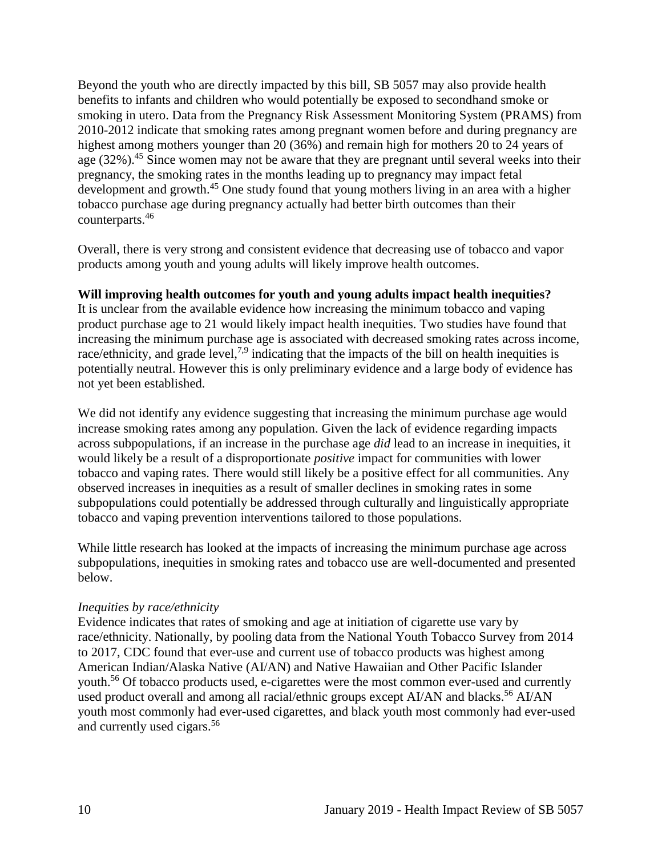Beyond the youth who are directly impacted by this bill, SB 5057 may also provide health benefits to infants and children who would potentially be exposed to secondhand smoke or smoking in utero. Data from the Pregnancy Risk Assessment Monitoring System (PRAMS) from 2010-2012 indicate that smoking rates among pregnant women before and during pregnancy are highest among mothers younger than 20 (36%) and remain high for mothers 20 to 24 years of age (32%).<sup>45</sup> Since women may not be aware that they are pregnant until several weeks into their pregnancy, the smoking rates in the months leading up to pregnancy may impact fetal development and growth.<sup>45</sup> One study found that young mothers living in an area with a higher tobacco purchase age during pregnancy actually had better birth outcomes than their counterparts. 46

Overall, there is very strong and consistent evidence that decreasing use of tobacco and vapor products among youth and young adults will likely improve health outcomes.

## **Will improving health outcomes for youth and young adults impact health inequities?**

It is unclear from the available evidence how increasing the minimum tobacco and vaping product purchase age to 21 would likely impact health inequities. Two studies have found that increasing the minimum purchase age is associated with decreased smoking rates across income, race/ethnicity, and grade level,<sup>[7,](#page-20-0)[9](#page-21-0)</sup> indicating that the impacts of the bill on health inequities is potentially neutral. However this is only preliminary evidence and a large body of evidence has not yet been established.

We did not identify any evidence suggesting that increasing the minimum purchase age would increase smoking rates among any population. Given the lack of evidence regarding impacts across subpopulations, if an increase in the purchase age *did* lead to an increase in inequities, it would likely be a result of a disproportionate *positive* impact for communities with lower tobacco and vaping rates. There would still likely be a positive effect for all communities. Any observed increases in inequities as a result of smaller declines in smoking rates in some subpopulations could potentially be addressed through culturally and linguistically appropriate tobacco and vaping prevention interventions tailored to those populations.

While little research has looked at the impacts of increasing the minimum purchase age across subpopulations, inequities in smoking rates and tobacco use are well-documented and presented below.

#### *Inequities by race/ethnicity*

Evidence indicates that rates of smoking and age at initiation of cigarette use vary by race/ethnicity. Nationally, by pooling data from the National Youth Tobacco Survey from 2014 to 2017, CDC found that ever-use and current use of tobacco products was highest among American Indian/Alaska Native (AI/AN) and Native Hawaiian and Other Pacific Islander youth.<sup>56</sup> Of tobacco products used, e-cigarettes were the most common ever-used and currently used product overall and among all racial/ethnic groups except AI/AN and blacks.<sup>56</sup> AI/AN youth most commonly had ever-used cigarettes, and black youth most commonly had ever-used and currently used cigars.<sup>56</sup>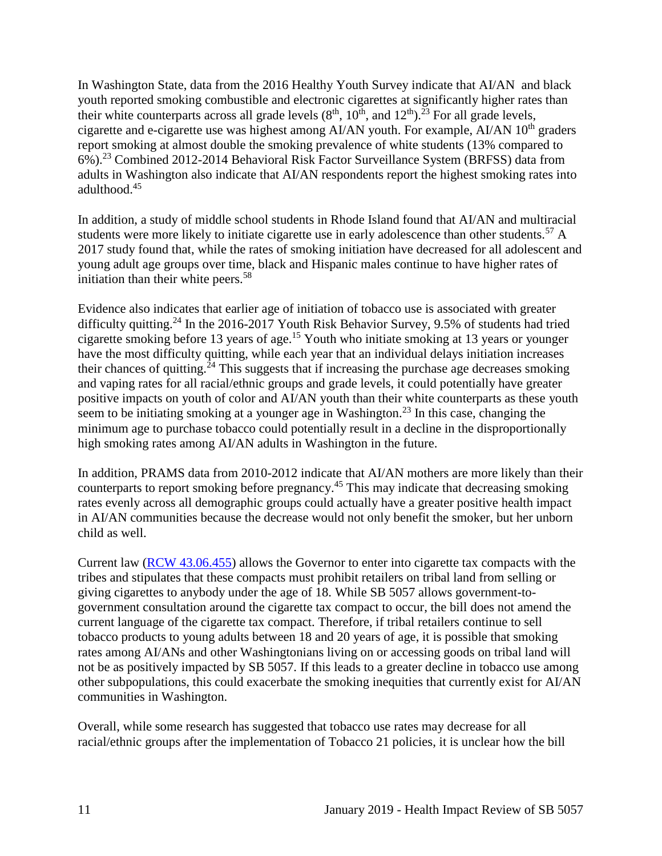In Washington State, data from the 2016 Healthy Youth Survey indicate that AI/AN and black youth reported smoking combustible and electronic cigarettes at significantly higher rates than their white counterparts across all grade levels  $(8<sup>th</sup>, 10<sup>th</sup>,$  and  $12<sup>th</sup>)$ .<sup>23</sup> For all grade levels, cigarette and e-cigarette use was highest among AI/AN youth. For example, AI/AN 10<sup>th</sup> graders report smoking at almost double the smoking prevalence of white students (13% compared to 6%).<sup>23</sup> Combined 2012-2014 Behavioral Risk Factor Surveillance System (BRFSS) data from adults in Washington also indicate that AI/AN respondents report the highest smoking rates into adulthood.<sup>45</sup>

In addition, a study of middle school students in Rhode Island found that AI/AN and multiracial students were more likely to initiate cigarette use in early adolescence than other students.<sup>57</sup> A 2017 study found that, while the rates of smoking initiation have decreased for all adolescent and young adult age groups over time, black and Hispanic males continue to have higher rates of initiation than their white peers.<sup>58</sup>

Evidence also indicates that earlier age of initiation of tobacco use is associated with greater difficulty quitting.<sup>24</sup> In the 2016-2017 Youth Risk Behavior Survey, 9.5% of students had tried cigarette smoking before 13 years of age.<sup>15</sup> Youth who initiate smoking at 13 years or younger have the most difficulty quitting, while each year that an individual delays initiation increases their chances of quitting.<sup>24</sup> This suggests that if increasing the purchase age decreases smoking and vaping rates for all racial/ethnic groups and grade levels, it could potentially have greater positive impacts on youth of color and AI/AN youth than their white counterparts as these youth seem to be initiating smoking at a younger age in Washington.<sup>23</sup> In this case, changing the minimum age to purchase tobacco could potentially result in a decline in the disproportionally high smoking rates among AI/AN adults in Washington in the future.

In addition, PRAMS data from 2010-2012 indicate that AI/AN mothers are more likely than their counterparts to report smoking before pregnancy.<sup>45</sup> This may indicate that decreasing smoking rates evenly across all demographic groups could actually have a greater positive health impact in AI/AN communities because the decrease would not only benefit the smoker, but her unborn child as well.

Current law [\(RCW 43.06.455\)](http://apps.leg.wa.gov/rcw/default.aspx?cite=43.06.455) allows the Governor to enter into cigarette tax compacts with the tribes and stipulates that these compacts must prohibit retailers on tribal land from selling or giving cigarettes to anybody under the age of 18. While SB 5057 allows government-togovernment consultation around the cigarette tax compact to occur, the bill does not amend the current language of the cigarette tax compact. Therefore, if tribal retailers continue to sell tobacco products to young adults between 18 and 20 years of age, it is possible that smoking rates among AI/ANs and other Washingtonians living on or accessing goods on tribal land will not be as positively impacted by SB 5057. If this leads to a greater decline in tobacco use among other subpopulations, this could exacerbate the smoking inequities that currently exist for AI/AN communities in Washington.

Overall, while some research has suggested that tobacco use rates may decrease for all racial/ethnic groups after the implementation of Tobacco 21 policies, it is unclear how the bill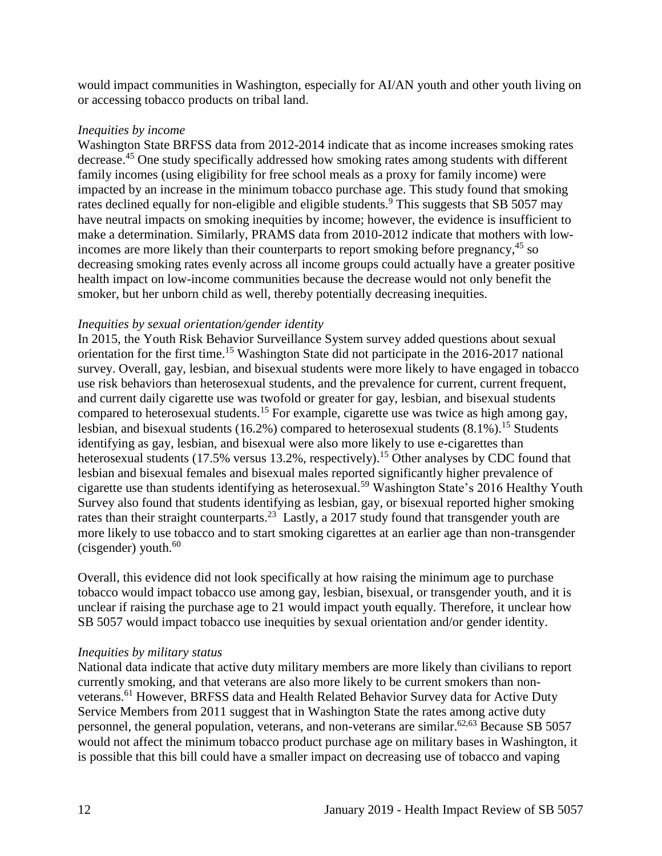would impact communities in Washington, especially for AI/AN youth and other youth living on or accessing tobacco products on tribal land.

#### *Inequities by income*

Washington State BRFSS data from 2012-2014 indicate that as income increases smoking rates decrease.<sup>45</sup> One study specifically addressed how smoking rates among students with different family incomes (using eligibility for free school meals as a proxy for family income) were impacted by an increase in the minimum tobacco purchase age. This study found that smoking rates declined equally for non-eligible and eligible students.<sup>9</sup> This suggests that SB 5057 may have neutral impacts on smoking inequities by income; however, the evidence is insufficient to make a determination. Similarly, PRAMS data from 2010-2012 indicate that mothers with lowincomes are more likely than their counterparts to report smoking before pregnancy,<sup>45</sup> so decreasing smoking rates evenly across all income groups could actually have a greater positive health impact on low-income communities because the decrease would not only benefit the smoker, but her unborn child as well, thereby potentially decreasing inequities.

#### *Inequities by sexual orientation/gender identity*

In 2015, the Youth Risk Behavior Surveillance System survey added questions about sexual orientation for the first time.<sup>15</sup> Washington State did not participate in the 2016-2017 national survey. Overall, gay, lesbian, and bisexual students were more likely to have engaged in tobacco use risk behaviors than heterosexual students, and the prevalence for current, current frequent, and current daily cigarette use was twofold or greater for gay, lesbian, and bisexual students compared to heterosexual students.<sup>15</sup> For example, cigarette use was twice as high among gay, lesbian, and bisexual students (16.2%) compared to heterosexual students  $(8.1\%)$ .<sup>15</sup> Students identifying as gay, lesbian, and bisexual were also more likely to use e-cigarettes than heterosexual students (17.5% versus 13.2%, respectively).<sup>15</sup> Other analyses by CDC found that lesbian and bisexual females and bisexual males reported significantly higher prevalence of cigarette use than students identifying as heterosexual.<sup>59</sup> Washington State's 2016 Healthy Youth Survey also found that students identifying as lesbian, gay, or bisexual reported higher smoking rates than their straight counterparts.<sup>23</sup> Lastly, a 2017 study found that transgender youth are more likely to use tobacco and to start smoking cigarettes at an earlier age than non-transgender (cisgender) youth. $60$ 

Overall, this evidence did not look specifically at how raising the minimum age to purchase tobacco would impact tobacco use among gay, lesbian, bisexual, or transgender youth, and it is unclear if raising the purchase age to 21 would impact youth equally. Therefore, it unclear how SB 5057 would impact tobacco use inequities by sexual orientation and/or gender identity.

#### *Inequities by military status*

National data indicate that active duty military members are more likely than civilians to report currently smoking, and that veterans are also more likely to be current smokers than nonveterans.<sup>61</sup> However, BRFSS data and Health Related Behavior Survey data for Active Duty Service Members from 2011 suggest that in Washington State the rates among active duty personnel, the general population, veterans, and non-veterans are similar.<sup>[62](#page-45-0)[,63](#page-46-0)</sup> Because SB 5057 would not affect the minimum tobacco product purchase age on military bases in Washington, it is possible that this bill could have a smaller impact on decreasing use of tobacco and vaping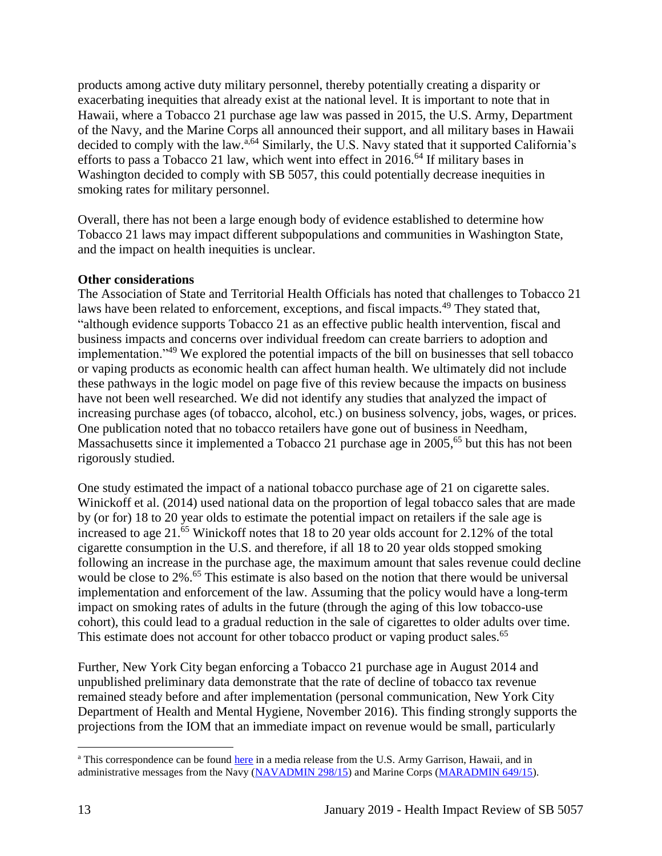products among active duty military personnel, thereby potentially creating a disparity or exacerbating inequities that already exist at the national level. It is important to note that in Hawaii, where a Tobacco 21 purchase age law was passed in 2015, the U.S. Army, Department of the Navy, and the Marine Corps all announced their support, and all military bases in Hawaii decided to comply with the law.<sup>a,64</sup> Similarly, the U.S. Navy stated that it supported California's efforts to pass a Tobacco 21 law, which went into effect in  $2016<sup>64</sup>$  If military bases in Washington decided to comply with SB 5057, this could potentially decrease inequities in smoking rates for military personnel.

Overall, there has not been a large enough body of evidence established to determine how Tobacco 21 laws may impact different subpopulations and communities in Washington State, and the impact on health inequities is unclear.

## **Other considerations**

The Association of State and Territorial Health Officials has noted that challenges to Tobacco 21 laws have been related to enforcement, exceptions, and fiscal impacts.<sup>49</sup> They stated that, "although evidence supports Tobacco 21 as an effective public health intervention, fiscal and business impacts and concerns over individual freedom can create barriers to adoption and implementation."<sup>49</sup> We explored the potential impacts of the bill on businesses that sell tobacco or vaping products as economic health can affect human health. We ultimately did not include these pathways in the logic model on page five of this review because the impacts on business have not been well researched. We did not identify any studies that analyzed the impact of increasing purchase ages (of tobacco, alcohol, etc.) on business solvency, jobs, wages, or prices. One publication noted that no tobacco retailers have gone out of business in Needham, Massachusetts since it implemented a Tobacco 21 purchase age in 2005,<sup>65</sup> but this has not been rigorously studied.

One study estimated the impact of a national tobacco purchase age of 21 on cigarette sales. Winickoff et al. (2014) used national data on the proportion of legal tobacco sales that are made by (or for) 18 to 20 year olds to estimate the potential impact on retailers if the sale age is increased to age 21.<sup>65</sup> Winickoff notes that 18 to 20 year olds account for 2.12% of the total cigarette consumption in the U.S. and therefore, if all 18 to 20 year olds stopped smoking following an increase in the purchase age, the maximum amount that sales revenue could decline would be close to 2%. <sup>65</sup> This estimate is also based on the notion that there would be universal implementation and enforcement of the law. Assuming that the policy would have a long-term impact on smoking rates of adults in the future (through the aging of this low tobacco-use cohort), this could lead to a gradual reduction in the sale of cigarettes to older adults over time. This estimate does not account for other tobacco product or vaping product sales.<sup>65</sup>

Further, New York City began enforcing a Tobacco 21 purchase age in August 2014 and unpublished preliminary data demonstrate that the rate of decline of tobacco tax revenue remained steady before and after implementation (personal communication, New York City Department of Health and Mental Hygiene, November 2016). This finding strongly supports the projections from the IOM that an immediate impact on revenue would be small, particularly

 $\overline{a}$ <sup>a</sup> This correspondence can be found [here](https://www.garrison.hawaii.army.mil/pao/mr2015/MR_2015-12-02_ArmyToComplyWithStateSmokingLaw_FINAL.pdfhttps:/www.garrison.hawaii.army.mil/pao/mr2015/MR_2015-12-02_ArmyToComplyWithStateSmokingLaw_FINAL.pdf) in a media release from the U.S. Army Garrison, Hawaii, and in administrative messages from the Navy [\(NAVADMIN 298/15\)](https://www.navyreserve.navy.mil/Documents/Hot%20Topics%20Holding%20Folder/NAVADMIN%20298_15%20NOTICE%20OF%20HAWAII%20RAISING%20SMOKING%20AGE%20TO%2021%20EFFECTIVE%201%20JAN%2016.pdf) and Marine Corps [\(MARADMIN 649/15\)](http://www.marines.mil/mobile_noteused/MARADMINS/View/Article/175678/notice-of-hawaii-raising-smoking-age-to-21-effective-1-january-2016/).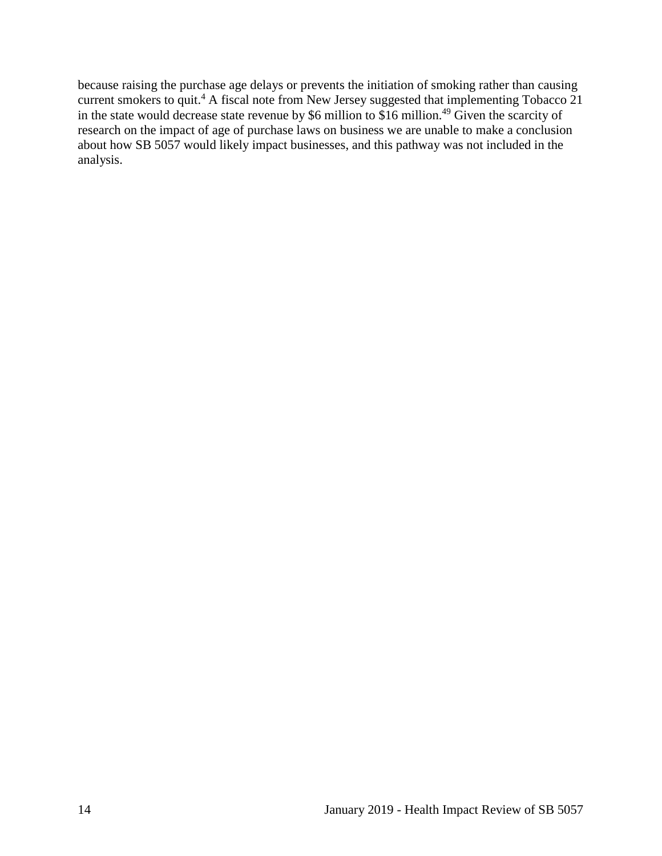because raising the purchase age delays or prevents the initiation of smoking rather than causing current smokers to quit.<sup>4</sup> A fiscal note from New Jersey suggested that implementing Tobacco 21 in the state would decrease state revenue by \$6 million to \$16 million.<sup>49</sup> Given the scarcity of research on the impact of age of purchase laws on business we are unable to make a conclusion about how SB 5057 would likely impact businesses, and this pathway was not included in the analysis.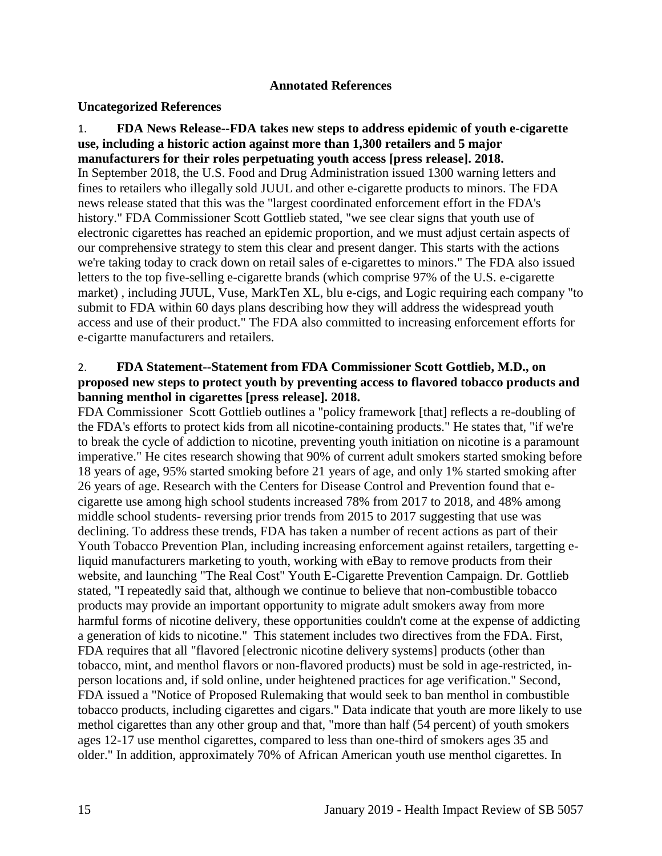#### **Annotated References**

#### <span id="page-17-0"></span>**Uncategorized References**

<span id="page-17-2"></span>1. **FDA News Release--FDA takes new steps to address epidemic of youth e-cigarette use, including a historic action against more than 1,300 retailers and 5 major manufacturers for their roles perpetuating youth access [press release]. 2018.** In September 2018, the U.S. Food and Drug Administration issued 1300 warning letters and fines to retailers who illegally sold JUUL and other e-cigarette products to minors. The FDA news release stated that this was the "largest coordinated enforcement effort in the FDA's history." FDA Commissioner Scott Gottlieb stated, "we see clear signs that youth use of electronic cigarettes has reached an epidemic proportion, and we must adjust certain aspects of our comprehensive strategy to stem this clear and present danger. This starts with the actions we're taking today to crack down on retail sales of e-cigarettes to minors." The FDA also issued letters to the top five-selling e-cigarette brands (which comprise 97% of the U.S. e-cigarette market) , including JUUL, Vuse, MarkTen XL, blu e-cigs, and Logic requiring each company "to submit to FDA within 60 days plans describing how they will address the widespread youth access and use of their product." The FDA also committed to increasing enforcement efforts for e-cigartte manufacturers and retailers.

#### <span id="page-17-1"></span>2. **FDA Statement--Statement from FDA Commissioner Scott Gottlieb, M.D., on proposed new steps to protect youth by preventing access to flavored tobacco products and banning menthol in cigarettes [press release]. 2018.**

FDA Commissioner Scott Gottlieb outlines a "policy framework [that] reflects a re-doubling of the FDA's efforts to protect kids from all nicotine-containing products." He states that, "if we're to break the cycle of addiction to nicotine, preventing youth initiation on nicotine is a paramount imperative." He cites research showing that 90% of current adult smokers started smoking before 18 years of age, 95% started smoking before 21 years of age, and only 1% started smoking after 26 years of age. Research with the Centers for Disease Control and Prevention found that ecigarette use among high school students increased 78% from 2017 to 2018, and 48% among middle school students- reversing prior trends from 2015 to 2017 suggesting that use was declining. To address these trends, FDA has taken a number of recent actions as part of their Youth Tobacco Prevention Plan, including increasing enforcement against retailers, targetting eliquid manufacturers marketing to youth, working with eBay to remove products from their website, and launching "The Real Cost" Youth E-Cigarette Prevention Campaign. Dr. Gottlieb stated, "I repeatedly said that, although we continue to believe that non-combustible tobacco products may provide an important opportunity to migrate adult smokers away from more harmful forms of nicotine delivery, these opportunities couldn't come at the expense of addicting a generation of kids to nicotine." This statement includes two directives from the FDA. First, FDA requires that all "flavored [electronic nicotine delivery systems] products (other than tobacco, mint, and menthol flavors or non-flavored products) must be sold in age-restricted, inperson locations and, if sold online, under heightened practices for age verification." Second, FDA issued a "Notice of Proposed Rulemaking that would seek to ban menthol in combustible tobacco products, including cigarettes and cigars." Data indicate that youth are more likely to use methol cigarettes than any other group and that, "more than half (54 percent) of youth smokers ages 12-17 use menthol cigarettes, compared to less than one-third of smokers ages 35 and older." In addition, approximately 70% of African American youth use menthol cigarettes. In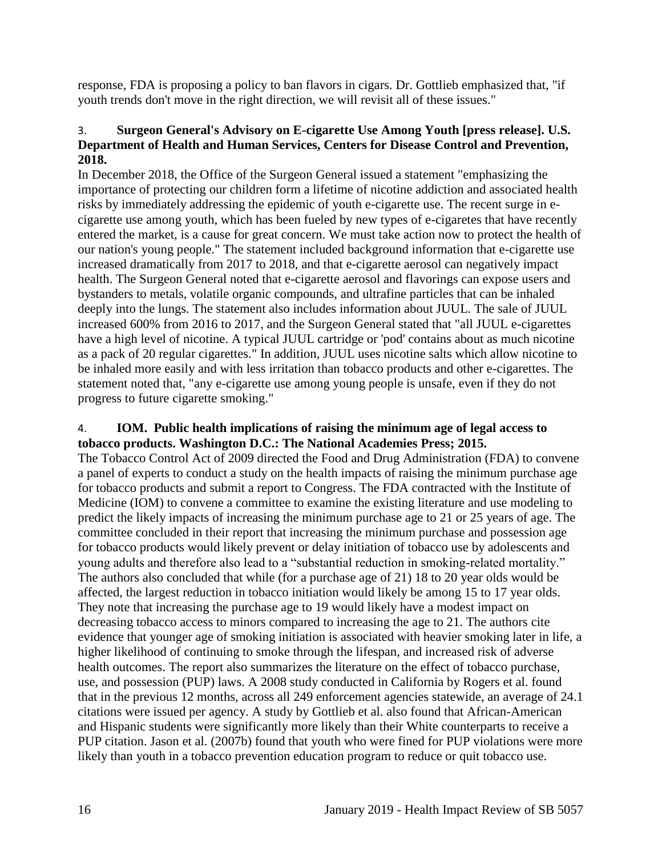response, FDA is proposing a policy to ban flavors in cigars. Dr. Gottlieb emphasized that, "if youth trends don't move in the right direction, we will revisit all of these issues."

## <span id="page-18-0"></span>3. **Surgeon General's Advisory on E-cigarette Use Among Youth [press release]. U.S. Department of Health and Human Services, Centers for Disease Control and Prevention, 2018.**

In December 2018, the Office of the Surgeon General issued a statement "emphasizing the importance of protecting our children form a lifetime of nicotine addiction and associated health risks by immediately addressing the epidemic of youth e-cigarette use. The recent surge in ecigarette use among youth, which has been fueled by new types of e-cigaretes that have recently entered the market, is a cause for great concern. We must take action now to protect the health of our nation's young people." The statement included background information that e-cigarette use increased dramatically from 2017 to 2018, and that e-cigarette aerosol can negatively impact health. The Surgeon General noted that e-cigarette aerosol and flavorings can expose users and bystanders to metals, volatile organic compounds, and ultrafine particles that can be inhaled deeply into the lungs. The statement also includes information about JUUL. The sale of JUUL increased 600% from 2016 to 2017, and the Surgeon General stated that "all JUUL e-cigarettes have a high level of nicotine. A typical JUUL cartridge or 'pod' contains about as much nicotine as a pack of 20 regular cigarettes." In addition, JUUL uses nicotine salts which allow nicotine to be inhaled more easily and with less irritation than tobacco products and other e-cigarettes. The statement noted that, "any e-cigarette use among young people is unsafe, even if they do not progress to future cigarette smoking."

#### <span id="page-18-1"></span>4. **IOM. Public health implications of raising the minimum age of legal access to tobacco products. Washington D.C.: The National Academies Press; 2015.**

The Tobacco Control Act of 2009 directed the Food and Drug Administration (FDA) to convene a panel of experts to conduct a study on the health impacts of raising the minimum purchase age for tobacco products and submit a report to Congress. The FDA contracted with the Institute of Medicine (IOM) to convene a committee to examine the existing literature and use modeling to predict the likely impacts of increasing the minimum purchase age to 21 or 25 years of age. The committee concluded in their report that increasing the minimum purchase and possession age for tobacco products would likely prevent or delay initiation of tobacco use by adolescents and young adults and therefore also lead to a "substantial reduction in smoking-related mortality." The authors also concluded that while (for a purchase age of 21) 18 to 20 year olds would be affected, the largest reduction in tobacco initiation would likely be among 15 to 17 year olds. They note that increasing the purchase age to 19 would likely have a modest impact on decreasing tobacco access to minors compared to increasing the age to 21. The authors cite evidence that younger age of smoking initiation is associated with heavier smoking later in life, a higher likelihood of continuing to smoke through the lifespan, and increased risk of adverse health outcomes. The report also summarizes the literature on the effect of tobacco purchase, use, and possession (PUP) laws. A 2008 study conducted in California by Rogers et al. found that in the previous 12 months, across all 249 enforcement agencies statewide, an average of 24.1 citations were issued per agency. A study by Gottlieb et al. also found that African-American and Hispanic students were significantly more likely than their White counterparts to receive a PUP citation. Jason et al. (2007b) found that youth who were fined for PUP violations were more likely than youth in a tobacco prevention education program to reduce or quit tobacco use.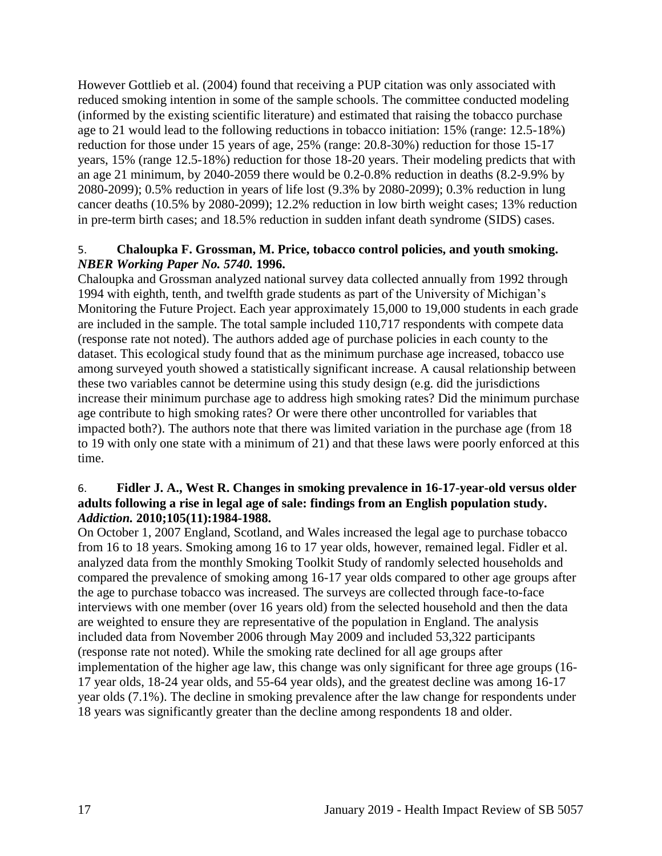However Gottlieb et al. (2004) found that receiving a PUP citation was only associated with reduced smoking intention in some of the sample schools. The committee conducted modeling (informed by the existing scientific literature) and estimated that raising the tobacco purchase age to 21 would lead to the following reductions in tobacco initiation: 15% (range: 12.5-18%) reduction for those under 15 years of age, 25% (range: 20.8-30%) reduction for those 15-17 years, 15% (range 12.5-18%) reduction for those 18-20 years. Their modeling predicts that with an age 21 minimum, by 2040-2059 there would be 0.2-0.8% reduction in deaths (8.2-9.9% by 2080-2099); 0.5% reduction in years of life lost (9.3% by 2080-2099); 0.3% reduction in lung cancer deaths (10.5% by 2080-2099); 12.2% reduction in low birth weight cases; 13% reduction in pre-term birth cases; and 18.5% reduction in sudden infant death syndrome (SIDS) cases.

#### 5. **Chaloupka F. Grossman, M. Price, tobacco control policies, and youth smoking.**  *NBER Working Paper No. 5740.* **1996.**

Chaloupka and Grossman analyzed national survey data collected annually from 1992 through 1994 with eighth, tenth, and twelfth grade students as part of the University of Michigan's Monitoring the Future Project. Each year approximately 15,000 to 19,000 students in each grade are included in the sample. The total sample included 110,717 respondents with compete data (response rate not noted). The authors added age of purchase policies in each county to the dataset. This ecological study found that as the minimum purchase age increased, tobacco use among surveyed youth showed a statistically significant increase. A causal relationship between these two variables cannot be determine using this study design (e.g. did the jurisdictions increase their minimum purchase age to address high smoking rates? Did the minimum purchase age contribute to high smoking rates? Or were there other uncontrolled for variables that impacted both?). The authors note that there was limited variation in the purchase age (from 18 to 19 with only one state with a minimum of 21) and that these laws were poorly enforced at this time.

#### 6. **Fidler J. A., West R. Changes in smoking prevalence in 16-17-year-old versus older adults following a rise in legal age of sale: findings from an English population study.**  *Addiction.* **2010;105(11):1984-1988.**

On October 1, 2007 England, Scotland, and Wales increased the legal age to purchase tobacco from 16 to 18 years. Smoking among 16 to 17 year olds, however, remained legal. Fidler et al. analyzed data from the monthly Smoking Toolkit Study of randomly selected households and compared the prevalence of smoking among 16-17 year olds compared to other age groups after the age to purchase tobacco was increased. The surveys are collected through face-to-face interviews with one member (over 16 years old) from the selected household and then the data are weighted to ensure they are representative of the population in England. The analysis included data from November 2006 through May 2009 and included 53,322 participants (response rate not noted). While the smoking rate declined for all age groups after implementation of the higher age law, this change was only significant for three age groups (16- 17 year olds, 18-24 year olds, and 55-64 year olds), and the greatest decline was among 16-17 year olds (7.1%). The decline in smoking prevalence after the law change for respondents under 18 years was significantly greater than the decline among respondents 18 and older.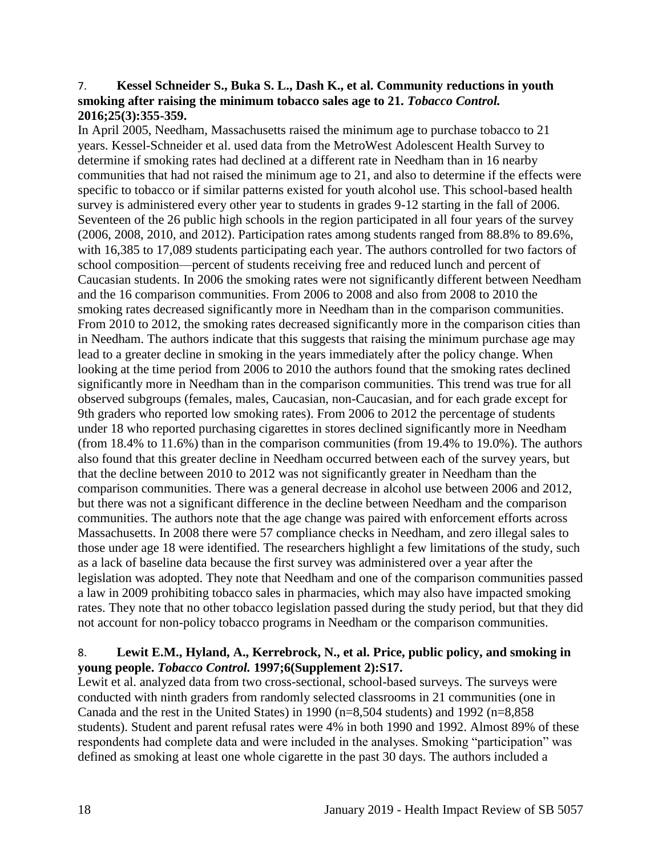#### <span id="page-20-0"></span>7. **Kessel Schneider S., Buka S. L., Dash K., et al. Community reductions in youth smoking after raising the minimum tobacco sales age to 21.** *Tobacco Control.*  **2016;25(3):355-359.**

In April 2005, Needham, Massachusetts raised the minimum age to purchase tobacco to 21 years. Kessel-Schneider et al. used data from the MetroWest Adolescent Health Survey to determine if smoking rates had declined at a different rate in Needham than in 16 nearby communities that had not raised the minimum age to 21, and also to determine if the effects were specific to tobacco or if similar patterns existed for youth alcohol use. This school-based health survey is administered every other year to students in grades 9-12 starting in the fall of 2006. Seventeen of the 26 public high schools in the region participated in all four years of the survey (2006, 2008, 2010, and 2012). Participation rates among students ranged from 88.8% to 89.6%, with 16,385 to 17,089 students participating each year. The authors controlled for two factors of school composition—percent of students receiving free and reduced lunch and percent of Caucasian students. In 2006 the smoking rates were not significantly different between Needham and the 16 comparison communities. From 2006 to 2008 and also from 2008 to 2010 the smoking rates decreased significantly more in Needham than in the comparison communities. From 2010 to 2012, the smoking rates decreased significantly more in the comparison cities than in Needham. The authors indicate that this suggests that raising the minimum purchase age may lead to a greater decline in smoking in the years immediately after the policy change. When looking at the time period from 2006 to 2010 the authors found that the smoking rates declined significantly more in Needham than in the comparison communities. This trend was true for all observed subgroups (females, males, Caucasian, non-Caucasian, and for each grade except for 9th graders who reported low smoking rates). From 2006 to 2012 the percentage of students under 18 who reported purchasing cigarettes in stores declined significantly more in Needham (from 18.4% to 11.6%) than in the comparison communities (from 19.4% to 19.0%). The authors also found that this greater decline in Needham occurred between each of the survey years, but that the decline between 2010 to 2012 was not significantly greater in Needham than the comparison communities. There was a general decrease in alcohol use between 2006 and 2012, but there was not a significant difference in the decline between Needham and the comparison communities. The authors note that the age change was paired with enforcement efforts across Massachusetts. In 2008 there were 57 compliance checks in Needham, and zero illegal sales to those under age 18 were identified. The researchers highlight a few limitations of the study, such as a lack of baseline data because the first survey was administered over a year after the legislation was adopted. They note that Needham and one of the comparison communities passed a law in 2009 prohibiting tobacco sales in pharmacies, which may also have impacted smoking rates. They note that no other tobacco legislation passed during the study period, but that they did not account for non-policy tobacco programs in Needham or the comparison communities.

## 8. **Lewit E.M., Hyland, A., Kerrebrock, N., et al. Price, public policy, and smoking in young people.** *Tobacco Control.* **1997;6(Supplement 2):S17.**

Lewit et al. analyzed data from two cross-sectional, school-based surveys. The surveys were conducted with ninth graders from randomly selected classrooms in 21 communities (one in Canada and the rest in the United States) in 1990 (n=8,504 students) and 1992 (n=8,858 students). Student and parent refusal rates were 4% in both 1990 and 1992. Almost 89% of these respondents had complete data and were included in the analyses. Smoking "participation" was defined as smoking at least one whole cigarette in the past 30 days. The authors included a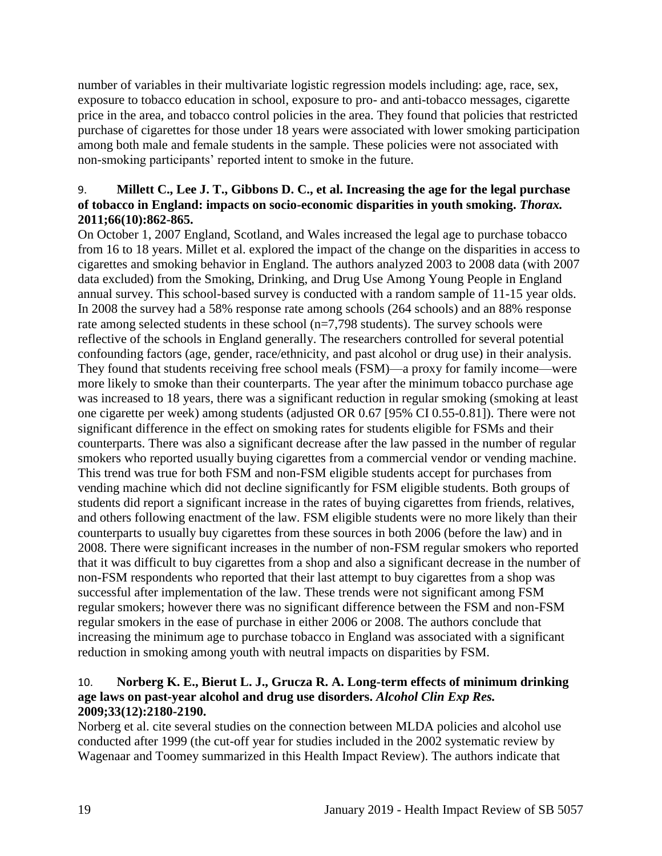number of variables in their multivariate logistic regression models including: age, race, sex, exposure to tobacco education in school, exposure to pro- and anti-tobacco messages, cigarette price in the area, and tobacco control policies in the area. They found that policies that restricted purchase of cigarettes for those under 18 years were associated with lower smoking participation among both male and female students in the sample. These policies were not associated with non-smoking participants' reported intent to smoke in the future.

#### <span id="page-21-0"></span>9. **Millett C., Lee J. T., Gibbons D. C., et al. Increasing the age for the legal purchase of tobacco in England: impacts on socio-economic disparities in youth smoking.** *Thorax.*  **2011;66(10):862-865.**

On October 1, 2007 England, Scotland, and Wales increased the legal age to purchase tobacco from 16 to 18 years. Millet et al. explored the impact of the change on the disparities in access to cigarettes and smoking behavior in England. The authors analyzed 2003 to 2008 data (with 2007 data excluded) from the Smoking, Drinking, and Drug Use Among Young People in England annual survey. This school-based survey is conducted with a random sample of 11-15 year olds. In 2008 the survey had a 58% response rate among schools (264 schools) and an 88% response rate among selected students in these school (n=7,798 students). The survey schools were reflective of the schools in England generally. The researchers controlled for several potential confounding factors (age, gender, race/ethnicity, and past alcohol or drug use) in their analysis. They found that students receiving free school meals (FSM)—a proxy for family income—were more likely to smoke than their counterparts. The year after the minimum tobacco purchase age was increased to 18 years, there was a significant reduction in regular smoking (smoking at least one cigarette per week) among students (adjusted OR 0.67 [95% CI 0.55-0.81]). There were not significant difference in the effect on smoking rates for students eligible for FSMs and their counterparts. There was also a significant decrease after the law passed in the number of regular smokers who reported usually buying cigarettes from a commercial vendor or vending machine. This trend was true for both FSM and non-FSM eligible students accept for purchases from vending machine which did not decline significantly for FSM eligible students. Both groups of students did report a significant increase in the rates of buying cigarettes from friends, relatives, and others following enactment of the law. FSM eligible students were no more likely than their counterparts to usually buy cigarettes from these sources in both 2006 (before the law) and in 2008. There were significant increases in the number of non-FSM regular smokers who reported that it was difficult to buy cigarettes from a shop and also a significant decrease in the number of non-FSM respondents who reported that their last attempt to buy cigarettes from a shop was successful after implementation of the law. These trends were not significant among FSM regular smokers; however there was no significant difference between the FSM and non-FSM regular smokers in the ease of purchase in either 2006 or 2008. The authors conclude that increasing the minimum age to purchase tobacco in England was associated with a significant reduction in smoking among youth with neutral impacts on disparities by FSM.

## <span id="page-21-1"></span>10. **Norberg K. E., Bierut L. J., Grucza R. A. Long-term effects of minimum drinking age laws on past-year alcohol and drug use disorders.** *Alcohol Clin Exp Res.*  **2009;33(12):2180-2190.**

Norberg et al. cite several studies on the connection between MLDA policies and alcohol use conducted after 1999 (the cut-off year for studies included in the 2002 systematic review by Wagenaar and Toomey summarized in this Health Impact Review). The authors indicate that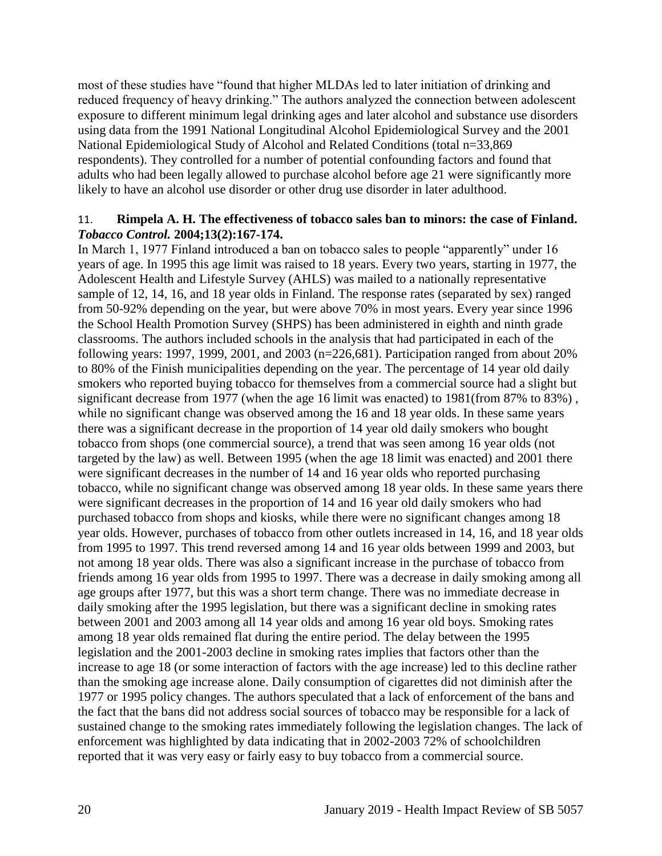most of these studies have "found that higher MLDAs led to later initiation of drinking and reduced frequency of heavy drinking." The authors analyzed the connection between adolescent exposure to different minimum legal drinking ages and later alcohol and substance use disorders using data from the 1991 National Longitudinal Alcohol Epidemiological Survey and the 2001 National Epidemiological Study of Alcohol and Related Conditions (total n=33,869 respondents). They controlled for a number of potential confounding factors and found that adults who had been legally allowed to purchase alcohol before age 21 were significantly more likely to have an alcohol use disorder or other drug use disorder in later adulthood.

#### 11. **Rimpela A. H. The effectiveness of tobacco sales ban to minors: the case of Finland.**  *Tobacco Control.* **2004;13(2):167-174.**

In March 1, 1977 Finland introduced a ban on tobacco sales to people "apparently" under 16 years of age. In 1995 this age limit was raised to 18 years. Every two years, starting in 1977, the Adolescent Health and Lifestyle Survey (AHLS) was mailed to a nationally representative sample of 12, 14, 16, and 18 year olds in Finland. The response rates (separated by sex) ranged from 50-92% depending on the year, but were above 70% in most years. Every year since 1996 the School Health Promotion Survey (SHPS) has been administered in eighth and ninth grade classrooms. The authors included schools in the analysis that had participated in each of the following years: 1997, 1999, 2001, and 2003 (n=226,681). Participation ranged from about 20% to 80% of the Finish municipalities depending on the year. The percentage of 14 year old daily smokers who reported buying tobacco for themselves from a commercial source had a slight but significant decrease from 1977 (when the age 16 limit was enacted) to 1981(from 87% to 83%), while no significant change was observed among the 16 and 18 year olds. In these same years there was a significant decrease in the proportion of 14 year old daily smokers who bought tobacco from shops (one commercial source), a trend that was seen among 16 year olds (not targeted by the law) as well. Between 1995 (when the age 18 limit was enacted) and 2001 there were significant decreases in the number of 14 and 16 year olds who reported purchasing tobacco, while no significant change was observed among 18 year olds. In these same years there were significant decreases in the proportion of 14 and 16 year old daily smokers who had purchased tobacco from shops and kiosks, while there were no significant changes among 18 year olds. However, purchases of tobacco from other outlets increased in 14, 16, and 18 year olds from 1995 to 1997. This trend reversed among 14 and 16 year olds between 1999 and 2003, but not among 18 year olds. There was also a significant increase in the purchase of tobacco from friends among 16 year olds from 1995 to 1997. There was a decrease in daily smoking among all age groups after 1977, but this was a short term change. There was no immediate decrease in daily smoking after the 1995 legislation, but there was a significant decline in smoking rates between 2001 and 2003 among all 14 year olds and among 16 year old boys. Smoking rates among 18 year olds remained flat during the entire period. The delay between the 1995 legislation and the 2001-2003 decline in smoking rates implies that factors other than the increase to age 18 (or some interaction of factors with the age increase) led to this decline rather than the smoking age increase alone. Daily consumption of cigarettes did not diminish after the 1977 or 1995 policy changes. The authors speculated that a lack of enforcement of the bans and the fact that the bans did not address social sources of tobacco may be responsible for a lack of sustained change to the smoking rates immediately following the legislation changes. The lack of enforcement was highlighted by data indicating that in 2002-2003 72% of schoolchildren reported that it was very easy or fairly easy to buy tobacco from a commercial source.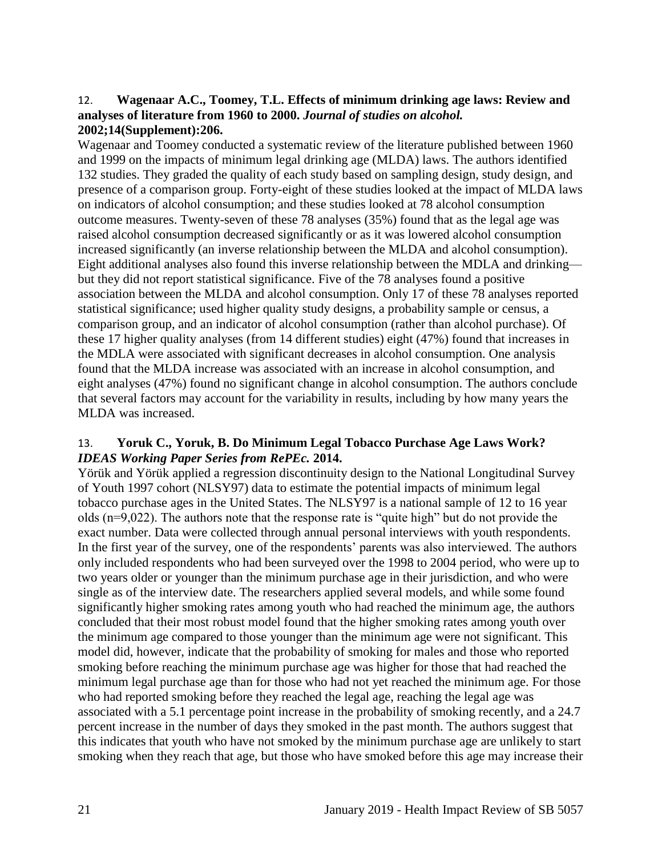#### <span id="page-23-1"></span>12. **Wagenaar A.C., Toomey, T.L. Effects of minimum drinking age laws: Review and analyses of literature from 1960 to 2000.** *Journal of studies on alcohol.*  **2002;14(Supplement):206.**

Wagenaar and Toomey conducted a systematic review of the literature published between 1960 and 1999 on the impacts of minimum legal drinking age (MLDA) laws. The authors identified 132 studies. They graded the quality of each study based on sampling design, study design, and presence of a comparison group. Forty-eight of these studies looked at the impact of MLDA laws on indicators of alcohol consumption; and these studies looked at 78 alcohol consumption outcome measures. Twenty-seven of these 78 analyses (35%) found that as the legal age was raised alcohol consumption decreased significantly or as it was lowered alcohol consumption increased significantly (an inverse relationship between the MLDA and alcohol consumption). Eight additional analyses also found this inverse relationship between the MDLA and drinking but they did not report statistical significance. Five of the 78 analyses found a positive association between the MLDA and alcohol consumption. Only 17 of these 78 analyses reported statistical significance; used higher quality study designs, a probability sample or census, a comparison group, and an indicator of alcohol consumption (rather than alcohol purchase). Of these 17 higher quality analyses (from 14 different studies) eight (47%) found that increases in the MDLA were associated with significant decreases in alcohol consumption. One analysis found that the MLDA increase was associated with an increase in alcohol consumption, and eight analyses (47%) found no significant change in alcohol consumption. The authors conclude that several factors may account for the variability in results, including by how many years the MLDA was increased.

## <span id="page-23-0"></span>13. **Yoruk C., Yoruk, B. Do Minimum Legal Tobacco Purchase Age Laws Work?**  *IDEAS Working Paper Series from RePEc.* **2014.**

Yörük and Yörük applied a regression discontinuity design to the National Longitudinal Survey of Youth 1997 cohort (NLSY97) data to estimate the potential impacts of minimum legal tobacco purchase ages in the United States. The NLSY97 is a national sample of 12 to 16 year olds (n=9,022). The authors note that the response rate is "quite high" but do not provide the exact number. Data were collected through annual personal interviews with youth respondents. In the first year of the survey, one of the respondents' parents was also interviewed. The authors only included respondents who had been surveyed over the 1998 to 2004 period, who were up to two years older or younger than the minimum purchase age in their jurisdiction, and who were single as of the interview date. The researchers applied several models, and while some found significantly higher smoking rates among youth who had reached the minimum age, the authors concluded that their most robust model found that the higher smoking rates among youth over the minimum age compared to those younger than the minimum age were not significant. This model did, however, indicate that the probability of smoking for males and those who reported smoking before reaching the minimum purchase age was higher for those that had reached the minimum legal purchase age than for those who had not yet reached the minimum age. For those who had reported smoking before they reached the legal age, reaching the legal age was associated with a 5.1 percentage point increase in the probability of smoking recently, and a 24.7 percent increase in the number of days they smoked in the past month. The authors suggest that this indicates that youth who have not smoked by the minimum purchase age are unlikely to start smoking when they reach that age, but those who have smoked before this age may increase their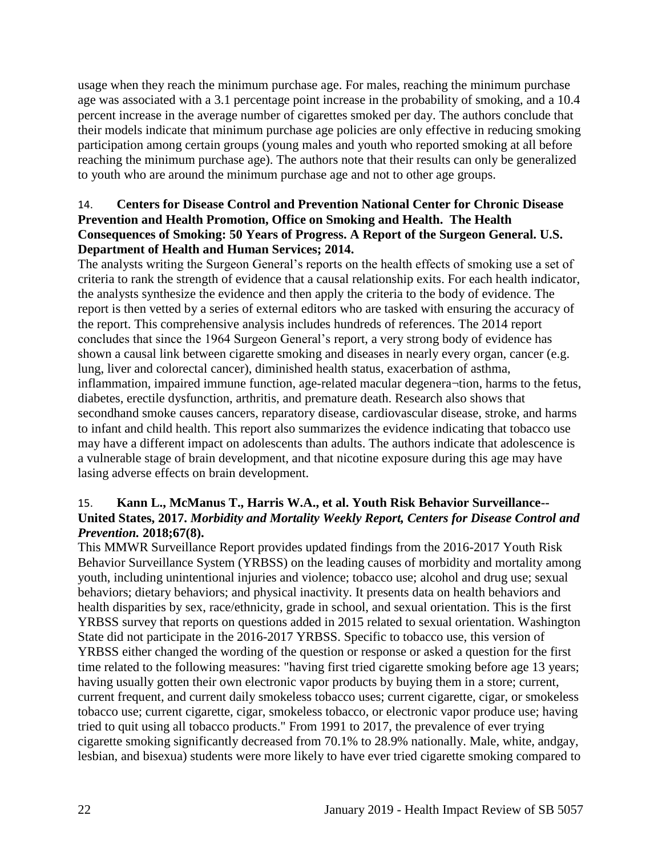usage when they reach the minimum purchase age. For males, reaching the minimum purchase age was associated with a 3.1 percentage point increase in the probability of smoking, and a 10.4 percent increase in the average number of cigarettes smoked per day. The authors conclude that their models indicate that minimum purchase age policies are only effective in reducing smoking participation among certain groups (young males and youth who reported smoking at all before reaching the minimum purchase age). The authors note that their results can only be generalized to youth who are around the minimum purchase age and not to other age groups.

## <span id="page-24-0"></span>14. **Centers for Disease Control and Prevention National Center for Chronic Disease Prevention and Health Promotion, Office on Smoking and Health. The Health Consequences of Smoking: 50 Years of Progress. A Report of the Surgeon General. U.S. Department of Health and Human Services; 2014.**

The analysts writing the Surgeon General's reports on the health effects of smoking use a set of criteria to rank the strength of evidence that a causal relationship exits. For each health indicator, the analysts synthesize the evidence and then apply the criteria to the body of evidence. The report is then vetted by a series of external editors who are tasked with ensuring the accuracy of the report. This comprehensive analysis includes hundreds of references. The 2014 report concludes that since the 1964 Surgeon General's report, a very strong body of evidence has shown a causal link between cigarette smoking and diseases in nearly every organ, cancer (e.g. lung, liver and colorectal cancer), diminished health status, exacerbation of asthma, inflammation, impaired immune function, age-related macular degenera¬tion, harms to the fetus, diabetes, erectile dysfunction, arthritis, and premature death. Research also shows that secondhand smoke causes cancers, reparatory disease, cardiovascular disease, stroke, and harms to infant and child health. This report also summarizes the evidence indicating that tobacco use may have a different impact on adolescents than adults. The authors indicate that adolescence is a vulnerable stage of brain development, and that nicotine exposure during this age may have lasing adverse effects on brain development.

## 15. **Kann L., McManus T., Harris W.A., et al. Youth Risk Behavior Surveillance-- United States, 2017.** *Morbidity and Mortality Weekly Report, Centers for Disease Control and Prevention.* **2018;67(8).**

This MMWR Surveillance Report provides updated findings from the 2016-2017 Youth Risk Behavior Surveillance System (YRBSS) on the leading causes of morbidity and mortality among youth, including unintentional injuries and violence; tobacco use; alcohol and drug use; sexual behaviors; dietary behaviors; and physical inactivity. It presents data on health behaviors and health disparities by sex, race/ethnicity, grade in school, and sexual orientation. This is the first YRBSS survey that reports on questions added in 2015 related to sexual orientation. Washington State did not participate in the 2016-2017 YRBSS. Specific to tobacco use, this version of YRBSS either changed the wording of the question or response or asked a question for the first time related to the following measures: "having first tried cigarette smoking before age 13 years; having usually gotten their own electronic vapor products by buying them in a store; current, current frequent, and current daily smokeless tobacco uses; current cigarette, cigar, or smokeless tobacco use; current cigarette, cigar, smokeless tobacco, or electronic vapor produce use; having tried to quit using all tobacco products." From 1991 to 2017, the prevalence of ever trying cigarette smoking significantly decreased from 70.1% to 28.9% nationally. Male, white, andgay, lesbian, and bisexua) students were more likely to have ever tried cigarette smoking compared to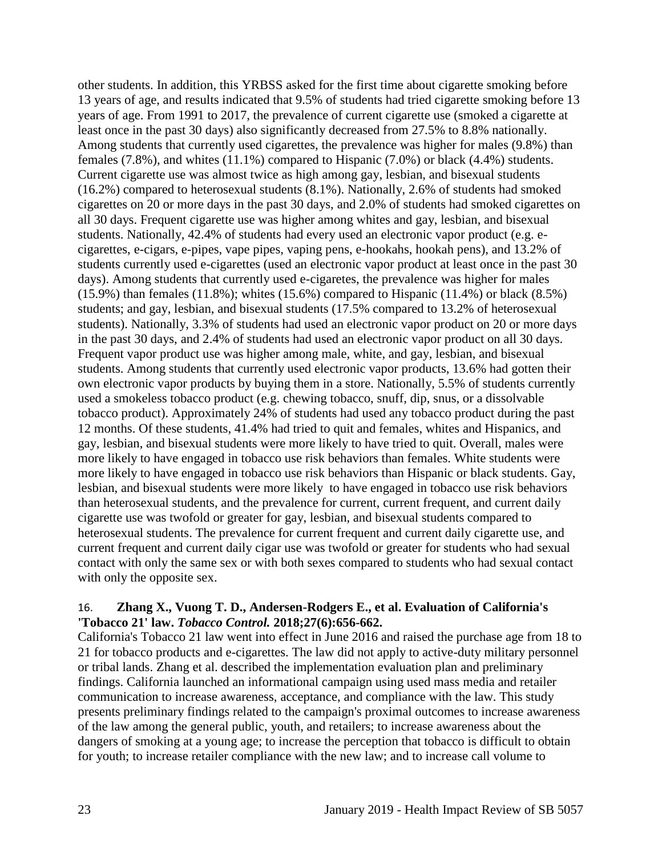other students. In addition, this YRBSS asked for the first time about cigarette smoking before 13 years of age, and results indicated that 9.5% of students had tried cigarette smoking before 13 years of age. From 1991 to 2017, the prevalence of current cigarette use (smoked a cigarette at least once in the past 30 days) also significantly decreased from 27.5% to 8.8% nationally. Among students that currently used cigarettes, the prevalence was higher for males (9.8%) than females (7.8%), and whites (11.1%) compared to Hispanic (7.0%) or black (4.4%) students. Current cigarette use was almost twice as high among gay, lesbian, and bisexual students (16.2%) compared to heterosexual students (8.1%). Nationally, 2.6% of students had smoked cigarettes on 20 or more days in the past 30 days, and 2.0% of students had smoked cigarettes on all 30 days. Frequent cigarette use was higher among whites and gay, lesbian, and bisexual students. Nationally, 42.4% of students had every used an electronic vapor product (e.g. ecigarettes, e-cigars, e-pipes, vape pipes, vaping pens, e-hookahs, hookah pens), and 13.2% of students currently used e-cigarettes (used an electronic vapor product at least once in the past 30 days). Among students that currently used e-cigaretes, the prevalence was higher for males  $(15.9\%)$  than females  $(11.8\%)$ ; whites  $(15.6\%)$  compared to Hispanic  $(11.4\%)$  or black  $(8.5\%)$ students; and gay, lesbian, and bisexual students (17.5% compared to 13.2% of heterosexual students). Nationally, 3.3% of students had used an electronic vapor product on 20 or more days in the past 30 days, and 2.4% of students had used an electronic vapor product on all 30 days. Frequent vapor product use was higher among male, white, and gay, lesbian, and bisexual students. Among students that currently used electronic vapor products, 13.6% had gotten their own electronic vapor products by buying them in a store. Nationally, 5.5% of students currently used a smokeless tobacco product (e.g. chewing tobacco, snuff, dip, snus, or a dissolvable tobacco product). Approximately 24% of students had used any tobacco product during the past 12 months. Of these students, 41.4% had tried to quit and females, whites and Hispanics, and gay, lesbian, and bisexual students were more likely to have tried to quit. Overall, males were more likely to have engaged in tobacco use risk behaviors than females. White students were more likely to have engaged in tobacco use risk behaviors than Hispanic or black students. Gay, lesbian, and bisexual students were more likely to have engaged in tobacco use risk behaviors than heterosexual students, and the prevalence for current, current frequent, and current daily cigarette use was twofold or greater for gay, lesbian, and bisexual students compared to heterosexual students. The prevalence for current frequent and current daily cigarette use, and current frequent and current daily cigar use was twofold or greater for students who had sexual contact with only the same sex or with both sexes compared to students who had sexual contact with only the opposite sex.

#### 16. **Zhang X., Vuong T. D., Andersen-Rodgers E., et al. Evaluation of California's 'Tobacco 21' law.** *Tobacco Control.* **2018;27(6):656-662.**

California's Tobacco 21 law went into effect in June 2016 and raised the purchase age from 18 to 21 for tobacco products and e-cigarettes. The law did not apply to active-duty military personnel or tribal lands. Zhang et al. described the implementation evaluation plan and preliminary findings. California launched an informational campaign using used mass media and retailer communication to increase awareness, acceptance, and compliance with the law. This study presents preliminary findings related to the campaign's proximal outcomes to increase awareness of the law among the general public, youth, and retailers; to increase awareness about the dangers of smoking at a young age; to increase the perception that tobacco is difficult to obtain for youth; to increase retailer compliance with the new law; and to increase call volume to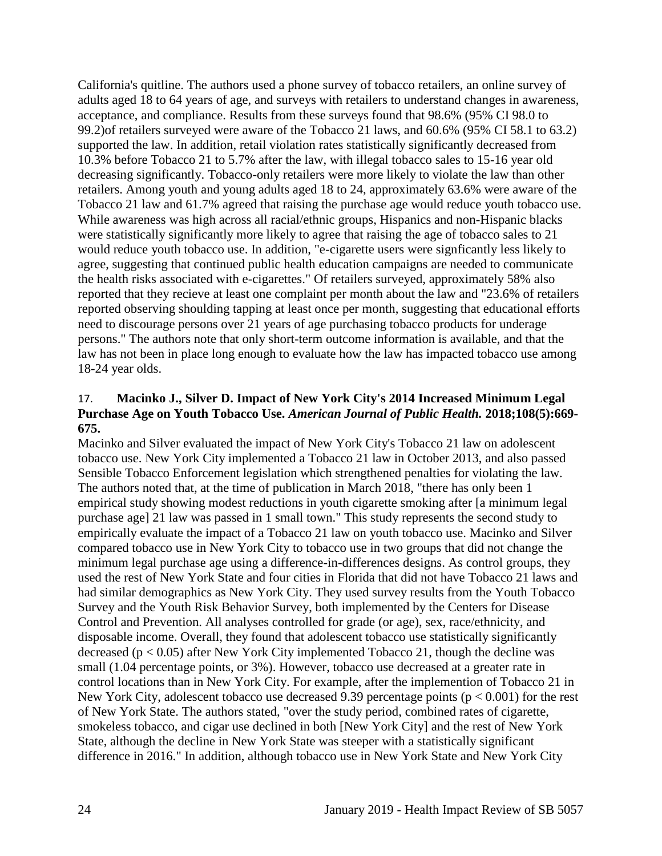California's quitline. The authors used a phone survey of tobacco retailers, an online survey of adults aged 18 to 64 years of age, and surveys with retailers to understand changes in awareness, acceptance, and compliance. Results from these surveys found that 98.6% (95% CI 98.0 to 99.2)of retailers surveyed were aware of the Tobacco 21 laws, and 60.6% (95% CI 58.1 to 63.2) supported the law. In addition, retail violation rates statistically significantly decreased from 10.3% before Tobacco 21 to 5.7% after the law, with illegal tobacco sales to 15-16 year old decreasing significantly. Tobacco-only retailers were more likely to violate the law than other retailers. Among youth and young adults aged 18 to 24, approximately 63.6% were aware of the Tobacco 21 law and 61.7% agreed that raising the purchase age would reduce youth tobacco use. While awareness was high across all racial/ethnic groups, Hispanics and non-Hispanic blacks were statistically significantly more likely to agree that raising the age of tobacco sales to 21 would reduce youth tobacco use. In addition, "e-cigarette users were signficantly less likely to agree, suggesting that continued public health education campaigns are needed to communicate the health risks associated with e-cigarettes." Of retailers surveyed, approximately 58% also reported that they recieve at least one complaint per month about the law and "23.6% of retailers reported observing shoulding tapping at least once per month, suggesting that educational efforts need to discourage persons over 21 years of age purchasing tobacco products for underage persons." The authors note that only short-term outcome information is available, and that the law has not been in place long enough to evaluate how the law has impacted tobacco use among 18-24 year olds.

#### 17. **Macinko J., Silver D. Impact of New York City's 2014 Increased Minimum Legal Purchase Age on Youth Tobacco Use.** *American Journal of Public Health.* **2018;108(5):669- 675.**

Macinko and Silver evaluated the impact of New York City's Tobacco 21 law on adolescent tobacco use. New York City implemented a Tobacco 21 law in October 2013, and also passed Sensible Tobacco Enforcement legislation which strengthened penalties for violating the law. The authors noted that, at the time of publication in March 2018, "there has only been 1 empirical study showing modest reductions in youth cigarette smoking after [a minimum legal purchase age] 21 law was passed in 1 small town." This study represents the second study to empirically evaluate the impact of a Tobacco 21 law on youth tobacco use. Macinko and Silver compared tobacco use in New York City to tobacco use in two groups that did not change the minimum legal purchase age using a difference-in-differences designs. As control groups, they used the rest of New York State and four cities in Florida that did not have Tobacco 21 laws and had similar demographics as New York City. They used survey results from the Youth Tobacco Survey and the Youth Risk Behavior Survey, both implemented by the Centers for Disease Control and Prevention. All analyses controlled for grade (or age), sex, race/ethnicity, and disposable income. Overall, they found that adolescent tobacco use statistically significantly decreased ( $p < 0.05$ ) after New York City implemented Tobacco 21, though the decline was small (1.04 percentage points, or 3%). However, tobacco use decreased at a greater rate in control locations than in New York City. For example, after the implemention of Tobacco 21 in New York City, adolescent tobacco use decreased 9.39 percentage points ( $p < 0.001$ ) for the rest of New York State. The authors stated, "over the study period, combined rates of cigarette, smokeless tobacco, and cigar use declined in both [New York City] and the rest of New York State, although the decline in New York State was steeper with a statistically significant difference in 2016." In addition, although tobacco use in New York State and New York City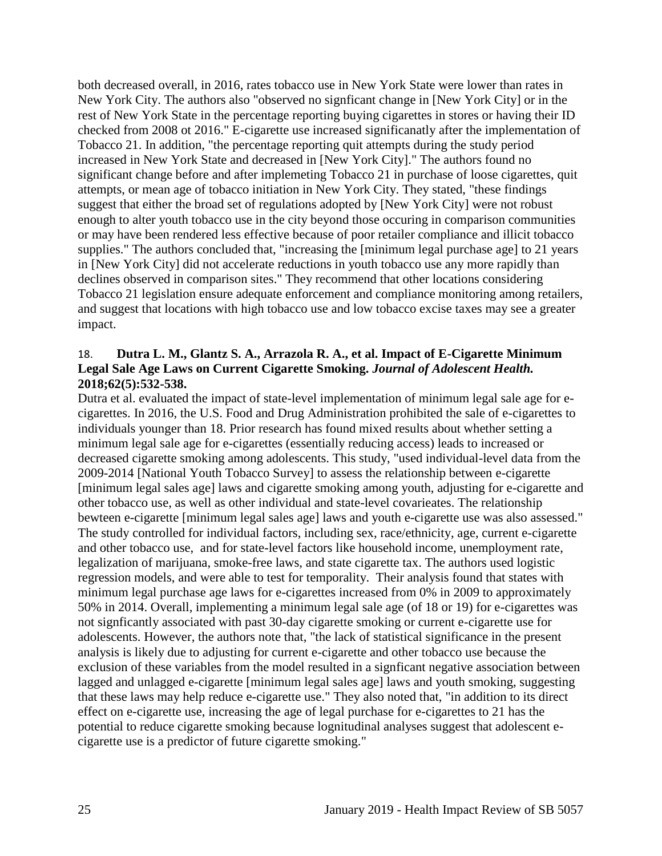both decreased overall, in 2016, rates tobacco use in New York State were lower than rates in New York City. The authors also "observed no signficant change in [New York City] or in the rest of New York State in the percentage reporting buying cigarettes in stores or having their ID checked from 2008 ot 2016." E-cigarette use increased significanatly after the implementation of Tobacco 21. In addition, "the percentage reporting quit attempts during the study period increased in New York State and decreased in [New York City]." The authors found no significant change before and after implemeting Tobacco 21 in purchase of loose cigarettes, quit attempts, or mean age of tobacco initiation in New York City. They stated, "these findings suggest that either the broad set of regulations adopted by [New York City] were not robust enough to alter youth tobacco use in the city beyond those occuring in comparison communities or may have been rendered less effective because of poor retailer compliance and illicit tobacco supplies." The authors concluded that, "increasing the [minimum legal purchase age] to 21 years in [New York City] did not accelerate reductions in youth tobacco use any more rapidly than declines observed in comparison sites." They recommend that other locations considering Tobacco 21 legislation ensure adequate enforcement and compliance monitoring among retailers, and suggest that locations with high tobacco use and low tobacco excise taxes may see a greater impact.

#### <span id="page-27-0"></span>18. **Dutra L. M., Glantz S. A., Arrazola R. A., et al. Impact of E-Cigarette Minimum Legal Sale Age Laws on Current Cigarette Smoking.** *Journal of Adolescent Health.*  **2018;62(5):532-538.**

Dutra et al. evaluated the impact of state-level implementation of minimum legal sale age for ecigarettes. In 2016, the U.S. Food and Drug Administration prohibited the sale of e-cigarettes to individuals younger than 18. Prior research has found mixed results about whether setting a minimum legal sale age for e-cigarettes (essentially reducing access) leads to increased or decreased cigarette smoking among adolescents. This study, "used individual-level data from the 2009-2014 [National Youth Tobacco Survey] to assess the relationship between e-cigarette [minimum legal sales age] laws and cigarette smoking among youth, adjusting for e-cigarette and other tobacco use, as well as other individual and state-level covarieates. The relationship bewteen e-cigarette [minimum legal sales age] laws and youth e-cigarette use was also assessed." The study controlled for individual factors, including sex, race/ethnicity, age, current e-cigarette and other tobacco use, and for state-level factors like household income, unemployment rate, legalization of marijuana, smoke-free laws, and state cigarette tax. The authors used logistic regression models, and were able to test for temporality. Their analysis found that states with minimum legal purchase age laws for e-cigarettes increased from 0% in 2009 to approximately 50% in 2014. Overall, implementing a minimum legal sale age (of 18 or 19) for e-cigarettes was not signficantly associated with past 30-day cigarette smoking or current e-cigarette use for adolescents. However, the authors note that, "the lack of statistical significance in the present analysis is likely due to adjusting for current e-cigarette and other tobacco use because the exclusion of these variables from the model resulted in a signficant negative association between lagged and unlagged e-cigarette [minimum legal sales age] laws and youth smoking, suggesting that these laws may help reduce e-cigarette use." They also noted that, "in addition to its direct effect on e-cigarette use, increasing the age of legal purchase for e-cigarettes to 21 has the potential to reduce cigarette smoking because lognitudinal analyses suggest that adolescent ecigarette use is a predictor of future cigarette smoking."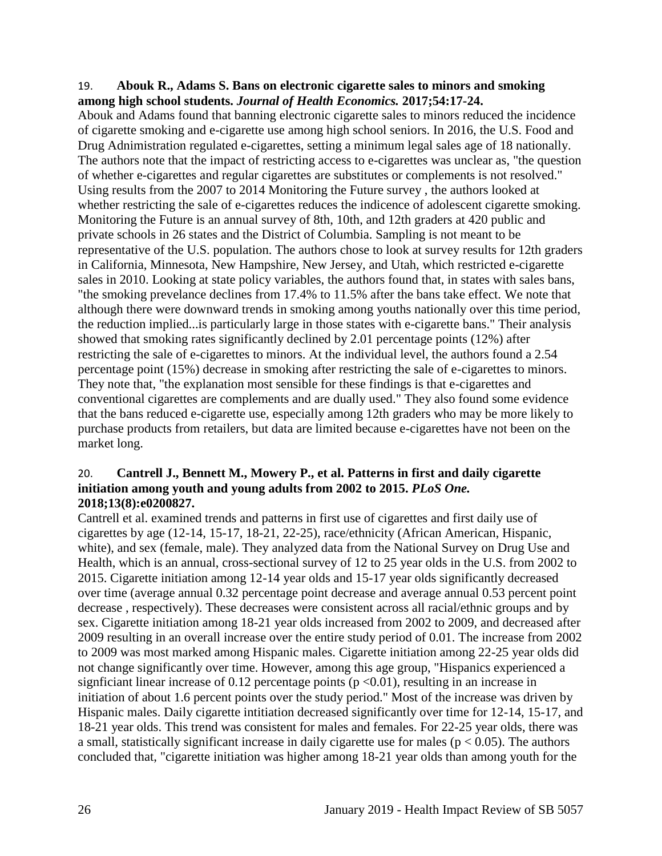#### <span id="page-28-0"></span>19. **Abouk R., Adams S. Bans on electronic cigarette sales to minors and smoking among high school students.** *Journal of Health Economics.* **2017;54:17-24.**

Abouk and Adams found that banning electronic cigarette sales to minors reduced the incidence of cigarette smoking and e-cigarette use among high school seniors. In 2016, the U.S. Food and Drug Adnimistration regulated e-cigarettes, setting a minimum legal sales age of 18 nationally. The authors note that the impact of restricting access to e-cigarettes was unclear as, "the question of whether e-cigarettes and regular cigarettes are substitutes or complements is not resolved." Using results from the 2007 to 2014 Monitoring the Future survey , the authors looked at whether restricting the sale of e-cigarettes reduces the indicence of adolescent cigarette smoking. Monitoring the Future is an annual survey of 8th, 10th, and 12th graders at 420 public and private schools in 26 states and the District of Columbia. Sampling is not meant to be representative of the U.S. population. The authors chose to look at survey results for 12th graders in California, Minnesota, New Hampshire, New Jersey, and Utah, which restricted e-cigarette sales in 2010. Looking at state policy variables, the authors found that, in states with sales bans, "the smoking prevelance declines from 17.4% to 11.5% after the bans take effect. We note that although there were downward trends in smoking among youths nationally over this time period, the reduction implied...is particularly large in those states with e-cigarette bans." Their analysis showed that smoking rates significantly declined by 2.01 percentage points (12%) after restricting the sale of e-cigarettes to minors. At the individual level, the authors found a 2.54 percentage point (15%) decrease in smoking after restricting the sale of e-cigarettes to minors. They note that, "the explanation most sensible for these findings is that e-cigarettes and conventional cigarettes are complements and are dually used." They also found some evidence that the bans reduced e-cigarette use, especially among 12th graders who may be more likely to purchase products from retailers, but data are limited because e-cigarettes have not been on the market long.

## 20. **Cantrell J., Bennett M., Mowery P., et al. Patterns in first and daily cigarette initiation among youth and young adults from 2002 to 2015.** *PLoS One.*  **2018;13(8):e0200827.**

Cantrell et al. examined trends and patterns in first use of cigarettes and first daily use of cigarettes by age (12-14, 15-17, 18-21, 22-25), race/ethnicity (African American, Hispanic, white), and sex (female, male). They analyzed data from the National Survey on Drug Use and Health, which is an annual, cross-sectional survey of 12 to 25 year olds in the U.S. from 2002 to 2015. Cigarette initiation among 12-14 year olds and 15-17 year olds significantly decreased over time (average annual 0.32 percentage point decrease and average annual 0.53 percent point decrease , respectively). These decreases were consistent across all racial/ethnic groups and by sex. Cigarette initiation among 18-21 year olds increased from 2002 to 2009, and decreased after 2009 resulting in an overall increase over the entire study period of 0.01. The increase from 2002 to 2009 was most marked among Hispanic males. Cigarette initiation among 22-25 year olds did not change significantly over time. However, among this age group, "Hispanics experienced a signficiant linear increase of 0.12 percentage points ( $p \le 0.01$ ), resulting in an increase in initiation of about 1.6 percent points over the study period." Most of the increase was driven by Hispanic males. Daily cigarette intitiation decreased significantly over time for 12-14, 15-17, and 18-21 year olds. This trend was consistent for males and females. For 22-25 year olds, there was a small, statistically significant increase in daily cigarette use for males ( $p < 0.05$ ). The authors concluded that, "cigarette initiation was higher among 18-21 year olds than among youth for the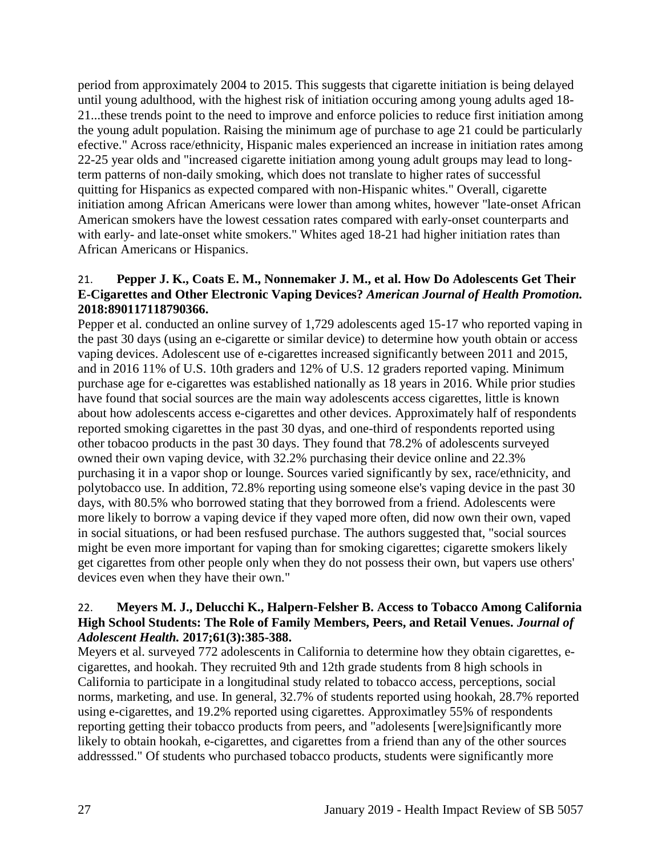period from approximately 2004 to 2015. This suggests that cigarette initiation is being delayed until young adulthood, with the highest risk of initiation occuring among young adults aged 18- 21...these trends point to the need to improve and enforce policies to reduce first initiation among the young adult population. Raising the minimum age of purchase to age 21 could be particularly efective." Across race/ethnicity, Hispanic males experienced an increase in initiation rates among 22-25 year olds and "increased cigarette initiation among young adult groups may lead to longterm patterns of non-daily smoking, which does not translate to higher rates of successful quitting for Hispanics as expected compared with non-Hispanic whites." Overall, cigarette initiation among African Americans were lower than among whites, however "late-onset African American smokers have the lowest cessation rates compared with early-onset counterparts and with early- and late-onset white smokers." Whites aged 18-21 had higher initiation rates than African Americans or Hispanics.

#### 21. **Pepper J. K., Coats E. M., Nonnemaker J. M., et al. How Do Adolescents Get Their E-Cigarettes and Other Electronic Vaping Devices?** *American Journal of Health Promotion.*  **2018:890117118790366.**

Pepper et al. conducted an online survey of 1,729 adolescents aged 15-17 who reported vaping in the past 30 days (using an e-cigarette or similar device) to determine how youth obtain or access vaping devices. Adolescent use of e-cigarettes increased significantly between 2011 and 2015, and in 2016 11% of U.S. 10th graders and 12% of U.S. 12 graders reported vaping. Minimum purchase age for e-cigarettes was established nationally as 18 years in 2016. While prior studies have found that social sources are the main way adolescents access cigarettes, little is known about how adolescents access e-cigarettes and other devices. Approximately half of respondents reported smoking cigarettes in the past 30 dyas, and one-third of respondents reported using other tobacoo products in the past 30 days. They found that 78.2% of adolescents surveyed owned their own vaping device, with 32.2% purchasing their device online and 22.3% purchasing it in a vapor shop or lounge. Sources varied significantly by sex, race/ethnicity, and polytobacco use. In addition, 72.8% reporting using someone else's vaping device in the past 30 days, with 80.5% who borrowed stating that they borrowed from a friend. Adolescents were more likely to borrow a vaping device if they vaped more often, did now own their own, vaped in social situations, or had been resfused purchase. The authors suggested that, "social sources might be even more important for vaping than for smoking cigarettes; cigarette smokers likely get cigarettes from other people only when they do not possess their own, but vapers use others' devices even when they have their own."

## 22. **Meyers M. J., Delucchi K., Halpern-Felsher B. Access to Tobacco Among California High School Students: The Role of Family Members, Peers, and Retail Venues.** *Journal of Adolescent Health.* **2017;61(3):385-388.**

Meyers et al. surveyed 772 adolescents in California to determine how they obtain cigarettes, ecigarettes, and hookah. They recruited 9th and 12th grade students from 8 high schools in California to participate in a longitudinal study related to tobacco access, perceptions, social norms, marketing, and use. In general, 32.7% of students reported using hookah, 28.7% reported using e-cigarettes, and 19.2% reported using cigarettes. Approximatley 55% of respondents reporting getting their tobacco products from peers, and "adolesents [were]significantly more likely to obtain hookah, e-cigarettes, and cigarettes from a friend than any of the other sources addresssed." Of students who purchased tobacco products, students were significantly more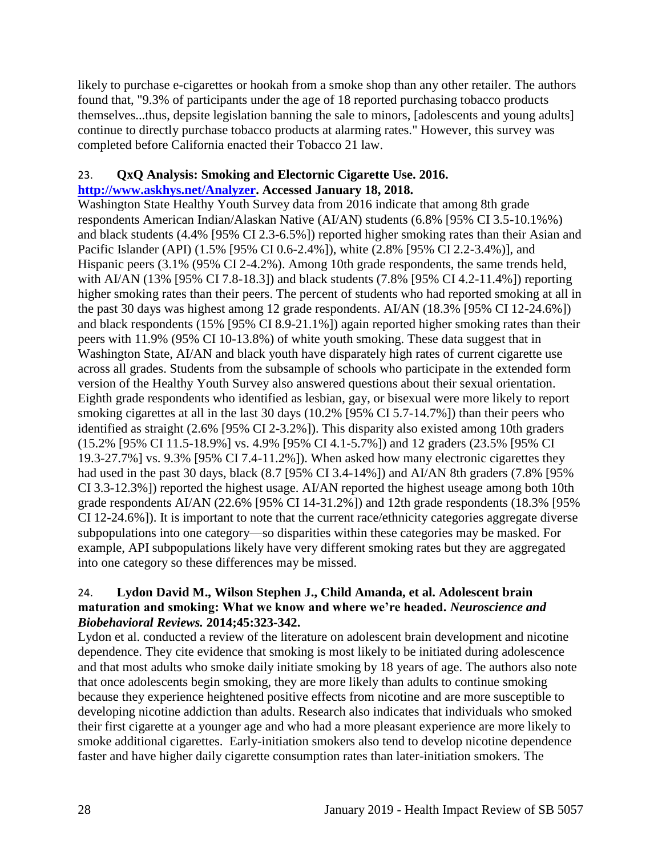likely to purchase e-cigarettes or hookah from a smoke shop than any other retailer. The authors found that, "9.3% of participants under the age of 18 reported purchasing tobacco products themselves...thus, depsite legislation banning the sale to minors, [adolescents and young adults] continue to directly purchase tobacco products at alarming rates." However, this survey was completed before California enacted their Tobacco 21 law.

## 23. **QxQ Analysis: Smoking and Electornic Cigarette Use. 2016. [http://www.askhys.net/Analyzer.](http://www.askhys.net/Analyzer) Accessed January 18, 2018.**

Washington State Healthy Youth Survey data from 2016 indicate that among 8th grade respondents American Indian/Alaskan Native (AI/AN) students (6.8% [95% CI 3.5-10.1%%) and black students (4.4% [95% CI 2.3-6.5%]) reported higher smoking rates than their Asian and Pacific Islander (API) (1.5% [95% CI 0.6-2.4%]), white (2.8% [95% CI 2.2-3.4%)], and Hispanic peers (3.1% (95% CI 2-4.2%). Among 10th grade respondents, the same trends held, with AI/AN (13% [95% CI 7.8-18.3]) and black students (7.8% [95% CI 4.2-11.4%]) reporting higher smoking rates than their peers. The percent of students who had reported smoking at all in the past 30 days was highest among 12 grade respondents. AI/AN (18.3% [95% CI 12-24.6%]) and black respondents (15% [95% CI 8.9-21.1%]) again reported higher smoking rates than their peers with 11.9% (95% CI 10-13.8%) of white youth smoking. These data suggest that in Washington State, AI/AN and black youth have disparately high rates of current cigarette use across all grades. Students from the subsample of schools who participate in the extended form version of the Healthy Youth Survey also answered questions about their sexual orientation. Eighth grade respondents who identified as lesbian, gay, or bisexual were more likely to report smoking cigarettes at all in the last 30 days (10.2% [95% CI 5.7-14.7%]) than their peers who identified as straight (2.6% [95% CI 2-3.2%]). This disparity also existed among 10th graders (15.2% [95% CI 11.5-18.9%] vs. 4.9% [95% CI 4.1-5.7%]) and 12 graders (23.5% [95% CI 19.3-27.7%] vs. 9.3% [95% CI 7.4-11.2%]). When asked how many electronic cigarettes they had used in the past 30 days, black (8.7 [95% CI 3.4-14%]) and AI/AN 8th graders (7.8% [95% CI 3.3-12.3%]) reported the highest usage. AI/AN reported the highest useage among both 10th grade respondents AI/AN (22.6% [95% CI 14-31.2%]) and 12th grade respondents (18.3% [95% CI 12-24.6%]). It is important to note that the current race/ethnicity categories aggregate diverse subpopulations into one category—so disparities within these categories may be masked. For example, API subpopulations likely have very different smoking rates but they are aggregated into one category so these differences may be missed.

#### <span id="page-30-0"></span>24. **Lydon David M., Wilson Stephen J., Child Amanda, et al. Adolescent brain maturation and smoking: What we know and where we're headed.** *Neuroscience and Biobehavioral Reviews.* **2014;45:323-342.**

Lydon et al. conducted a review of the literature on adolescent brain development and nicotine dependence. They cite evidence that smoking is most likely to be initiated during adolescence and that most adults who smoke daily initiate smoking by 18 years of age. The authors also note that once adolescents begin smoking, they are more likely than adults to continue smoking because they experience heightened positive effects from nicotine and are more susceptible to developing nicotine addiction than adults. Research also indicates that individuals who smoked their first cigarette at a younger age and who had a more pleasant experience are more likely to smoke additional cigarettes. Early-initiation smokers also tend to develop nicotine dependence faster and have higher daily cigarette consumption rates than later-initiation smokers. The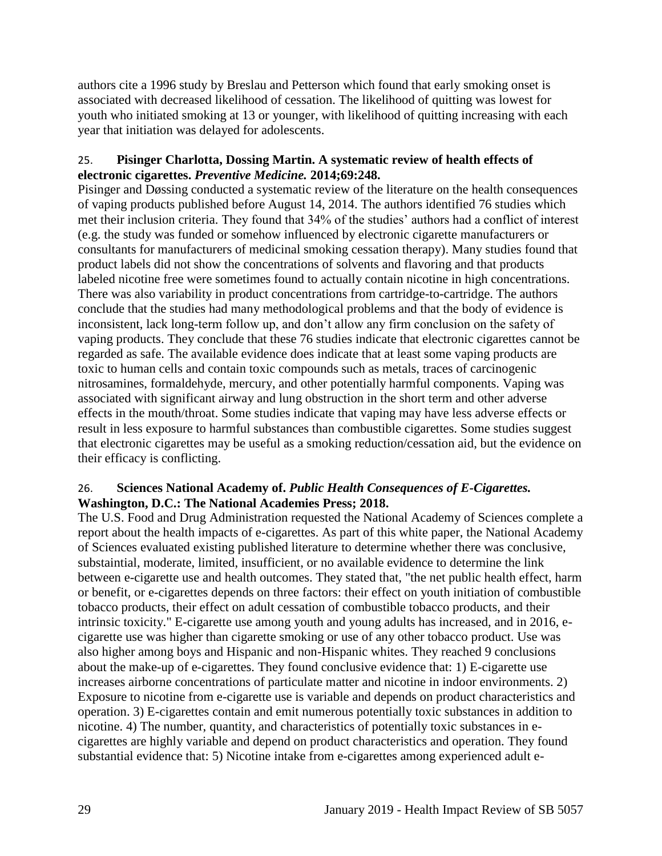authors cite a 1996 study by Breslau and Petterson which found that early smoking onset is associated with decreased likelihood of cessation. The likelihood of quitting was lowest for youth who initiated smoking at 13 or younger, with likelihood of quitting increasing with each year that initiation was delayed for adolescents.

## <span id="page-31-0"></span>25. **Pisinger Charlotta, Dossing Martin. A systematic review of health effects of electronic cigarettes.** *Preventive Medicine.* **2014;69:248.**

Pisinger and Døssing conducted a systematic review of the literature on the health consequences of vaping products published before August 14, 2014. The authors identified 76 studies which met their inclusion criteria. They found that 34% of the studies' authors had a conflict of interest (e.g. the study was funded or somehow influenced by electronic cigarette manufacturers or consultants for manufacturers of medicinal smoking cessation therapy). Many studies found that product labels did not show the concentrations of solvents and flavoring and that products labeled nicotine free were sometimes found to actually contain nicotine in high concentrations. There was also variability in product concentrations from cartridge-to-cartridge. The authors conclude that the studies had many methodological problems and that the body of evidence is inconsistent, lack long-term follow up, and don't allow any firm conclusion on the safety of vaping products. They conclude that these 76 studies indicate that electronic cigarettes cannot be regarded as safe. The available evidence does indicate that at least some vaping products are toxic to human cells and contain toxic compounds such as metals, traces of carcinogenic nitrosamines, formaldehyde, mercury, and other potentially harmful components. Vaping was associated with significant airway and lung obstruction in the short term and other adverse effects in the mouth/throat. Some studies indicate that vaping may have less adverse effects or result in less exposure to harmful substances than combustible cigarettes. Some studies suggest that electronic cigarettes may be useful as a smoking reduction/cessation aid, but the evidence on their efficacy is conflicting.

## <span id="page-31-1"></span>26. **Sciences National Academy of.** *Public Health Consequences of E-Cigarettes.* **Washington, D.C.: The National Academies Press; 2018.**

The U.S. Food and Drug Administration requested the National Academy of Sciences complete a report about the health impacts of e-cigarettes. As part of this white paper, the National Academy of Sciences evaluated existing published literature to determine whether there was conclusive, substaintial, moderate, limited, insufficient, or no available evidence to determine the link between e-cigarette use and health outcomes. They stated that, "the net public health effect, harm or benefit, or e-cigarettes depends on three factors: their effect on youth initiation of combustible tobacco products, their effect on adult cessation of combustible tobacco products, and their intrinsic toxicity." E-cigarette use among youth and young adults has increased, and in 2016, ecigarette use was higher than cigarette smoking or use of any other tobacco product. Use was also higher among boys and Hispanic and non-Hispanic whites. They reached 9 conclusions about the make-up of e-cigarettes. They found conclusive evidence that: 1) E-cigarette use increases airborne concentrations of particulate matter and nicotine in indoor environments. 2) Exposure to nicotine from e-cigarette use is variable and depends on product characteristics and operation. 3) E-cigarettes contain and emit numerous potentially toxic substances in addition to nicotine. 4) The number, quantity, and characteristics of potentially toxic substances in ecigarettes are highly variable and depend on product characteristics and operation. They found substantial evidence that: 5) Nicotine intake from e-cigarettes among experienced adult e-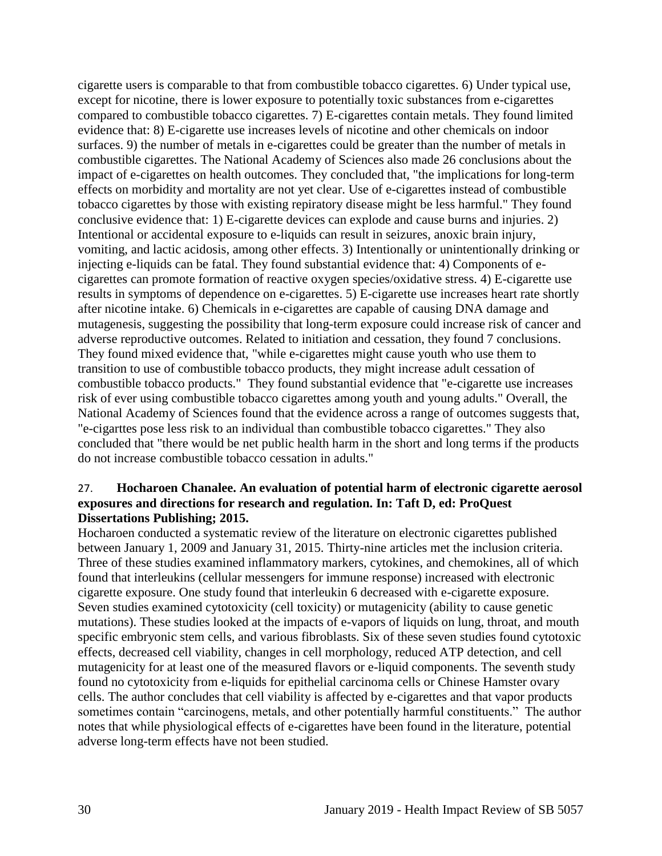cigarette users is comparable to that from combustible tobacco cigarettes. 6) Under typical use, except for nicotine, there is lower exposure to potentially toxic substances from e-cigarettes compared to combustible tobacco cigarettes. 7) E-cigarettes contain metals. They found limited evidence that: 8) E-cigarette use increases levels of nicotine and other chemicals on indoor surfaces. 9) the number of metals in e-cigarettes could be greater than the number of metals in combustible cigarettes. The National Academy of Sciences also made 26 conclusions about the impact of e-cigarettes on health outcomes. They concluded that, "the implications for long-term effects on morbidity and mortality are not yet clear. Use of e-cigarettes instead of combustible tobacco cigarettes by those with existing repiratory disease might be less harmful." They found conclusive evidence that: 1) E-cigarette devices can explode and cause burns and injuries. 2) Intentional or accidental exposure to e-liquids can result in seizures, anoxic brain injury, vomiting, and lactic acidosis, among other effects. 3) Intentionally or unintentionally drinking or injecting e-liquids can be fatal. They found substantial evidence that: 4) Components of ecigarettes can promote formation of reactive oxygen species/oxidative stress. 4) E-cigarette use results in symptoms of dependence on e-cigarettes. 5) E-cigarette use increases heart rate shortly after nicotine intake. 6) Chemicals in e-cigarettes are capable of causing DNA damage and mutagenesis, suggesting the possibility that long-term exposure could increase risk of cancer and adverse reproductive outcomes. Related to initiation and cessation, they found 7 conclusions. They found mixed evidence that, "while e-cigarettes might cause youth who use them to transition to use of combustible tobacco products, they might increase adult cessation of combustible tobacco products." They found substantial evidence that "e-cigarette use increases risk of ever using combustible tobacco cigarettes among youth and young adults." Overall, the National Academy of Sciences found that the evidence across a range of outcomes suggests that, "e-cigarttes pose less risk to an individual than combustible tobacco cigarettes." They also concluded that "there would be net public health harm in the short and long terms if the products do not increase combustible tobacco cessation in adults."

#### 27. **Hocharoen Chanalee. An evaluation of potential harm of electronic cigarette aerosol exposures and directions for research and regulation. In: Taft D, ed: ProQuest Dissertations Publishing; 2015.**

Hocharoen conducted a systematic review of the literature on electronic cigarettes published between January 1, 2009 and January 31, 2015. Thirty-nine articles met the inclusion criteria. Three of these studies examined inflammatory markers, cytokines, and chemokines, all of which found that interleukins (cellular messengers for immune response) increased with electronic cigarette exposure. One study found that interleukin 6 decreased with e-cigarette exposure. Seven studies examined cytotoxicity (cell toxicity) or mutagenicity (ability to cause genetic mutations). These studies looked at the impacts of e-vapors of liquids on lung, throat, and mouth specific embryonic stem cells, and various fibroblasts. Six of these seven studies found cytotoxic effects, decreased cell viability, changes in cell morphology, reduced ATP detection, and cell mutagenicity for at least one of the measured flavors or e-liquid components. The seventh study found no cytotoxicity from e-liquids for epithelial carcinoma cells or Chinese Hamster ovary cells. The author concludes that cell viability is affected by e-cigarettes and that vapor products sometimes contain "carcinogens, metals, and other potentially harmful constituents." The author notes that while physiological effects of e-cigarettes have been found in the literature, potential adverse long-term effects have not been studied.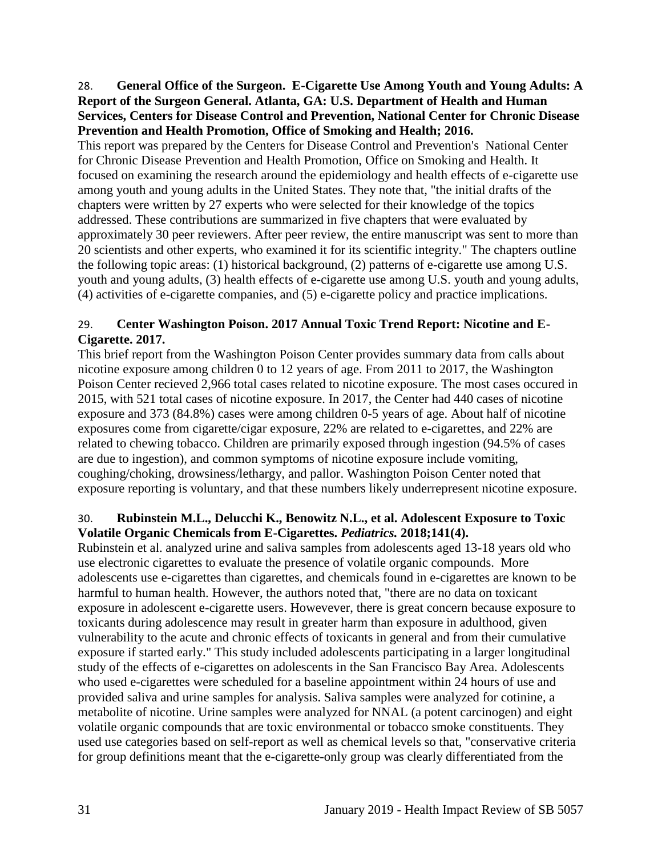<span id="page-33-0"></span>28. **General Office of the Surgeon. E-Cigarette Use Among Youth and Young Adults: A Report of the Surgeon General. Atlanta, GA: U.S. Department of Health and Human Services, Centers for Disease Control and Prevention, National Center for Chronic Disease Prevention and Health Promotion, Office of Smoking and Health; 2016.**

This report was prepared by the Centers for Disease Control and Prevention's National Center for Chronic Disease Prevention and Health Promotion, Office on Smoking and Health. It focused on examining the research around the epidemiology and health effects of e-cigarette use among youth and young adults in the United States. They note that, "the initial drafts of the chapters were written by 27 experts who were selected for their knowledge of the topics addressed. These contributions are summarized in five chapters that were evaluated by approximately 30 peer reviewers. After peer review, the entire manuscript was sent to more than 20 scientists and other experts, who examined it for its scientific integrity." The chapters outline the following topic areas: (1) historical background, (2) patterns of e-cigarette use among U.S. youth and young adults, (3) health effects of e-cigarette use among U.S. youth and young adults, (4) activities of e-cigarette companies, and (5) e-cigarette policy and practice implications.

## 29. **Center Washington Poison. 2017 Annual Toxic Trend Report: Nicotine and E-Cigarette. 2017.**

This brief report from the Washington Poison Center provides summary data from calls about nicotine exposure among children 0 to 12 years of age. From 2011 to 2017, the Washington Poison Center recieved 2,966 total cases related to nicotine exposure. The most cases occured in 2015, with 521 total cases of nicotine exposure. In 2017, the Center had 440 cases of nicotine exposure and 373 (84.8%) cases were among children 0-5 years of age. About half of nicotine exposures come from cigarette/cigar exposure, 22% are related to e-cigarettes, and 22% are related to chewing tobacco. Children are primarily exposed through ingestion (94.5% of cases are due to ingestion), and common symptoms of nicotine exposure include vomiting, coughing/choking, drowsiness/lethargy, and pallor. Washington Poison Center noted that exposure reporting is voluntary, and that these numbers likely underrepresent nicotine exposure.

## 30. **Rubinstein M.L., Delucchi K., Benowitz N.L., et al. Adolescent Exposure to Toxic Volatile Organic Chemicals from E-Cigarettes.** *Pediatrics.* **2018;141(4).**

Rubinstein et al. analyzed urine and saliva samples from adolescents aged 13-18 years old who use electronic cigarettes to evaluate the presence of volatile organic compounds. More adolescents use e-cigarettes than cigarettes, and chemicals found in e-cigarettes are known to be harmful to human health. However, the authors noted that, "there are no data on toxicant exposure in adolescent e-cigarette users. Howevever, there is great concern because exposure to toxicants during adolescence may result in greater harm than exposure in adulthood, given vulnerability to the acute and chronic effects of toxicants in general and from their cumulative exposure if started early." This study included adolescents participating in a larger longitudinal study of the effects of e-cigarettes on adolescents in the San Francisco Bay Area. Adolescents who used e-cigarettes were scheduled for a baseline appointment within 24 hours of use and provided saliva and urine samples for analysis. Saliva samples were analyzed for cotinine, a metabolite of nicotine. Urine samples were analyzed for NNAL (a potent carcinogen) and eight volatile organic compounds that are toxic environmental or tobacco smoke constituents. They used use categories based on self-report as well as chemical levels so that, "conservative criteria for group definitions meant that the e-cigarette-only group was clearly differentiated from the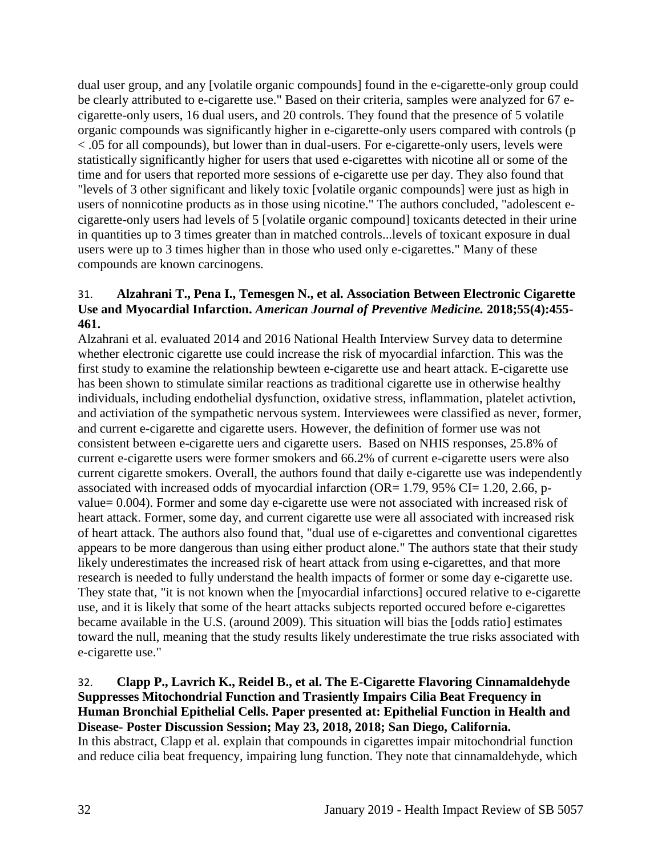dual user group, and any [volatile organic compounds] found in the e-cigarette-only group could be clearly attributed to e-cigarette use." Based on their criteria, samples were analyzed for 67 ecigarette-only users, 16 dual users, and 20 controls. They found that the presence of 5 volatile organic compounds was significantly higher in e-cigarette-only users compared with controls (p < .05 for all compounds), but lower than in dual-users. For e-cigarette-only users, levels were statistically significantly higher for users that used e-cigarettes with nicotine all or some of the time and for users that reported more sessions of e-cigarette use per day. They also found that "levels of 3 other significant and likely toxic [volatile organic compounds] were just as high in users of nonnicotine products as in those using nicotine." The authors concluded, "adolescent ecigarette-only users had levels of 5 [volatile organic compound] toxicants detected in their urine in quantities up to 3 times greater than in matched controls...levels of toxicant exposure in dual users were up to 3 times higher than in those who used only e-cigarettes." Many of these compounds are known carcinogens.

## 31. **Alzahrani T., Pena I., Temesgen N., et al. Association Between Electronic Cigarette Use and Myocardial Infarction.** *American Journal of Preventive Medicine.* **2018;55(4):455- 461.**

Alzahrani et al. evaluated 2014 and 2016 National Health Interview Survey data to determine whether electronic cigarette use could increase the risk of myocardial infarction. This was the first study to examine the relationship bewteen e-cigarette use and heart attack. E-cigarette use has been shown to stimulate similar reactions as traditional cigarette use in otherwise healthy individuals, including endothelial dysfunction, oxidative stress, inflammation, platelet activtion, and activiation of the sympathetic nervous system. Interviewees were classified as never, former, and current e-cigarette and cigarette users. However, the definition of former use was not consistent between e-cigarette uers and cigarette users. Based on NHIS responses, 25.8% of current e-cigarette users were former smokers and 66.2% of current e-cigarette users were also current cigarette smokers. Overall, the authors found that daily e-cigarette use was independently associated with increased odds of myocardial infarction (OR=  $1.79$ ,  $95\%$  CI=  $1.20$ ,  $2.66$ , pvalue= 0.004). Former and some day e-cigarette use were not associated with increased risk of heart attack. Former, some day, and current cigarette use were all associated with increased risk of heart attack. The authors also found that, "dual use of e-cigarettes and conventional cigarettes appears to be more dangerous than using either product alone." The authors state that their study likely underestimates the increased risk of heart attack from using e-cigarettes, and that more research is needed to fully understand the health impacts of former or some day e-cigarette use. They state that, "it is not known when the [myocardial infarctions] occured relative to e-cigarette use, and it is likely that some of the heart attacks subjects reported occured before e-cigarettes became available in the U.S. (around 2009). This situation will bias the [odds ratio] estimates toward the null, meaning that the study results likely underestimate the true risks associated with e-cigarette use."

#### <span id="page-34-0"></span>32. **Clapp P., Lavrich K., Reidel B., et al. The E-Cigarette Flavoring Cinnamaldehyde Suppresses Mitochondrial Function and Trasiently Impairs Cilia Beat Frequency in Human Bronchial Epithelial Cells. Paper presented at: Epithelial Function in Health and Disease- Poster Discussion Session; May 23, 2018, 2018; San Diego, California.** In this abstract, Clapp et al. explain that compounds in cigarettes impair mitochondrial function and reduce cilia beat frequency, impairing lung function. They note that cinnamaldehyde, which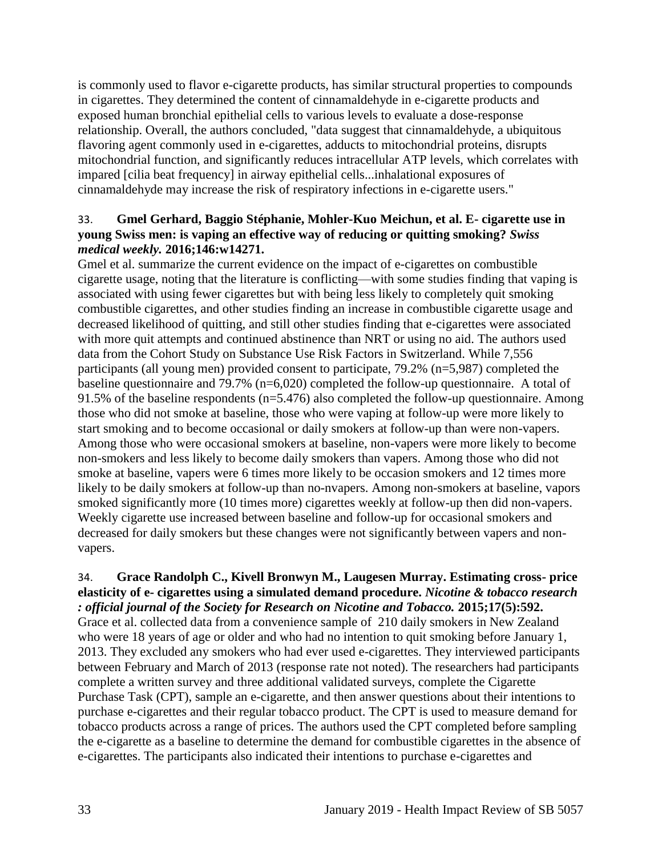is commonly used to flavor e-cigarette products, has similar structural properties to compounds in cigarettes. They determined the content of cinnamaldehyde in e-cigarette products and exposed human bronchial epithelial cells to various levels to evaluate a dose-response relationship. Overall, the authors concluded, "data suggest that cinnamaldehyde, a ubiquitous flavoring agent commonly used in e-cigarettes, adducts to mitochondrial proteins, disrupts mitochondrial function, and significantly reduces intracellular ATP levels, which correlates with impared [cilia beat frequency] in airway epithelial cells...inhalational exposures of cinnamaldehyde may increase the risk of respiratory infections in e-cigarette users."

## <span id="page-35-0"></span>33. **Gmel Gerhard, Baggio Stéphanie, Mohler-Kuo Meichun, et al. E- cigarette use in young Swiss men: is vaping an effective way of reducing or quitting smoking?** *Swiss medical weekly.* **2016;146:w14271.**

Gmel et al. summarize the current evidence on the impact of e-cigarettes on combustible cigarette usage, noting that the literature is conflicting—with some studies finding that vaping is associated with using fewer cigarettes but with being less likely to completely quit smoking combustible cigarettes, and other studies finding an increase in combustible cigarette usage and decreased likelihood of quitting, and still other studies finding that e-cigarettes were associated with more quit attempts and continued abstinence than NRT or using no aid. The authors used data from the Cohort Study on Substance Use Risk Factors in Switzerland. While 7,556 participants (all young men) provided consent to participate, 79.2% (n=5,987) completed the baseline questionnaire and 79.7% (n=6,020) completed the follow-up questionnaire. A total of 91.5% of the baseline respondents (n=5.476) also completed the follow-up questionnaire. Among those who did not smoke at baseline, those who were vaping at follow-up were more likely to start smoking and to become occasional or daily smokers at follow-up than were non-vapers. Among those who were occasional smokers at baseline, non-vapers were more likely to become non-smokers and less likely to become daily smokers than vapers. Among those who did not smoke at baseline, vapers were 6 times more likely to be occasion smokers and 12 times more likely to be daily smokers at follow-up than no-nvapers. Among non-smokers at baseline, vapors smoked significantly more (10 times more) cigarettes weekly at follow-up then did non-vapers. Weekly cigarette use increased between baseline and follow-up for occasional smokers and decreased for daily smokers but these changes were not significantly between vapers and nonvapers.

## 34. **Grace Randolph C., Kivell Bronwyn M., Laugesen Murray. Estimating cross- price elasticity of e- cigarettes using a simulated demand procedure.** *Nicotine & tobacco research : official journal of the Society for Research on Nicotine and Tobacco.* **2015;17(5):592.**

Grace et al. collected data from a convenience sample of 210 daily smokers in New Zealand who were 18 years of age or older and who had no intention to quit smoking before January 1, 2013. They excluded any smokers who had ever used e-cigarettes. They interviewed participants between February and March of 2013 (response rate not noted). The researchers had participants complete a written survey and three additional validated surveys, complete the Cigarette Purchase Task (CPT), sample an e-cigarette, and then answer questions about their intentions to purchase e-cigarettes and their regular tobacco product. The CPT is used to measure demand for tobacco products across a range of prices. The authors used the CPT completed before sampling the e-cigarette as a baseline to determine the demand for combustible cigarettes in the absence of e-cigarettes. The participants also indicated their intentions to purchase e-cigarettes and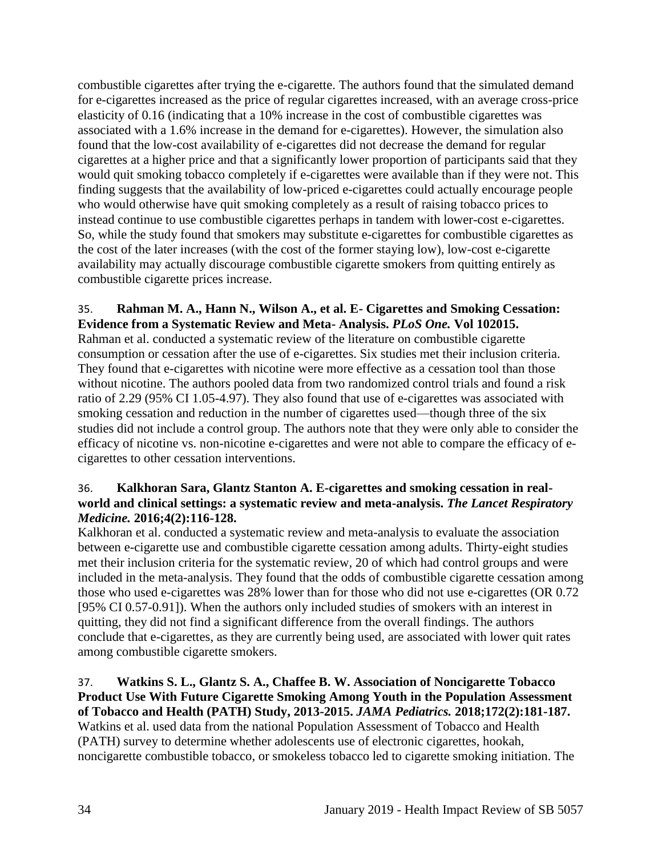combustible cigarettes after trying the e-cigarette. The authors found that the simulated demand for e-cigarettes increased as the price of regular cigarettes increased, with an average cross-price elasticity of 0.16 (indicating that a 10% increase in the cost of combustible cigarettes was associated with a 1.6% increase in the demand for e-cigarettes). However, the simulation also found that the low-cost availability of e-cigarettes did not decrease the demand for regular cigarettes at a higher price and that a significantly lower proportion of participants said that they would quit smoking tobacco completely if e-cigarettes were available than if they were not. This finding suggests that the availability of low-priced e-cigarettes could actually encourage people who would otherwise have quit smoking completely as a result of raising tobacco prices to instead continue to use combustible cigarettes perhaps in tandem with lower-cost e-cigarettes. So, while the study found that smokers may substitute e-cigarettes for combustible cigarettes as the cost of the later increases (with the cost of the former staying low), low-cost e-cigarette availability may actually discourage combustible cigarette smokers from quitting entirely as combustible cigarette prices increase.

## 35. **Rahman M. A., Hann N., Wilson A., et al. E- Cigarettes and Smoking Cessation: Evidence from a Systematic Review and Meta- Analysis.** *PLoS One.* **Vol 102015.**

Rahman et al. conducted a systematic review of the literature on combustible cigarette consumption or cessation after the use of e-cigarettes. Six studies met their inclusion criteria. They found that e-cigarettes with nicotine were more effective as a cessation tool than those without nicotine. The authors pooled data from two randomized control trials and found a risk ratio of 2.29 (95% CI 1.05-4.97). They also found that use of e-cigarettes was associated with smoking cessation and reduction in the number of cigarettes used—though three of the six studies did not include a control group. The authors note that they were only able to consider the efficacy of nicotine vs. non-nicotine e-cigarettes and were not able to compare the efficacy of ecigarettes to other cessation interventions.

## 36. **Kalkhoran Sara, Glantz Stanton A. E-cigarettes and smoking cessation in realworld and clinical settings: a systematic review and meta-analysis.** *The Lancet Respiratory Medicine.* **2016;4(2):116-128.**

Kalkhoran et al. conducted a systematic review and meta-analysis to evaluate the association between e-cigarette use and combustible cigarette cessation among adults. Thirty-eight studies met their inclusion criteria for the systematic review, 20 of which had control groups and were included in the meta-analysis. They found that the odds of combustible cigarette cessation among those who used e-cigarettes was 28% lower than for those who did not use e-cigarettes (OR 0.72 [95% CI 0.57-0.91]). When the authors only included studies of smokers with an interest in quitting, they did not find a significant difference from the overall findings. The authors conclude that e-cigarettes, as they are currently being used, are associated with lower quit rates among combustible cigarette smokers.

<span id="page-36-0"></span>37. **Watkins S. L., Glantz S. A., Chaffee B. W. Association of Noncigarette Tobacco Product Use With Future Cigarette Smoking Among Youth in the Population Assessment of Tobacco and Health (PATH) Study, 2013-2015.** *JAMA Pediatrics.* **2018;172(2):181-187.** Watkins et al. used data from the national Population Assessment of Tobacco and Health (PATH) survey to determine whether adolescents use of electronic cigarettes, hookah, noncigarette combustible tobacco, or smokeless tobacco led to cigarette smoking initiation. The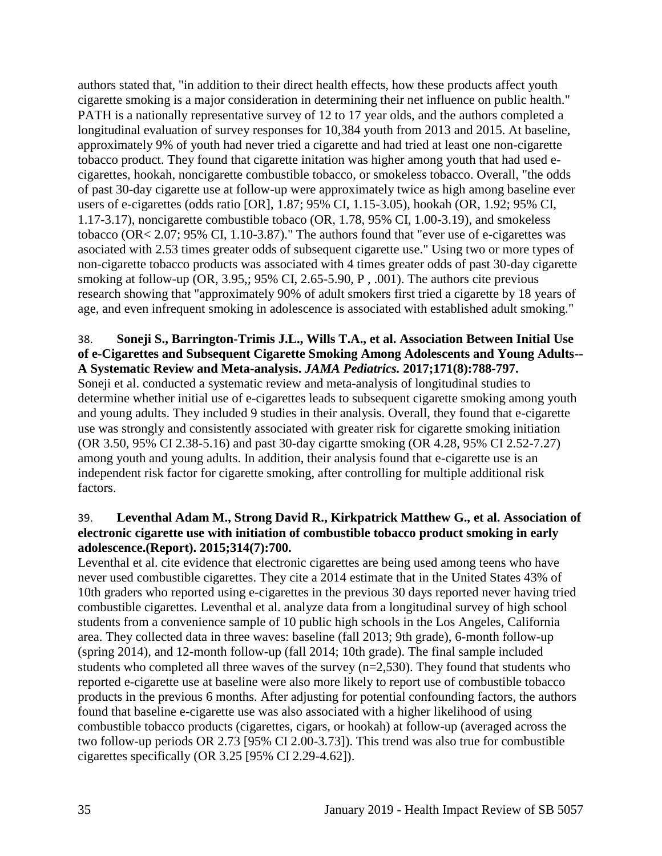authors stated that, "in addition to their direct health effects, how these products affect youth cigarette smoking is a major consideration in determining their net influence on public health." PATH is a nationally representative survey of 12 to 17 year olds, and the authors completed a longitudinal evaluation of survey responses for 10,384 youth from 2013 and 2015. At baseline, approximately 9% of youth had never tried a cigarette and had tried at least one non-cigarette tobacco product. They found that cigarette initation was higher among youth that had used ecigarettes, hookah, noncigarette combustible tobacco, or smokeless tobacco. Overall, "the odds of past 30-day cigarette use at follow-up were approximately twice as high among baseline ever users of e-cigarettes (odds ratio [OR], 1.87; 95% CI, 1.15-3.05), hookah (OR, 1.92; 95% CI, 1.17-3.17), noncigarette combustible tobaco (OR, 1.78, 95% CI, 1.00-3.19), and smokeless tobacco (OR< 2.07; 95% CI, 1.10-3.87)." The authors found that "ever use of e-cigarettes was asociated with 2.53 times greater odds of subsequent cigarette use." Using two or more types of non-cigarette tobacco products was associated with 4 times greater odds of past 30-day cigarette smoking at follow-up (OR, 3.95,; 95% CI, 2.65-5.90, P, .001). The authors cite previous research showing that "approximately 90% of adult smokers first tried a cigarette by 18 years of age, and even infrequent smoking in adolescence is associated with established adult smoking."

## <span id="page-37-0"></span>38. **Soneji S., Barrington-Trimis J.L., Wills T.A., et al. Association Between Initial Use of e-Cigarettes and Subsequent Cigarette Smoking Among Adolescents and Young Adults-- A Systematic Review and Meta-analysis.** *JAMA Pediatrics.* **2017;171(8):788-797.**

Soneji et al. conducted a systematic review and meta-analysis of longitudinal studies to determine whether initial use of e-cigarettes leads to subsequent cigarette smoking among youth and young adults. They included 9 studies in their analysis. Overall, they found that e-cigarette use was strongly and consistently associated with greater risk for cigarette smoking initiation (OR 3.50, 95% CI 2.38-5.16) and past 30-day cigartte smoking (OR 4.28, 95% CI 2.52-7.27) among youth and young adults. In addition, their analysis found that e-cigarette use is an independent risk factor for cigarette smoking, after controlling for multiple additional risk factors.

## <span id="page-37-1"></span>39. **Leventhal Adam M., Strong David R., Kirkpatrick Matthew G., et al. Association of electronic cigarette use with initiation of combustible tobacco product smoking in early adolescence.(Report). 2015;314(7):700.**

Leventhal et al. cite evidence that electronic cigarettes are being used among teens who have never used combustible cigarettes. They cite a 2014 estimate that in the United States 43% of 10th graders who reported using e-cigarettes in the previous 30 days reported never having tried combustible cigarettes. Leventhal et al. analyze data from a longitudinal survey of high school students from a convenience sample of 10 public high schools in the Los Angeles, California area. They collected data in three waves: baseline (fall 2013; 9th grade), 6-month follow-up (spring 2014), and 12-month follow-up (fall 2014; 10th grade). The final sample included students who completed all three waves of the survey (n=2,530). They found that students who reported e-cigarette use at baseline were also more likely to report use of combustible tobacco products in the previous 6 months. After adjusting for potential confounding factors, the authors found that baseline e-cigarette use was also associated with a higher likelihood of using combustible tobacco products (cigarettes, cigars, or hookah) at follow-up (averaged across the two follow-up periods OR 2.73 [95% CI 2.00-3.73]). This trend was also true for combustible cigarettes specifically (OR 3.25 [95% CI 2.29-4.62]).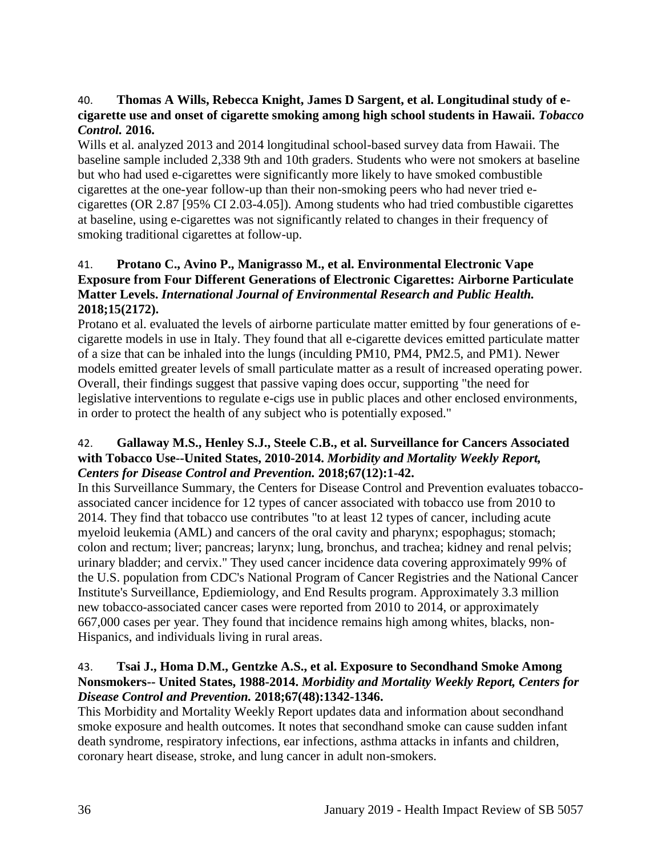## <span id="page-38-3"></span>40. **Thomas A Wills, Rebecca Knight, James D Sargent, et al. Longitudinal study of ecigarette use and onset of cigarette smoking among high school students in Hawaii.** *Tobacco Control.* **2016.**

Wills et al. analyzed 2013 and 2014 longitudinal school-based survey data from Hawaii. The baseline sample included 2,338 9th and 10th graders. Students who were not smokers at baseline but who had used e-cigarettes were significantly more likely to have smoked combustible cigarettes at the one-year follow-up than their non-smoking peers who had never tried ecigarettes (OR 2.87 [95% CI 2.03-4.05]). Among students who had tried combustible cigarettes at baseline, using e-cigarettes was not significantly related to changes in their frequency of smoking traditional cigarettes at follow-up.

## <span id="page-38-2"></span>41. **Protano C., Avino P., Manigrasso M., et al. Environmental Electronic Vape Exposure from Four Different Generations of Electronic Cigarettes: Airborne Particulate Matter Levels.** *International Journal of Environmental Research and Public Health.*  **2018;15(2172).**

Protano et al. evaluated the levels of airborne particulate matter emitted by four generations of ecigarette models in use in Italy. They found that all e-cigarette devices emitted particulate matter of a size that can be inhaled into the lungs (inculding PM10, PM4, PM2.5, and PM1). Newer models emitted greater levels of small particulate matter as a result of increased operating power. Overall, their findings suggest that passive vaping does occur, supporting "the need for legislative interventions to regulate e-cigs use in public places and other enclosed environments, in order to protect the health of any subject who is potentially exposed."

## <span id="page-38-0"></span>42. **Gallaway M.S., Henley S.J., Steele C.B., et al. Surveillance for Cancers Associated with Tobacco Use--United States, 2010-2014.** *Morbidity and Mortality Weekly Report, Centers for Disease Control and Prevention.* **2018;67(12):1-42.**

In this Surveillance Summary, the Centers for Disease Control and Prevention evaluates tobaccoassociated cancer incidence for 12 types of cancer associated with tobacco use from 2010 to 2014. They find that tobacco use contributes "to at least 12 types of cancer, including acute myeloid leukemia (AML) and cancers of the oral cavity and pharynx; espophagus; stomach; colon and rectum; liver; pancreas; larynx; lung, bronchus, and trachea; kidney and renal pelvis; urinary bladder; and cervix." They used cancer incidence data covering approximately 99% of the U.S. population from CDC's National Program of Cancer Registries and the National Cancer Institute's Surveillance, Epdiemiology, and End Results program. Approximately 3.3 million new tobacco-associated cancer cases were reported from 2010 to 2014, or approximately 667,000 cases per year. They found that incidence remains high among whites, blacks, non-Hispanics, and individuals living in rural areas.

## <span id="page-38-1"></span>43. **Tsai J., Homa D.M., Gentzke A.S., et al. Exposure to Secondhand Smoke Among Nonsmokers-- United States, 1988-2014.** *Morbidity and Mortality Weekly Report, Centers for Disease Control and Prevention.* **2018;67(48):1342-1346.**

This Morbidity and Mortality Weekly Report updates data and information about secondhand smoke exposure and health outcomes. It notes that secondhand smoke can cause sudden infant death syndrome, respiratory infections, ear infections, asthma attacks in infants and children, coronary heart disease, stroke, and lung cancer in adult non-smokers.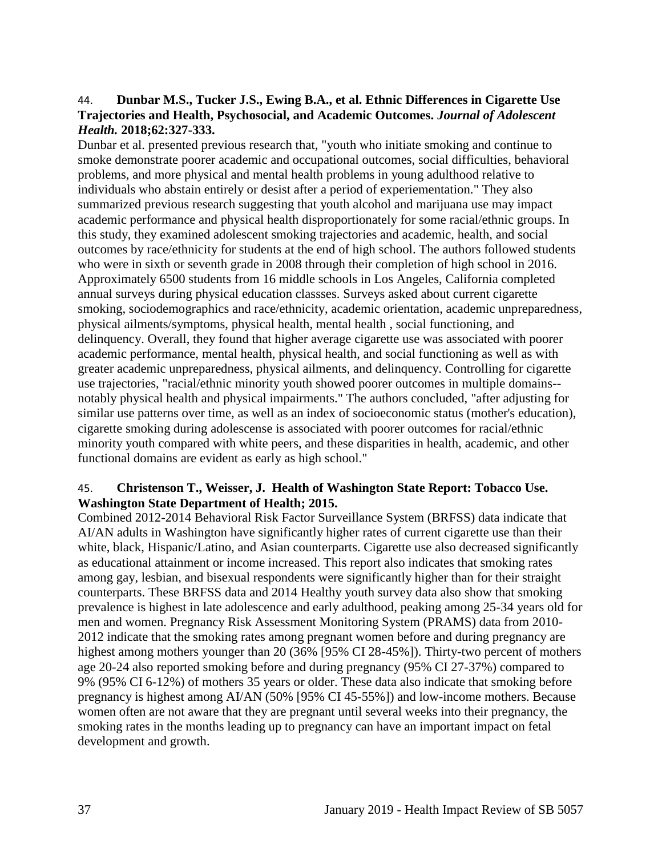#### 44. **Dunbar M.S., Tucker J.S., Ewing B.A., et al. Ethnic Differences in Cigarette Use Trajectories and Health, Psychosocial, and Academic Outcomes.** *Journal of Adolescent Health.* **2018;62:327-333.**

Dunbar et al. presented previous research that, "youth who initiate smoking and continue to smoke demonstrate poorer academic and occupational outcomes, social difficulties, behavioral problems, and more physical and mental health problems in young adulthood relative to individuals who abstain entirely or desist after a period of experiementation." They also summarized previous research suggesting that youth alcohol and marijuana use may impact academic performance and physical health disproportionately for some racial/ethnic groups. In this study, they examined adolescent smoking trajectories and academic, health, and social outcomes by race/ethnicity for students at the end of high school. The authors followed students who were in sixth or seventh grade in 2008 through their completion of high school in 2016. Approximately 6500 students from 16 middle schools in Los Angeles, California completed annual surveys during physical education classses. Surveys asked about current cigarette smoking, sociodemographics and race/ethnicity, academic orientation, academic unpreparedness, physical ailments/symptoms, physical health, mental health , social functioning, and delinquency. Overall, they found that higher average cigarette use was associated with poorer academic performance, mental health, physical health, and social functioning as well as with greater academic unpreparedness, physical ailments, and delinquency. Controlling for cigarette use trajectories, "racial/ethnic minority youth showed poorer outcomes in multiple domains- notably physical health and physical impairments." The authors concluded, "after adjusting for similar use patterns over time, as well as an index of socioeconomic status (mother's education), cigarette smoking during adolescense is associated with poorer outcomes for racial/ethnic minority youth compared with white peers, and these disparities in health, academic, and other functional domains are evident as early as high school."

## 45. **Christenson T., Weisser, J. Health of Washington State Report: Tobacco Use. Washington State Department of Health; 2015.**

Combined 2012-2014 Behavioral Risk Factor Surveillance System (BRFSS) data indicate that AI/AN adults in Washington have significantly higher rates of current cigarette use than their white, black, Hispanic/Latino, and Asian counterparts. Cigarette use also decreased significantly as educational attainment or income increased. This report also indicates that smoking rates among gay, lesbian, and bisexual respondents were significantly higher than for their straight counterparts. These BRFSS data and 2014 Healthy youth survey data also show that smoking prevalence is highest in late adolescence and early adulthood, peaking among 25-34 years old for men and women. Pregnancy Risk Assessment Monitoring System (PRAMS) data from 2010- 2012 indicate that the smoking rates among pregnant women before and during pregnancy are highest among mothers younger than 20 (36% [95% CI 28-45%]). Thirty-two percent of mothers age 20-24 also reported smoking before and during pregnancy (95% CI 27-37%) compared to 9% (95% CI 6-12%) of mothers 35 years or older. These data also indicate that smoking before pregnancy is highest among AI/AN (50% [95% CI 45-55%]) and low-income mothers. Because women often are not aware that they are pregnant until several weeks into their pregnancy, the smoking rates in the months leading up to pregnancy can have an important impact on fetal development and growth.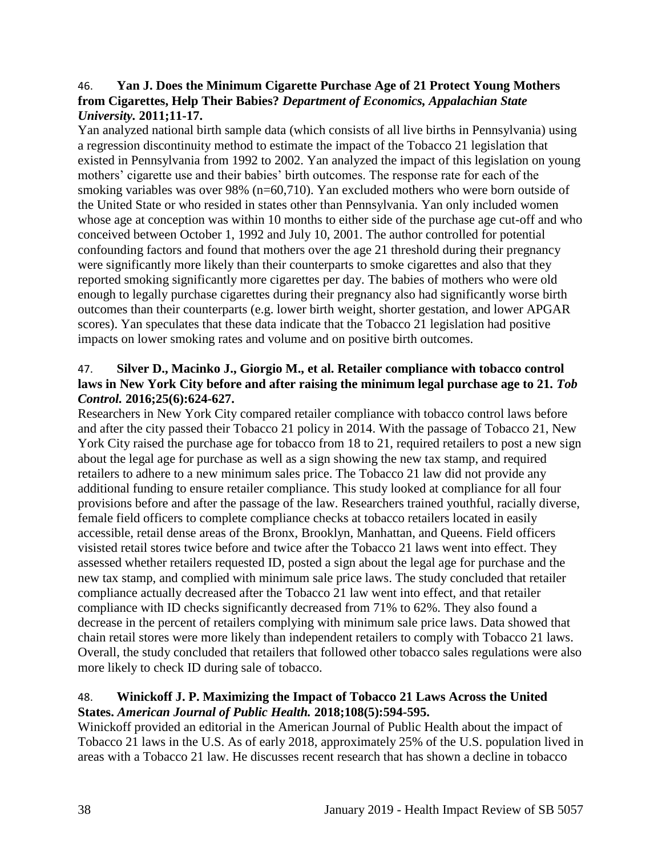#### 46. **Yan J. Does the Minimum Cigarette Purchase Age of 21 Protect Young Mothers from Cigarettes, Help Their Babies?** *Department of Economics, Appalachian State University.* **2011;11-17.**

Yan analyzed national birth sample data (which consists of all live births in Pennsylvania) using a regression discontinuity method to estimate the impact of the Tobacco 21 legislation that existed in Pennsylvania from 1992 to 2002. Yan analyzed the impact of this legislation on young mothers' cigarette use and their babies' birth outcomes. The response rate for each of the smoking variables was over 98% (n=60,710). Yan excluded mothers who were born outside of the United State or who resided in states other than Pennsylvania. Yan only included women whose age at conception was within 10 months to either side of the purchase age cut-off and who conceived between October 1, 1992 and July 10, 2001. The author controlled for potential confounding factors and found that mothers over the age 21 threshold during their pregnancy were significantly more likely than their counterparts to smoke cigarettes and also that they reported smoking significantly more cigarettes per day. The babies of mothers who were old enough to legally purchase cigarettes during their pregnancy also had significantly worse birth outcomes than their counterparts (e.g. lower birth weight, shorter gestation, and lower APGAR scores). Yan speculates that these data indicate that the Tobacco 21 legislation had positive impacts on lower smoking rates and volume and on positive birth outcomes.

## <span id="page-40-0"></span>47. **Silver D., Macinko J., Giorgio M., et al. Retailer compliance with tobacco control**  laws in New York City before and after raising the minimum legal purchase age to 21. Tob *Control.* **2016;25(6):624-627.**

Researchers in New York City compared retailer compliance with tobacco control laws before and after the city passed their Tobacco 21 policy in 2014. With the passage of Tobacco 21, New York City raised the purchase age for tobacco from 18 to 21, required retailers to post a new sign about the legal age for purchase as well as a sign showing the new tax stamp, and required retailers to adhere to a new minimum sales price. The Tobacco 21 law did not provide any additional funding to ensure retailer compliance. This study looked at compliance for all four provisions before and after the passage of the law. Researchers trained youthful, racially diverse, female field officers to complete compliance checks at tobacco retailers located in easily accessible, retail dense areas of the Bronx, Brooklyn, Manhattan, and Queens. Field officers visisted retail stores twice before and twice after the Tobacco 21 laws went into effect. They assessed whether retailers requested ID, posted a sign about the legal age for purchase and the new tax stamp, and complied with minimum sale price laws. The study concluded that retailer compliance actually decreased after the Tobacco 21 law went into effect, and that retailer compliance with ID checks significantly decreased from 71% to 62%. They also found a decrease in the percent of retailers complying with minimum sale price laws. Data showed that chain retail stores were more likely than independent retailers to comply with Tobacco 21 laws. Overall, the study concluded that retailers that followed other tobacco sales regulations were also more likely to check ID during sale of tobacco.

## <span id="page-40-1"></span>48. **Winickoff J. P. Maximizing the Impact of Tobacco 21 Laws Across the United States.** *American Journal of Public Health.* **2018;108(5):594-595.**

Winickoff provided an editorial in the American Journal of Public Health about the impact of Tobacco 21 laws in the U.S. As of early 2018, approximately 25% of the U.S. population lived in areas with a Tobacco 21 law. He discusses recent research that has shown a decline in tobacco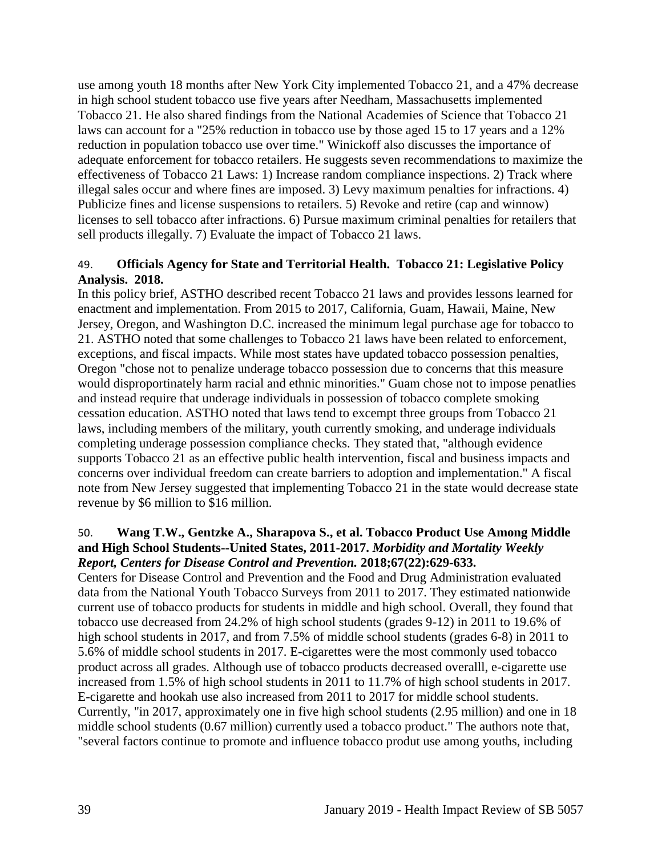use among youth 18 months after New York City implemented Tobacco 21, and a 47% decrease in high school student tobacco use five years after Needham, Massachusetts implemented Tobacco 21. He also shared findings from the National Academies of Science that Tobacco 21 laws can account for a "25% reduction in tobacco use by those aged 15 to 17 years and a 12% reduction in population tobacco use over time." Winickoff also discusses the importance of adequate enforcement for tobacco retailers. He suggests seven recommendations to maximize the effectiveness of Tobacco 21 Laws: 1) Increase random compliance inspections. 2) Track where illegal sales occur and where fines are imposed. 3) Levy maximum penalties for infractions. 4) Publicize fines and license suspensions to retailers. 5) Revoke and retire (cap and winnow) licenses to sell tobacco after infractions. 6) Pursue maximum criminal penalties for retailers that sell products illegally. 7) Evaluate the impact of Tobacco 21 laws.

#### 49. **Officials Agency for State and Territorial Health. Tobacco 21: Legislative Policy Analysis. 2018.**

In this policy brief, ASTHO described recent Tobacco 21 laws and provides lessons learned for enactment and implementation. From 2015 to 2017, California, Guam, Hawaii, Maine, New Jersey, Oregon, and Washington D.C. increased the minimum legal purchase age for tobacco to 21. ASTHO noted that some challenges to Tobacco 21 laws have been related to enforcement, exceptions, and fiscal impacts. While most states have updated tobacco possession penalties, Oregon "chose not to penalize underage tobacco possession due to concerns that this measure would disproportinately harm racial and ethnic minorities." Guam chose not to impose penatlies and instead require that underage individuals in possession of tobacco complete smoking cessation education. ASTHO noted that laws tend to excempt three groups from Tobacco 21 laws, including members of the military, youth currently smoking, and underage individuals completing underage possession compliance checks. They stated that, "although evidence supports Tobacco 21 as an effective public health intervention, fiscal and business impacts and concerns over individual freedom can create barriers to adoption and implementation." A fiscal note from New Jersey suggested that implementing Tobacco 21 in the state would decrease state revenue by \$6 million to \$16 million.

## <span id="page-41-0"></span>50. **Wang T.W., Gentzke A., Sharapova S., et al. Tobacco Product Use Among Middle and High School Students--United States, 2011-2017.** *Morbidity and Mortality Weekly Report, Centers for Disease Control and Prevention.* **2018;67(22):629-633.**

Centers for Disease Control and Prevention and the Food and Drug Administration evaluated data from the National Youth Tobacco Surveys from 2011 to 2017. They estimated nationwide current use of tobacco products for students in middle and high school. Overall, they found that tobacco use decreased from 24.2% of high school students (grades 9-12) in 2011 to 19.6% of high school students in 2017, and from 7.5% of middle school students (grades 6-8) in 2011 to 5.6% of middle school students in 2017. E-cigarettes were the most commonly used tobacco product across all grades. Although use of tobacco products decreased overalll, e-cigarette use increased from 1.5% of high school students in 2011 to 11.7% of high school students in 2017. E-cigarette and hookah use also increased from 2011 to 2017 for middle school students. Currently, "in 2017, approximately one in five high school students (2.95 million) and one in 18 middle school students (0.67 million) currently used a tobacco product." The authors note that, "several factors continue to promote and influence tobacco produt use among youths, including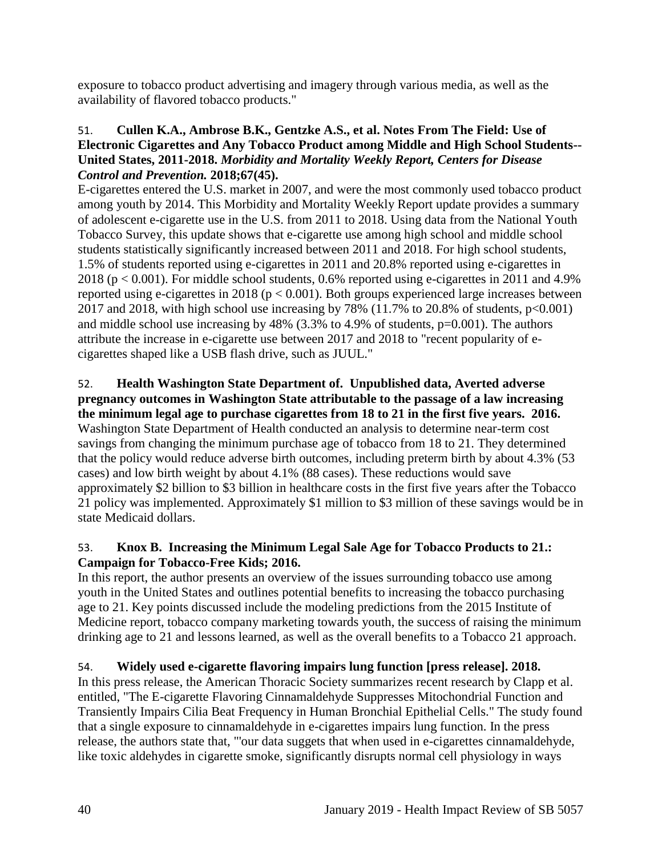exposure to tobacco product advertising and imagery through various media, as well as the availability of flavored tobacco products."

## <span id="page-42-0"></span>51. **Cullen K.A., Ambrose B.K., Gentzke A.S., et al. Notes From The Field: Use of Electronic Cigarettes and Any Tobacco Product among Middle and High School Students-- United States, 2011-2018.** *Morbidity and Mortality Weekly Report, Centers for Disease Control and Prevention.* **2018;67(45).**

E-cigarettes entered the U.S. market in 2007, and were the most commonly used tobacco product among youth by 2014. This Morbidity and Mortality Weekly Report update provides a summary of adolescent e-cigarette use in the U.S. from 2011 to 2018. Using data from the National Youth Tobacco Survey, this update shows that e-cigarette use among high school and middle school students statistically significantly increased between 2011 and 2018. For high school students, 1.5% of students reported using e-cigarettes in 2011 and 20.8% reported using e-cigarettes in 2018 ( $p < 0.001$ ). For middle school students, 0.6% reported using e-cigarettes in 2011 and 4.9% reported using e-cigarettes in 2018 ( $p < 0.001$ ). Both groups experienced large increases between 2017 and 2018, with high school use increasing by 78% (11.7% to 20.8% of students,  $p<0.001$ ) and middle school use increasing by  $48\%$  (3.3% to 4.9% of students, p=0.001). The authors attribute the increase in e-cigarette use between 2017 and 2018 to "recent popularity of ecigarettes shaped like a USB flash drive, such as JUUL."

# 52. **Health Washington State Department of. Unpublished data, Averted adverse pregnancy outcomes in Washington State attributable to the passage of a law increasing**

**the minimum legal age to purchase cigarettes from 18 to 21 in the first five years. 2016.** Washington State Department of Health conducted an analysis to determine near-term cost savings from changing the minimum purchase age of tobacco from 18 to 21. They determined that the policy would reduce adverse birth outcomes, including preterm birth by about 4.3% (53 cases) and low birth weight by about 4.1% (88 cases). These reductions would save approximately \$2 billion to \$3 billion in healthcare costs in the first five years after the Tobacco 21 policy was implemented. Approximately \$1 million to \$3 million of these savings would be in state Medicaid dollars.

## 53. **Knox B. Increasing the Minimum Legal Sale Age for Tobacco Products to 21.: Campaign for Tobacco-Free Kids; 2016.**

In this report, the author presents an overview of the issues surrounding tobacco use among youth in the United States and outlines potential benefits to increasing the tobacco purchasing age to 21. Key points discussed include the modeling predictions from the 2015 Institute of Medicine report, tobacco company marketing towards youth, the success of raising the minimum drinking age to 21 and lessons learned, as well as the overall benefits to a Tobacco 21 approach.

## <span id="page-42-1"></span>54. **Widely used e-cigarette flavoring impairs lung function [press release]. 2018.**

In this press release, the American Thoracic Society summarizes recent research by Clapp et al. entitled, "The E-cigarette Flavoring Cinnamaldehyde Suppresses Mitochondrial Function and Transiently Impairs Cilia Beat Frequency in Human Bronchial Epithelial Cells." The study found that a single exposure to cinnamaldehyde in e-cigarettes impairs lung function. In the press release, the authors state that, "'our data suggets that when used in e-cigarettes cinnamaldehyde, like toxic aldehydes in cigarette smoke, significantly disrupts normal cell physiology in ways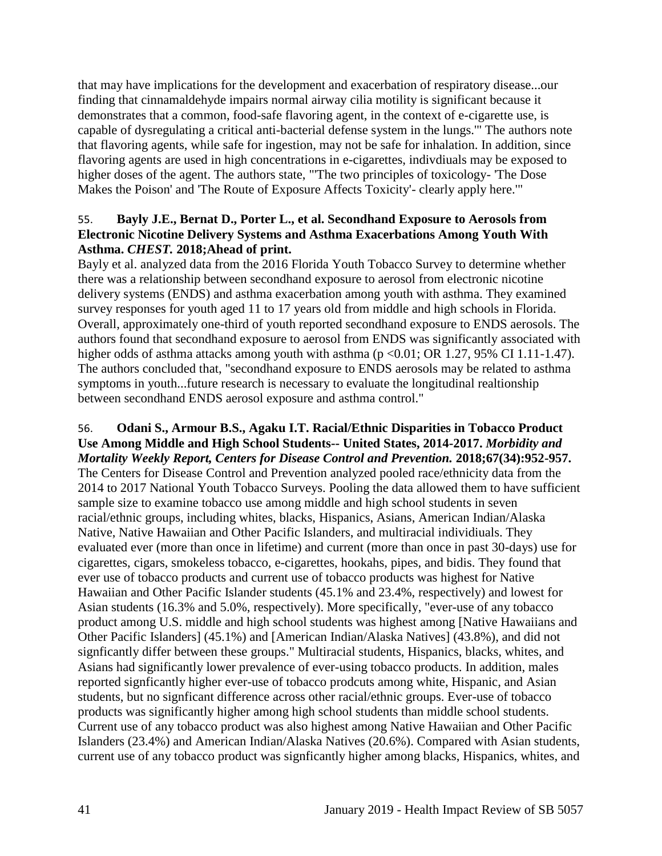that may have implications for the development and exacerbation of respiratory disease...our finding that cinnamaldehyde impairs normal airway cilia motility is significant because it demonstrates that a common, food-safe flavoring agent, in the context of e-cigarette use, is capable of dysregulating a critical anti-bacterial defense system in the lungs.'" The authors note that flavoring agents, while safe for ingestion, may not be safe for inhalation. In addition, since flavoring agents are used in high concentrations in e-cigarettes, indivdiuals may be exposed to higher doses of the agent. The authors state, "'The two principles of toxicology- 'The Dose Makes the Poison' and 'The Route of Exposure Affects Toxicity'- clearly apply here.'"

## <span id="page-43-0"></span>55. **Bayly J.E., Bernat D., Porter L., et al. Secondhand Exposure to Aerosols from Electronic Nicotine Delivery Systems and Asthma Exacerbations Among Youth With Asthma.** *CHEST.* **2018;Ahead of print.**

Bayly et al. analyzed data from the 2016 Florida Youth Tobacco Survey to determine whether there was a relationship between secondhand exposure to aerosol from electronic nicotine delivery systems (ENDS) and asthma exacerbation among youth with asthma. They examined survey responses for youth aged 11 to 17 years old from middle and high schools in Florida. Overall, approximately one-third of youth reported secondhand exposure to ENDS aerosols. The authors found that secondhand exposure to aerosol from ENDS was significantly associated with higher odds of asthma attacks among youth with asthma  $(p < 0.01$ ; OR 1.27, 95% CI 1.11-1.47). The authors concluded that, "secondhand exposure to ENDS aerosols may be related to asthma symptoms in youth...future research is necessary to evaluate the longitudinal realtionship between secondhand ENDS aerosol exposure and asthma control."

#### 56. **Odani S., Armour B.S., Agaku I.T. Racial/Ethnic Disparities in Tobacco Product Use Among Middle and High School Students-- United States, 2014-2017.** *Morbidity and Mortality Weekly Report, Centers for Disease Control and Prevention.* **2018;67(34):952-957.**

The Centers for Disease Control and Prevention analyzed pooled race/ethnicity data from the 2014 to 2017 National Youth Tobacco Surveys. Pooling the data allowed them to have sufficient sample size to examine tobacco use among middle and high school students in seven racial/ethnic groups, including whites, blacks, Hispanics, Asians, American Indian/Alaska Native, Native Hawaiian and Other Pacific Islanders, and multiracial individiuals. They evaluated ever (more than once in lifetime) and current (more than once in past 30-days) use for cigarettes, cigars, smokeless tobacco, e-cigarettes, hookahs, pipes, and bidis. They found that ever use of tobacco products and current use of tobacco products was highest for Native Hawaiian and Other Pacific Islander students (45.1% and 23.4%, respectively) and lowest for Asian students (16.3% and 5.0%, respectively). More specifically, "ever-use of any tobacco product among U.S. middle and high school students was highest among [Native Hawaiians and Other Pacific Islanders] (45.1%) and [American Indian/Alaska Natives] (43.8%), and did not signficantly differ between these groups." Multiracial students, Hispanics, blacks, whites, and Asians had significantly lower prevalence of ever-using tobacco products. In addition, males reported signficantly higher ever-use of tobacco prodcuts among white, Hispanic, and Asian students, but no signficant difference across other racial/ethnic groups. Ever-use of tobacco products was significantly higher among high school students than middle school students. Current use of any tobacco product was also highest among Native Hawaiian and Other Pacific Islanders (23.4%) and American Indian/Alaska Natives (20.6%). Compared with Asian students, current use of any tobacco product was signficantly higher among blacks, Hispanics, whites, and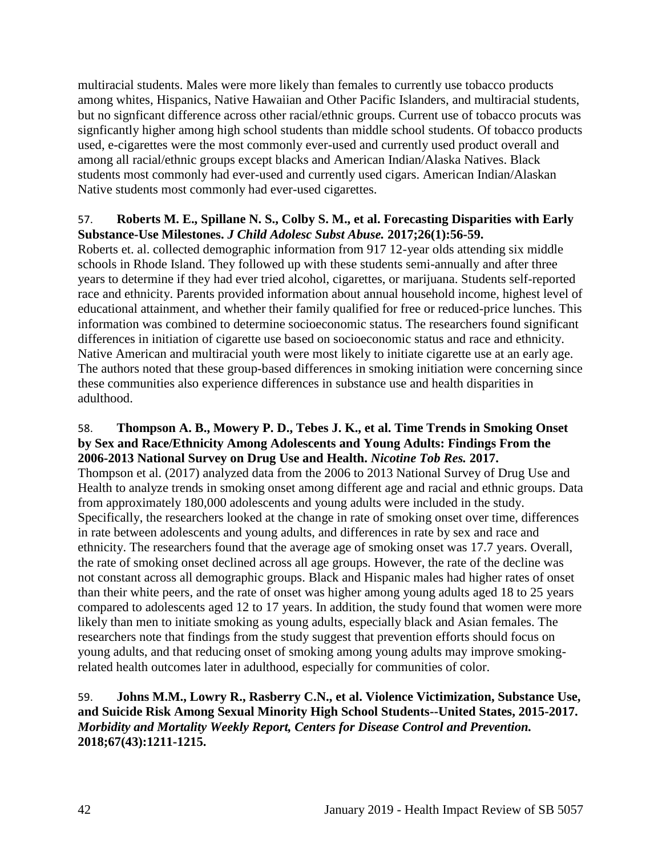multiracial students. Males were more likely than females to currently use tobacco products among whites, Hispanics, Native Hawaiian and Other Pacific Islanders, and multiracial students, but no signficant difference across other racial/ethnic groups. Current use of tobacco procuts was signficantly higher among high school students than middle school students. Of tobacco products used, e-cigarettes were the most commonly ever-used and currently used product overall and among all racial/ethnic groups except blacks and American Indian/Alaska Natives. Black students most commonly had ever-used and currently used cigars. American Indian/Alaskan Native students most commonly had ever-used cigarettes.

#### 57. **Roberts M. E., Spillane N. S., Colby S. M., et al. Forecasting Disparities with Early Substance-Use Milestones.** *J Child Adolesc Subst Abuse.* **2017;26(1):56-59.**

Roberts et. al. collected demographic information from 917 12-year olds attending six middle schools in Rhode Island. They followed up with these students semi-annually and after three years to determine if they had ever tried alcohol, cigarettes, or marijuana. Students self-reported race and ethnicity. Parents provided information about annual household income, highest level of educational attainment, and whether their family qualified for free or reduced-price lunches. This information was combined to determine socioeconomic status. The researchers found significant differences in initiation of cigarette use based on socioeconomic status and race and ethnicity. Native American and multiracial youth were most likely to initiate cigarette use at an early age. The authors noted that these group-based differences in smoking initiation were concerning since these communities also experience differences in substance use and health disparities in adulthood.

#### 58. **Thompson A. B., Mowery P. D., Tebes J. K., et al. Time Trends in Smoking Onset by Sex and Race/Ethnicity Among Adolescents and Young Adults: Findings From the 2006-2013 National Survey on Drug Use and Health.** *Nicotine Tob Res.* **2017.**

Thompson et al. (2017) analyzed data from the 2006 to 2013 National Survey of Drug Use and Health to analyze trends in smoking onset among different age and racial and ethnic groups. Data from approximately 180,000 adolescents and young adults were included in the study. Specifically, the researchers looked at the change in rate of smoking onset over time, differences in rate between adolescents and young adults, and differences in rate by sex and race and ethnicity. The researchers found that the average age of smoking onset was 17.7 years. Overall, the rate of smoking onset declined across all age groups. However, the rate of the decline was not constant across all demographic groups. Black and Hispanic males had higher rates of onset than their white peers, and the rate of onset was higher among young adults aged 18 to 25 years compared to adolescents aged 12 to 17 years. In addition, the study found that women were more likely than men to initiate smoking as young adults, especially black and Asian females. The researchers note that findings from the study suggest that prevention efforts should focus on young adults, and that reducing onset of smoking among young adults may improve smokingrelated health outcomes later in adulthood, especially for communities of color.

## 59. **Johns M.M., Lowry R., Rasberry C.N., et al. Violence Victimization, Substance Use, and Suicide Risk Among Sexual Minority High School Students--United States, 2015-2017.**  *Morbidity and Mortality Weekly Report, Centers for Disease Control and Prevention.*  **2018;67(43):1211-1215.**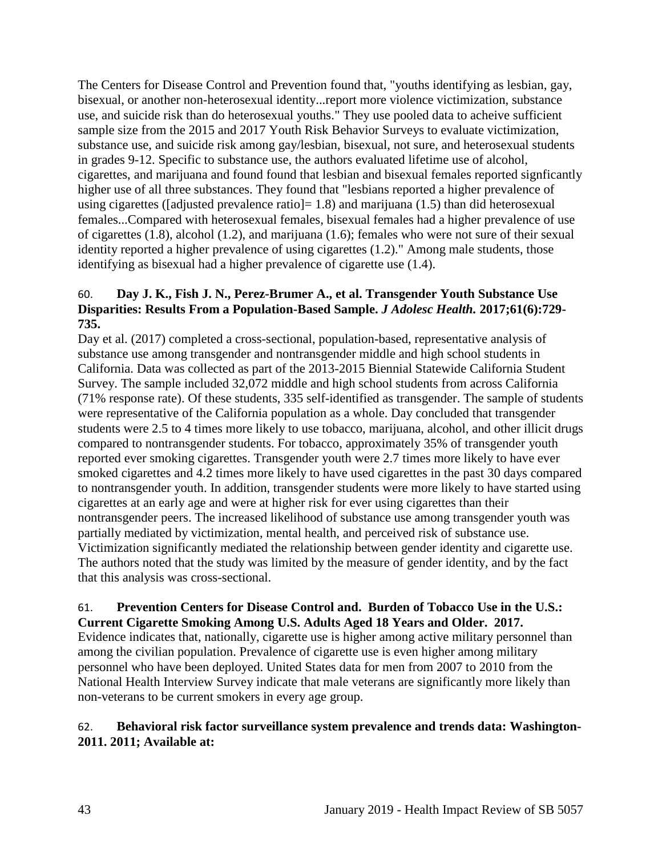The Centers for Disease Control and Prevention found that, "youths identifying as lesbian, gay, bisexual, or another non-heterosexual identity...report more violence victimization, substance use, and suicide risk than do heterosexual youths." They use pooled data to acheive sufficient sample size from the 2015 and 2017 Youth Risk Behavior Surveys to evaluate victimization, substance use, and suicide risk among gay/lesbian, bisexual, not sure, and heterosexual students in grades 9-12. Specific to substance use, the authors evaluated lifetime use of alcohol, cigarettes, and marijuana and found found that lesbian and bisexual females reported signficantly higher use of all three substances. They found that "lesbians reported a higher prevalence of using cigarettes ([adjusted prevalence ratio] = 1.8) and marijuana (1.5) than did heterosexual females...Compared with heterosexual females, bisexual females had a higher prevalence of use of cigarettes (1.8), alcohol (1.2), and marijuana (1.6); females who were not sure of their sexual identity reported a higher prevalence of using cigarettes (1.2)." Among male students, those identifying as bisexual had a higher prevalence of cigarette use (1.4).

## 60. **Day J. K., Fish J. N., Perez-Brumer A., et al. Transgender Youth Substance Use Disparities: Results From a Population-Based Sample.** *J Adolesc Health.* **2017;61(6):729- 735.**

Day et al. (2017) completed a cross-sectional, population-based, representative analysis of substance use among transgender and nontransgender middle and high school students in California. Data was collected as part of the 2013-2015 Biennial Statewide California Student Survey. The sample included 32,072 middle and high school students from across California (71% response rate). Of these students, 335 self-identified as transgender. The sample of students were representative of the California population as a whole. Day concluded that transgender students were 2.5 to 4 times more likely to use tobacco, marijuana, alcohol, and other illicit drugs compared to nontransgender students. For tobacco, approximately 35% of transgender youth reported ever smoking cigarettes. Transgender youth were 2.7 times more likely to have ever smoked cigarettes and 4.2 times more likely to have used cigarettes in the past 30 days compared to nontransgender youth. In addition, transgender students were more likely to have started using cigarettes at an early age and were at higher risk for ever using cigarettes than their nontransgender peers. The increased likelihood of substance use among transgender youth was partially mediated by victimization, mental health, and perceived risk of substance use. Victimization significantly mediated the relationship between gender identity and cigarette use. The authors noted that the study was limited by the measure of gender identity, and by the fact that this analysis was cross-sectional.

#### 61. **Prevention Centers for Disease Control and. Burden of Tobacco Use in the U.S.: Current Cigarette Smoking Among U.S. Adults Aged 18 Years and Older. 2017.**

Evidence indicates that, nationally, cigarette use is higher among active military personnel than among the civilian population. Prevalence of cigarette use is even higher among military personnel who have been deployed. United States data for men from 2007 to 2010 from the National Health Interview Survey indicate that male veterans are significantly more likely than non-veterans to be current smokers in every age group.

## <span id="page-45-0"></span>62. **Behavioral risk factor surveillance system prevalence and trends data: Washington-2011. 2011; Available at:**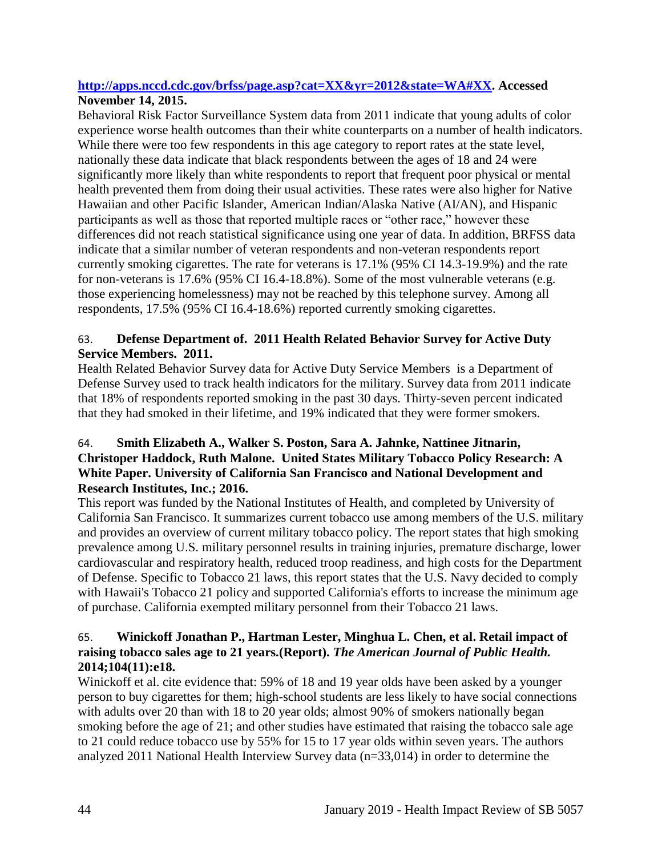## **[http://apps.nccd.cdc.gov/brfss/page.asp?cat=XX&yr=2012&state=WA#XX.](http://apps.nccd.cdc.gov/brfss/page.asp?cat=XX&yr=2012&state=WA#XX) Accessed November 14, 2015.**

Behavioral Risk Factor Surveillance System data from 2011 indicate that young adults of color experience worse health outcomes than their white counterparts on a number of health indicators. While there were too few respondents in this age category to report rates at the state level, nationally these data indicate that black respondents between the ages of 18 and 24 were significantly more likely than white respondents to report that frequent poor physical or mental health prevented them from doing their usual activities. These rates were also higher for Native Hawaiian and other Pacific Islander, American Indian/Alaska Native (AI/AN), and Hispanic participants as well as those that reported multiple races or "other race," however these differences did not reach statistical significance using one year of data. In addition, BRFSS data indicate that a similar number of veteran respondents and non-veteran respondents report currently smoking cigarettes. The rate for veterans is 17.1% (95% CI 14.3-19.9%) and the rate for non-veterans is 17.6% (95% CI 16.4-18.8%). Some of the most vulnerable veterans (e.g. those experiencing homelessness) may not be reached by this telephone survey. Among all respondents, 17.5% (95% CI 16.4-18.6%) reported currently smoking cigarettes.

## <span id="page-46-0"></span>63. **Defense Department of. 2011 Health Related Behavior Survey for Active Duty Service Members. 2011.**

Health Related Behavior Survey data for Active Duty Service Members is a Department of Defense Survey used to track health indicators for the military. Survey data from 2011 indicate that 18% of respondents reported smoking in the past 30 days. Thirty-seven percent indicated that they had smoked in their lifetime, and 19% indicated that they were former smokers.

## 64. **Smith Elizabeth A., Walker S. Poston, Sara A. Jahnke, Nattinee Jitnarin, Christoper Haddock, Ruth Malone. United States Military Tobacco Policy Research: A White Paper. University of California San Francisco and National Development and Research Institutes, Inc.; 2016.**

This report was funded by the National Institutes of Health, and completed by University of California San Francisco. It summarizes current tobacco use among members of the U.S. military and provides an overview of current military tobacco policy. The report states that high smoking prevalence among U.S. military personnel results in training injuries, premature discharge, lower cardiovascular and respiratory health, reduced troop readiness, and high costs for the Department of Defense. Specific to Tobacco 21 laws, this report states that the U.S. Navy decided to comply with Hawaii's Tobacco 21 policy and supported California's efforts to increase the minimum age of purchase. California exempted military personnel from their Tobacco 21 laws.

## 65. **Winickoff Jonathan P., Hartman Lester, Minghua L. Chen, et al. Retail impact of raising tobacco sales age to 21 years.(Report).** *The American Journal of Public Health.*  **2014;104(11):e18.**

Winickoff et al. cite evidence that: 59% of 18 and 19 year olds have been asked by a younger person to buy cigarettes for them; high-school students are less likely to have social connections with adults over 20 than with 18 to 20 year olds; almost 90% of smokers nationally began smoking before the age of 21; and other studies have estimated that raising the tobacco sale age to 21 could reduce tobacco use by 55% for 15 to 17 year olds within seven years. The authors analyzed 2011 National Health Interview Survey data (n=33,014) in order to determine the